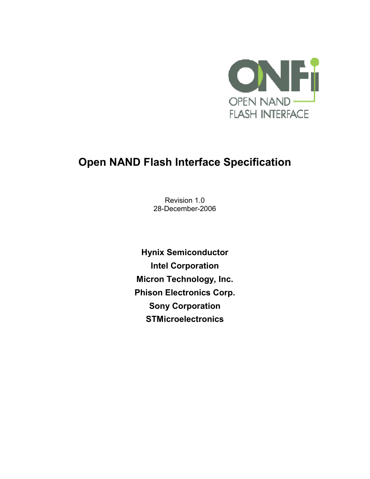

# **Open NAND Flash Interface Specification**

Revision 1.0 28-December-2006

**Hynix Semiconductor Intel Corporation Micron Technology, Inc. Phison Electronics Corp. Sony Corporation STMicroelectronics**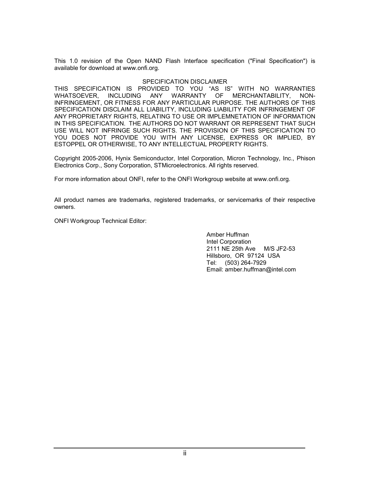This 1.0 revision of the Open NAND Flash Interface specification ("Final Specification") is available for download at www.onfi.org.

#### SPECIFICATION DISCLAIMER

THIS SPECIFICATION IS PROVIDED TO YOU "AS IS" WITH NO WARRANTIES WHATSOEVER, INCLUDING ANY WARRANTY OF MERCHANTABILITY, NON-INFRINGEMENT, OR FITNESS FOR ANY PARTICULAR PURPOSE. THE AUTHORS OF THIS SPECIFICATION DISCLAIM ALL LIABILITY, INCLUDING LIABILITY FOR INFRINGEMENT OF ANY PROPRIETARY RIGHTS, RELATING TO USE OR IMPLEMNETATION OF INFORMATION IN THIS SPECIFICATION. THE AUTHORS DO NOT WARRANT OR REPRESENT THAT SUCH USE WILL NOT INFRINGE SUCH RIGHTS. THE PROVISION OF THIS SPECIFICATION TO YOU DOES NOT PROVIDE YOU WITH ANY LICENSE, EXPRESS OR IMPLIED, BY ESTOPPEL OR OTHERWISE, TO ANY INTELLECTUAL PROPERTY RIGHTS.

Copyright 2005-2006, Hynix Semiconductor, Intel Corporation, Micron Technology, Inc., Phison Electronics Corp., Sony Corporation, STMicroelectronics. All rights reserved.

For more information about ONFI, refer to the ONFI Workgroup website at www.onfi.org.

All product names are trademarks, registered trademarks, or servicemarks of their respective owners.

ONFI Workgroup Technical Editor:

Amber Huffman Intel Corporation 2111 NE 25th Ave M/S JF2-53 Hillsboro, OR 97124 USA Tel: (503) 264-7929 Email: amber.huffman@intel.com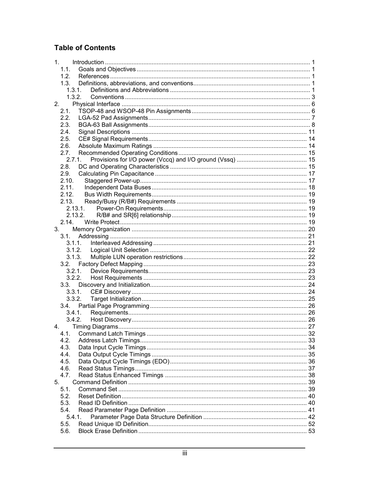### **Table of Contents**

| 1.      |         |  |
|---------|---------|--|
|         | 1.1.    |  |
|         | 1.2     |  |
|         | 1.3.    |  |
|         | 1.3.1.  |  |
|         | 1.3.2.  |  |
|         | 2.      |  |
|         | 2.1.    |  |
|         | 2.2.    |  |
|         | 2.3.    |  |
|         | 2.4.    |  |
|         | 2.5.    |  |
|         | 2.6.    |  |
|         | 2.7.    |  |
|         | 2.7.1.  |  |
|         | 2.8.    |  |
|         | 2.9.    |  |
|         | 2.10.   |  |
|         | 2.11.   |  |
|         | 2.12.   |  |
|         | 2.13.   |  |
|         | 2.13.1. |  |
|         |         |  |
|         | 2.13.2. |  |
|         | 2.14.   |  |
| $3_{-}$ |         |  |
|         | 3.1.    |  |
|         | 3.1.1.  |  |
|         | 3.1.2.  |  |
|         | 3.1.3.  |  |
|         |         |  |
|         | 3.2.1.  |  |
|         | 3.2.2.  |  |
|         | 3.3.    |  |
|         | 3.3.1.  |  |
|         | 3.3.2.  |  |
|         |         |  |
|         | 3.4.1.  |  |
|         | 3.4.2   |  |
| 4.      |         |  |
|         | 4.1.    |  |
|         | 4.2.    |  |
|         | 4.3.    |  |
|         | 4.4.    |  |
|         | 4.5.    |  |
|         | 4.6.    |  |
|         | 4.7.    |  |
| 5.      |         |  |
|         | 5.1.    |  |
|         | 5.2.    |  |
|         | 5.3.    |  |
|         | 5.4.    |  |
|         | 5.4.1.  |  |
|         | 5.5.    |  |
|         | 5.6.    |  |
|         |         |  |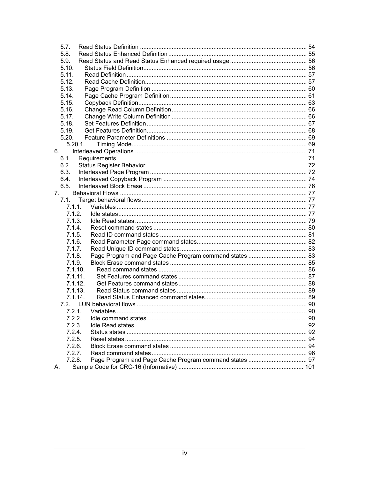| 5.7.    |         |  |
|---------|---------|--|
| 5.8.    |         |  |
| 5.9.    |         |  |
| 5.10.   |         |  |
| 5.11.   |         |  |
| 5.12.   |         |  |
| 5.13.   |         |  |
| 5.14.   |         |  |
| 5.15.   |         |  |
| 5.16.   |         |  |
| 5.17.   |         |  |
| 5.18.   |         |  |
| 5.19.   |         |  |
| 5.20.   |         |  |
|         | 5.20.1. |  |
| 6.      |         |  |
| 6.1.    |         |  |
| 6.2.    |         |  |
| 6.3.    |         |  |
| 6.4.    |         |  |
| 6.5.    |         |  |
| 7.      |         |  |
| $7.1$ . |         |  |
| 7.1.1.  |         |  |
| 7.1.2.  |         |  |
| 7.1.3.  |         |  |
| 7.1.4.  |         |  |
| 7.1.5.  |         |  |
| 7.1.6.  |         |  |
| 7.1.7.  |         |  |
| 7.1.8.  |         |  |
| 7.1.9.  |         |  |
|         | 7.1.10. |  |
|         | 7.1.11. |  |
|         | 7.1.12. |  |
|         | 7.1.13. |  |
|         | 7.1.14. |  |
|         |         |  |
| 7.2.1.  |         |  |
| 7.2.2.  |         |  |
| 7.2.3.  |         |  |
| 7.2.4.  |         |  |
| 7.2.5.  |         |  |
| 7.2.6.  |         |  |
| 7.2.7.  |         |  |
| 7.2.8.  |         |  |
| А.      |         |  |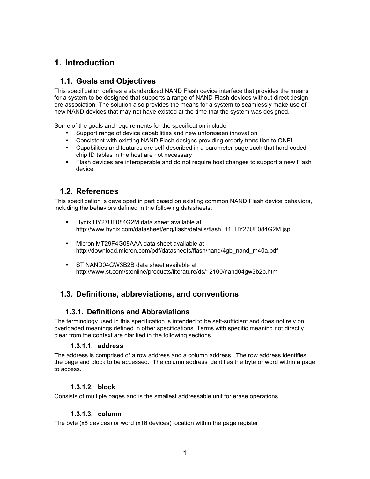# <span id="page-4-0"></span>**1. Introduction**

### **1.1. Goals and Objectives**

This specification defines a standardized NAND Flash device interface that provides the means for a system to be designed that supports a range of NAND Flash devices without direct design pre-association. The solution also provides the means for a system to seamlessly make use of new NAND devices that may not have existed at the time that the system was designed.

Some of the goals and requirements for the specification include:

- Support range of device capabilities and new unforeseen innovation
- Consistent with existing NAND Flash designs providing orderly transition to ONFI
- Capabilities and features are self-described in a parameter page such that hard-coded chip ID tables in the host are not necessary
- Flash devices are interoperable and do not require host changes to support a new Flash device

### **1.2. References**

This specification is developed in part based on existing common NAND Flash device behaviors, including the behaviors defined in the following datasheets:

- Hynix HY27UF084G2M data sheet available at http://www.hynix.com/datasheet/eng/flash/details/flash\_11\_HY27UF084G2M.jsp
- Micron MT29F4G08AAA data sheet available at http://download.micron.com/pdf/datasheets/flash/nand/4gb\_nand\_m40a.pdf
- ST NAND04GW3B2B data sheet available at http://www.st.com/stonline/products/literature/ds/12100/nand04gw3b2b.htm

# **1.3. Definitions, abbreviations, and conventions**

### **1.3.1. Definitions and Abbreviations**

The terminology used in this specification is intended to be self-sufficient and does not rely on overloaded meanings defined in other specifications. Terms with specific meaning not directly clear from the context are clarified in the following sections.

#### **1.3.1.1. address**

The address is comprised of a row address and a column address. The row address identifies the page and block to be accessed. The column address identifies the byte or word within a page to access.

### **1.3.1.2. block**

Consists of multiple pages and is the smallest addressable unit for erase operations.

### **1.3.1.3. column**

The byte (x8 devices) or word (x16 devices) location within the page register.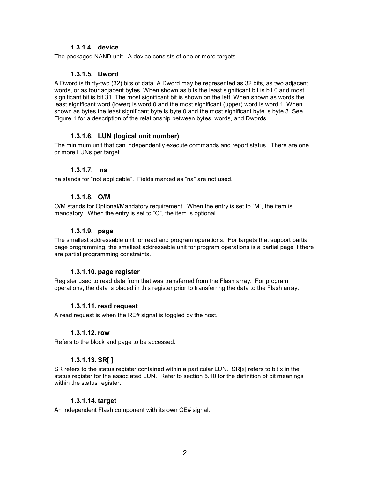### **1.3.1.4. device**

The packaged NAND unit. A device consists of one or more targets.

### **1.3.1.5. Dword**

A Dword is thirty-two (32) bits of data. A Dword may be represented as 32 bits, as two adjacent words, or as four adjacent bytes. When shown as bits the least significant bit is bit 0 and most significant bit is bit 31. The most significant bit is shown on the left. When shown as words the least significant word (lower) is word 0 and the most significant (upper) word is word 1. When shown as bytes the least significant byte is byte 0 and the most significant byte is byte 3. See Figure 1 for a description of the relationship between bytes, words, and Dwords.

### **1.3.1.6. LUN (logical unit number)**

The minimum unit that can independently execute commands and report status. There are one or more LUNs per target.

#### **1.3.1.7. na**

na stands for "not applicable". Fields marked as "na" are not used.

### **1.3.1.8. O/M**

O/M stands for Optional/Mandatory requirement. When the entry is set to "M", the item is mandatory. When the entry is set to "O", the item is optional.

#### **1.3.1.9. page**

The smallest addressable unit for read and program operations. For targets that support partial page programming, the smallest addressable unit for program operations is a partial page if there are partial programming constraints.

#### **1.3.1.10. page register**

Register used to read data from that was transferred from the Flash array. For program operations, the data is placed in this register prior to transferring the data to the Flash array.

### **1.3.1.11. read request**

A read request is when the RE# signal is toggled by the host.

#### **1.3.1.12. row**

Refers to the block and page to be accessed.

### **1.3.1.13. SR[ ]**

SR refers to the status register contained within a particular LUN. SR[x] refers to bit x in the status register for the associated LUN. Refer to section [5.10](#page-59-0) for the definition of bit meanings within the status register.

#### **1.3.1.14. target**

An independent Flash component with its own CE# signal.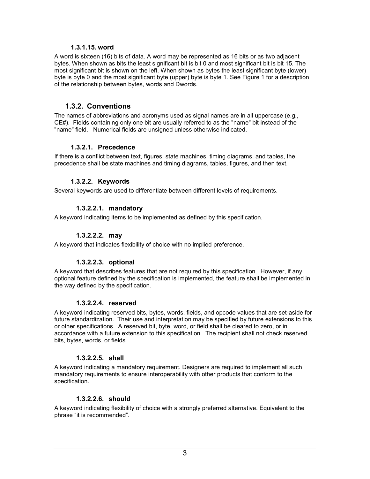#### **1.3.1.15. word**

<span id="page-6-0"></span>A word is sixteen (16) bits of data. A word may be represented as 16 bits or as two adjacent bytes. When shown as bits the least significant bit is bit 0 and most significant bit is bit 15. The most significant bit is shown on the left. When shown as bytes the least significant byte (lower) byte is byte 0 and the most significant byte (upper) byte is byte 1. See Figure 1 for a description of the relationship between bytes, words and Dwords.

### **1.3.2. Conventions**

The names of abbreviations and acronyms used as signal names are in all uppercase (e.g., CE#). Fields containing only one bit are usually referred to as the "name" bit instead of the "name" field. Numerical fields are unsigned unless otherwise indicated.

#### **1.3.2.1. Precedence**

If there is a conflict between text, figures, state machines, timing diagrams, and tables, the precedence shall be state machines and timing diagrams, tables, figures, and then text.

#### **1.3.2.2. Keywords**

Several keywords are used to differentiate between different levels of requirements.

#### **1.3.2.2.1. mandatory**

A keyword indicating items to be implemented as defined by this specification.

#### **1.3.2.2.2. may**

A keyword that indicates flexibility of choice with no implied preference.

#### **1.3.2.2.3. optional**

A keyword that describes features that are not required by this specification. However, if any optional feature defined by the specification is implemented, the feature shall be implemented in the way defined by the specification.

#### **1.3.2.2.4. reserved**

A keyword indicating reserved bits, bytes, words, fields, and opcode values that are set-aside for future standardization. Their use and interpretation may be specified by future extensions to this or other specifications. A reserved bit, byte, word, or field shall be cleared to zero, or in accordance with a future extension to this specification. The recipient shall not check reserved bits, bytes, words, or fields.

#### **1.3.2.2.5. shall**

A keyword indicating a mandatory requirement. Designers are required to implement all such mandatory requirements to ensure interoperability with other products that conform to the specification.

#### **1.3.2.2.6. should**

A keyword indicating flexibility of choice with a strongly preferred alternative. Equivalent to the phrase "it is recommended".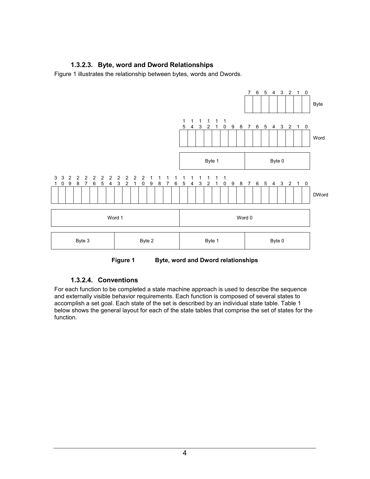### **1.3.2.3. Byte, word and Dword Relationships**

Figure 1 illustrates the relationship between bytes, words and Dwords.



**Figure 1 Byte, word and Dword relationships** 

#### **1.3.2.4. Conventions**

For each function to be completed a state machine approach is used to describe the sequence and externally visible behavior requirements. Each function is composed of several states to accomplish a set goal. Each state of the set is described by an individual state table. [Table 1](#page-8-0)  below shows the general layout for each of the state tables that comprise the set of states for the function.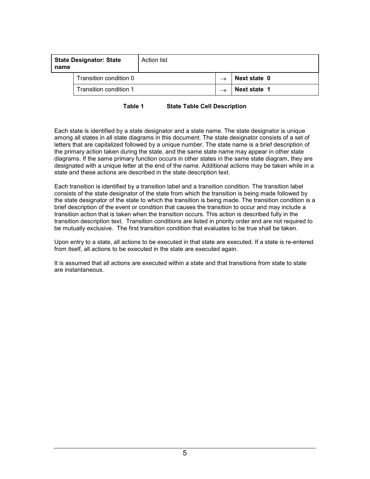<span id="page-8-0"></span>

| name | <b>State Designator: State</b> | <b>Action list</b> |              |
|------|--------------------------------|--------------------|--------------|
|      | Transition condition 0         |                    | Next state 0 |
|      | Transition condition 1         |                    | Next state 1 |

**Table 1 State Table Cell Description** 

Each state is identified by a state designator and a state name. The state designator is unique among all states in all state diagrams in this document. The state designator consists of a set of letters that are capitalized followed by a unique number. The state name is a brief description of the primary action taken during the state, and the same state name may appear in other state diagrams. If the same primary function occurs in other states in the same state diagram, they are designated with a unique letter at the end of the name. Additional actions may be taken while in a state and these actions are described in the state description text.

Each transition is identified by a transition label and a transition condition. The transition label consists of the state designator of the state from which the transition is being made followed by the state designator of the state to which the transition is being made. The transition condition is a brief description of the event or condition that causes the transition to occur and may include a transition action that is taken when the transition occurs. This action is described fully in the transition description text. Transition conditions are listed in priority order and are not required to be mutually exclusive. The first transition condition that evaluates to be true shall be taken.

Upon entry to a state, all actions to be executed in that state are executed. If a state is re-entered from itself, all actions to be executed in the state are executed again.

It is assumed that all actions are executed within a state and that transitions from state to state are instantaneous.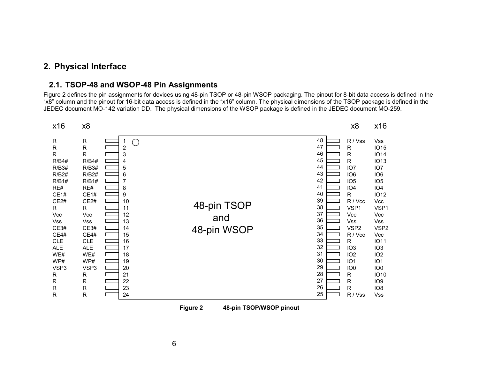## <span id="page-9-0"></span>**2. Physical Interface**

### **2.1. TSOP-48 and WSOP-48 Pin Assignments**

Figure 2 defines the pin assignments for devices using 48-pin TSOP or 48-pin WSOP packaging. The pinout for 8-bit data access is defined in the "x8" column and the pinout for 16-bit data access is defined in the "x16" column. The physical dimensions of the TSOP package is defined in the JEDEC document MO-142 variation DD. The physical dimensions of the WSOP package is defined in the JEDEC document MO-259.

| x16                                                                                                                                                                                                                               | x8                                                                                                                                                                                                                                                |                                                                                                                                     |                                   |                                                                                                                                              | x8                                                                                                                                                                                                                                                                                                                                                | x16                                                                                                                                                                                                                                                                                                                                                                      |
|-----------------------------------------------------------------------------------------------------------------------------------------------------------------------------------------------------------------------------------|---------------------------------------------------------------------------------------------------------------------------------------------------------------------------------------------------------------------------------------------------|-------------------------------------------------------------------------------------------------------------------------------------|-----------------------------------|----------------------------------------------------------------------------------------------------------------------------------------------|---------------------------------------------------------------------------------------------------------------------------------------------------------------------------------------------------------------------------------------------------------------------------------------------------------------------------------------------------|--------------------------------------------------------------------------------------------------------------------------------------------------------------------------------------------------------------------------------------------------------------------------------------------------------------------------------------------------------------------------|
| $\mathsf R$<br>$\mathsf{R}$<br>R<br><b>R/B4#</b><br>R/B3#<br>R/B2#<br>R/B1#<br>RE#<br>CE1#<br>CE2#<br>R<br>Vcc<br>Vss<br>CE3#<br>CE4#<br><b>CLE</b><br><b>ALE</b><br>WE#<br>WP#<br>VSP3<br>R<br>$\mathsf R$<br>$\mathsf{R}$<br>R. | ${\sf R}$<br>$\mathsf R$<br>$\mathsf R$<br><b>R/B4#</b><br>R/B3#<br>R/B2#<br>R/B1#<br>RE#<br>CE1#<br>CE2#<br>$\mathsf{R}$<br>Vcc<br>Vss<br>CE3#<br>CE4#<br><b>CLE</b><br><b>ALE</b><br>WE#<br>WP#<br>VSP3<br>R<br>$\mathsf R$<br>R<br>$\mathsf R$ | O<br>2<br>3<br>4<br>5<br>6<br>7<br>8<br>9<br>10<br>11<br>12<br>13<br>14<br>15<br>16<br>17<br>18<br>19<br>20<br>21<br>22<br>23<br>24 | 48-pin TSOP<br>and<br>48-pin WSOP | 48<br>47<br>46<br>45<br>44<br>43<br>42<br>41<br>40<br>39<br>38<br>37<br>36<br>35<br>34<br>33<br>32<br>31<br>30<br>29<br>28<br>27<br>26<br>25 | R / Vss<br>$\mathsf{R}$<br>$\mathsf{R}$<br>$\mathsf{R}$<br>IO <sub>7</sub><br>IO <sub>6</sub><br>IO <sub>5</sub><br>IO <sub>4</sub><br>R<br>R / Vcc<br>VSP1<br>Vcc<br>Vss<br>VSP <sub>2</sub><br>R / Vcc<br>$\mathsf R$<br>IO <sub>3</sub><br>IO <sub>2</sub><br>IO <sub>1</sub><br>IO <sub>0</sub><br>R<br>$\mathsf R$<br>$\mathsf R$<br>R / Vss | <b>Vss</b><br><b>IO15</b><br><b>IO14</b><br><b>IO13</b><br>IO <sub>7</sub><br>IO <sub>6</sub><br>IO <sub>5</sub><br>IO <sub>4</sub><br><b>IO12</b><br>Vcc<br>VSP1<br>Vcc<br>Vss<br>VSP <sub>2</sub><br><b>Vcc</b><br><b>IO11</b><br>IO <sub>3</sub><br>IO <sub>2</sub><br>IO <sub>1</sub><br>IO <sub>0</sub><br><b>IO10</b><br>IO <sub>9</sub><br>IO <sub>8</sub><br>Vss |



**Figure 2 48-pin TSOP/WSOP pinout**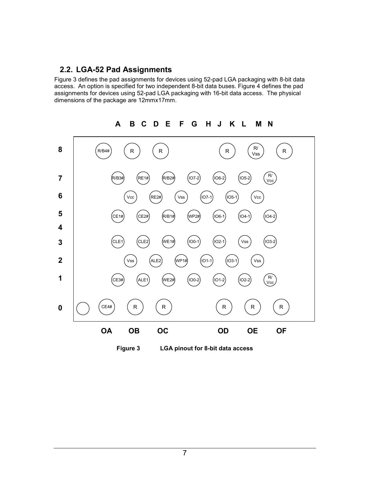### <span id="page-10-0"></span>**2.2. LGA-52 Pad Assignments**

Figure 3 defines the pad assignments for devices using 52-pad LGA packaging with 8-bit data access. An option is specified for two independent 8-bit data buses. [Figure 4](#page-11-0) defines the pad assignments for devices using 52-pad LGA packaging with 16-bit data access. The physical dimensions of the package are 12mmx17mm.

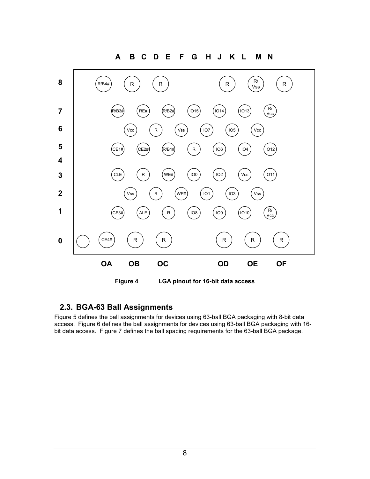<span id="page-11-0"></span>

# **2.3. BGA-63 Ball Assignments**

[Figure 5](#page-12-0) defines the ball assignments for devices using 63-ball BGA packaging with 8-bit data access. [Figure 6](#page-13-0) defines the ball assignments for devices using 63-ball BGA packaging with 16 bit data access. [Figure 7](#page-14-0) defines the ball spacing requirements for the 63-ball BGA package.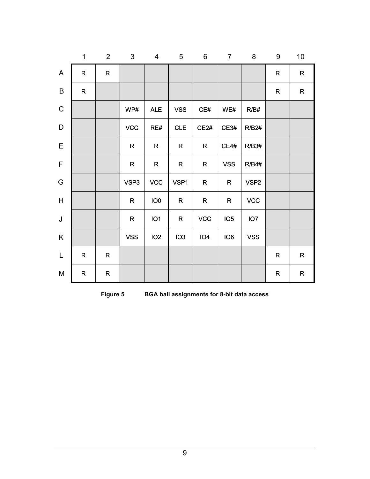<span id="page-12-0"></span>

|                           | $\mathbf 1$ | $\overline{2}$ | $\mathfrak{S}$ | 4               | $\overline{5}$  | $\,6\,$         | $\overline{7}$  | 8                | $9\,$        | 10          |
|---------------------------|-------------|----------------|----------------|-----------------|-----------------|-----------------|-----------------|------------------|--------------|-------------|
| $\boldsymbol{\mathsf{A}}$ | $\mathsf R$ | $\mathsf{R}$   |                |                 |                 |                 |                 |                  | $\mathsf{R}$ | ${\sf R}$   |
| $\sf B$                   | ${\sf R}$   |                |                |                 |                 |                 |                 |                  | ${\sf R}$    | ${\sf R}$   |
| $\mathsf C$               |             |                | WP#            | <b>ALE</b>      | <b>VSS</b>      | CE#             | WE#             | R/B#             |              |             |
| $\mathsf D$               |             |                | <b>VCC</b>     | RE#             | <b>CLE</b>      | CE2#            | CE3#            | R/B2#            |              |             |
| $\mathsf E$               |             |                | $\mathsf{R}$   | $\mathsf{R}$    | $\mathsf{R}$    | $\mathsf{R}$    | CE4#            | R/B3#            |              |             |
| $\mathsf F$               |             |                | $\mathsf{R}$   | $\mathsf{R}$    | $\mathsf R$     | $\mathsf{R}$    | <b>VSS</b>      | R/B4#            |              |             |
| ${\mathsf G}$             |             |                | VSP3           | <b>VCC</b>      | VSP1            | $\mathsf{R}$    | $\mathsf R$     | VSP <sub>2</sub> |              |             |
| $\boldsymbol{\mathsf{H}}$ |             |                | $\mathsf{R}$   | IO <sub>0</sub> | $\mathsf R$     | $\mathsf R$     | $\mathsf R$     | <b>VCC</b>       |              |             |
| $\mathsf J$               |             |                | $\mathsf R$    | IO <sub>1</sub> | $\mathsf R$     | <b>VCC</b>      | IO <sub>5</sub> | IO <sub>7</sub>  |              |             |
| K                         |             |                | <b>VSS</b>     | IO <sub>2</sub> | IO <sub>3</sub> | IO <sub>4</sub> | IO <sub>6</sub> | <b>VSS</b>       |              |             |
| $\mathsf L$               | $\mathsf R$ | $\mathsf R$    |                |                 |                 |                 |                 |                  | $\mathsf{R}$ | $\mathsf R$ |
| ${\sf M}$                 | R           | $\mathsf R$    |                |                 |                 |                 |                 |                  | R            | ${\sf R}$   |

**Figure 5 BGA ball assignments for 8-bit data access**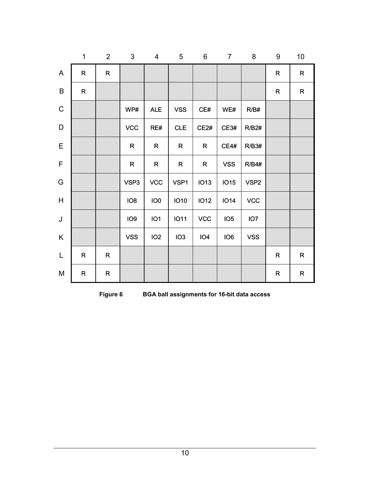<span id="page-13-0"></span>

|               | 1            | $\overline{2}$ | $\mathfrak{S}$  | 4               | 5               | $\,6\,$         | $\overline{7}$  | 8                | 9            | 10          |
|---------------|--------------|----------------|-----------------|-----------------|-----------------|-----------------|-----------------|------------------|--------------|-------------|
| $\mathsf{A}$  | $\mathsf R$  | $\mathsf{R}$   |                 |                 |                 |                 |                 |                  | $\mathsf{R}$ | ${\sf R}$   |
| $\sf B$       | ${\sf R}$    |                |                 |                 |                 |                 |                 |                  | ${\sf R}$    | ${\sf R}$   |
| $\mathsf C$   |              |                | WP#             | <b>ALE</b>      | <b>VSS</b>      | CE#             | WE#             | R/B#             |              |             |
| $\mathsf D$   |              |                | <b>VCC</b>      | RE#             | CLE             | CE2#            | CE3#            | R/B2#            |              |             |
| $\mathsf E$   |              |                | $\mathsf{R}$    | ${\sf R}$       | $\mathsf R$     | $\mathsf{R}$    | <b>CE4#</b>     | R/B3#            |              |             |
| $\mathsf F$   |              |                | $\mathsf{R}$    | $\mathsf{R}$    | $\mathsf{R}$    | $\mathsf{R}$    | <b>VSS</b>      | <b>R/B4#</b>     |              |             |
| ${\mathsf G}$ |              |                | VSP3            | <b>VCC</b>      | VSP1            | <b>IO13</b>     | <b>IO15</b>     | VSP <sub>2</sub> |              |             |
| H             |              |                | IO <sub>8</sub> | IO <sub>0</sub> | <b>IO10</b>     | <b>IO12</b>     | <b>IO14</b>     | <b>VCC</b>       |              |             |
| $\sf J$       |              |                | IO <sub>9</sub> | IO1             | <b>IO11</b>     | <b>VCC</b>      | IO <sub>5</sub> | IO <sub>7</sub>  |              |             |
| K             |              |                | <b>VSS</b>      | IO <sub>2</sub> | IO <sub>3</sub> | IO <sub>4</sub> | IO <sub>6</sub> | <b>VSS</b>       |              |             |
| $\mathsf L$   | $\mathsf{R}$ | $\mathsf R$    |                 |                 |                 |                 |                 |                  | $\mathsf{R}$ | $\mathsf R$ |
| M             | R            | $\mathsf R$    |                 |                 |                 |                 |                 |                  | ${\sf R}$    | R           |

**Figure 6 BGA ball assignments for 16-bit data access**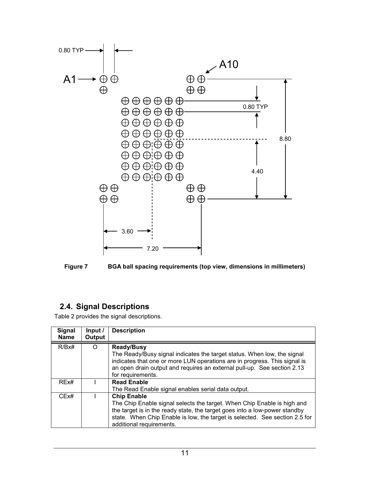<span id="page-14-0"></span>



# **2.4. Signal Descriptions**

[Table 2](#page-15-0) provides the signal descriptions.

| <b>Signal</b><br><b>Name</b> | Input $\prime$<br>Output | <b>Description</b>                                                                                                                                                                                                                                                                     |
|------------------------------|--------------------------|----------------------------------------------------------------------------------------------------------------------------------------------------------------------------------------------------------------------------------------------------------------------------------------|
| R/Bx#                        | ∩                        | <b>Ready/Busy</b><br>The Ready/Busy signal indicates the target status. When low, the signal<br>indicates that one or more LUN operations are in progress. This signal is<br>an open drain output and requires an external pull-up. See section 2.13<br>for requirements.              |
| REx#                         |                          | <b>Read Enable</b><br>The Read Enable signal enables serial data output.                                                                                                                                                                                                               |
| CEx#                         |                          | <b>Chip Enable</b><br>The Chip Enable signal selects the target. When Chip Enable is high and<br>the target is in the ready state, the target goes into a low-power standby<br>state. When Chip Enable is low, the target is selected. See section 2.5 for<br>additional requirements. |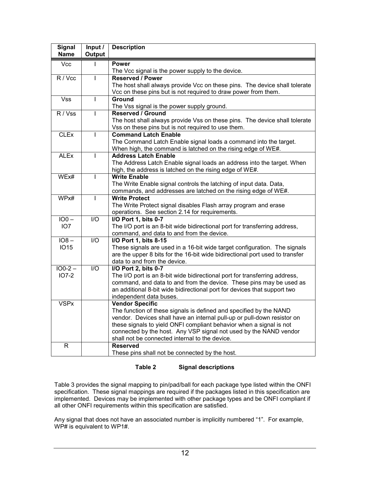<span id="page-15-0"></span>

| <b>Signal</b><br><b>Name</b> | Input /<br>Output | <b>Description</b>                                                           |
|------------------------------|-------------------|------------------------------------------------------------------------------|
| <b>Vcc</b>                   | $\mathbf{I}$      | <b>Power</b>                                                                 |
|                              |                   | The Vcc signal is the power supply to the device.                            |
| R / Vcc                      | $\mathbf{I}$      | <b>Reserved / Power</b>                                                      |
|                              |                   | The host shall always provide Vcc on these pins. The device shall tolerate   |
|                              |                   | Vcc on these pins but is not required to draw power from them.               |
| $\overline{\text{Vss}}$      | $\mathbf{I}$      | Ground                                                                       |
|                              |                   | The Vss signal is the power supply ground.                                   |
| R / Vss                      | L                 | <b>Reserved / Ground</b>                                                     |
|                              |                   | The host shall always provide Vss on these pins. The device shall tolerate   |
|                              |                   | Vss on these pins but is not required to use them.                           |
| <b>CLEx</b>                  | T                 | <b>Command Latch Enable</b>                                                  |
|                              |                   | The Command Latch Enable signal loads a command into the target.             |
|                              |                   | When high, the command is latched on the rising edge of WE#.                 |
| <b>ALEx</b>                  | T                 | <b>Address Latch Enable</b>                                                  |
|                              |                   | The Address Latch Enable signal loads an address into the target. When       |
|                              |                   | high, the address is latched on the rising edge of WE#.                      |
| WEx#                         | T                 | <b>Write Enable</b>                                                          |
|                              |                   | The Write Enable signal controls the latching of input data. Data,           |
|                              |                   | commands, and addresses are latched on the rising edge of WE#.               |
| WPx#                         | $\mathbf{I}$      | <b>Write Protect</b>                                                         |
|                              |                   | The Write Protect signal disables Flash array program and erase              |
|                              |                   | operations. See section 2.14 for requirements.                               |
| $IO0 -$                      | I/O               | I/O Port 1, bits 0-7                                                         |
| IO <sub>7</sub>              |                   | The I/O port is an 8-bit wide bidirectional port for transferring address,   |
|                              |                   | command, and data to and from the device.                                    |
| $108 -$                      | I/O               | I/O Port 1, bits 8-15                                                        |
| <b>IO15</b>                  |                   | These signals are used in a 16-bit wide target configuration. The signals    |
|                              |                   | are the upper 8 bits for the 16-bit wide bidirectional port used to transfer |
|                              |                   | data to and from the device.                                                 |
| $100 - 2 -$                  | $\overline{1/O}$  | I/O Port 2, bits 0-7                                                         |
| $IO7-2$                      |                   | The I/O port is an 8-bit wide bidirectional port for transferring address,   |
|                              |                   | command, and data to and from the device. These pins may be used as          |
|                              |                   | an additional 8-bit wide bidirectional port for devices that support two     |
|                              |                   | independent data buses.                                                      |
| <b>VSPx</b>                  |                   | <b>Vendor Specific</b>                                                       |
|                              |                   | The function of these signals is defined and specified by the NAND           |
|                              |                   | vendor. Devices shall have an internal pull-up or pull-down resistor on      |
|                              |                   | these signals to yield ONFI compliant behavior when a signal is not          |
|                              |                   | connected by the host. Any VSP signal not used by the NAND vendor            |
|                              |                   | shall not be connected internal to the device.                               |
| $\mathsf{R}$                 |                   | <b>Reserved</b>                                                              |
|                              |                   | These pins shall not be connected by the host.                               |

#### **Table 2 Signal descriptions**

[Table 3](#page-17-0) provides the signal mapping to pin/pad/ball for each package type listed within the ONFI specification. These signal mappings are required if the packages listed in this specification are implemented. Devices may be implemented with other package types and be ONFI compliant if all other ONFI requirements within this specification are satisfied.

Any signal that does not have an associated number is implicitly numbered "1". For example, WP# is equivalent to WP1#.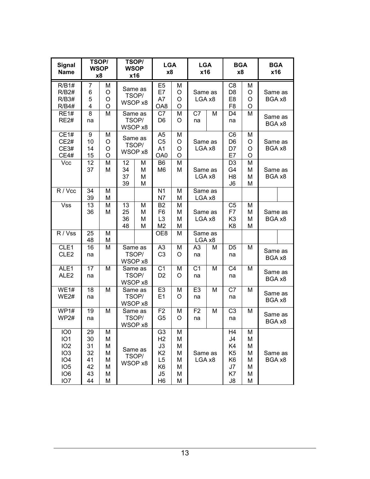| <b>Signal</b><br><b>Name</b>                                                                                                                         | TSOP/<br><b>WSOP</b><br><b>x8</b>            |                                      | TSOP/<br><b>WSOP</b><br>x16 |                             | <b>LGA</b><br>x8                                                                                                                 |                                      |                      | <b>LGA</b><br>x16 |                                                                                  | <b>BGA</b><br>x8                     | <b>BGA</b><br>x16 |                   |  |
|------------------------------------------------------------------------------------------------------------------------------------------------------|----------------------------------------------|--------------------------------------|-----------------------------|-----------------------------|----------------------------------------------------------------------------------------------------------------------------------|--------------------------------------|----------------------|-------------------|----------------------------------------------------------------------------------|--------------------------------------|-------------------|-------------------|--|
| R/B1#<br>R/B2#<br><b>R/B3#</b><br><b>R/B4#</b>                                                                                                       | $\overline{7}$<br>6<br>5<br>4                | M<br>O<br>O<br>$\circ$               | WSOP x8                     | Same as<br>TSOP/            | E <sub>5</sub><br>E7<br>A7<br>OA8                                                                                                | M<br>O<br>O<br>O                     | Same as<br>LGA x8    |                   | C <sub>8</sub><br>D <sub>8</sub><br>E <sub>8</sub><br>F <sub>8</sub>             | M<br>O<br>O<br>O                     | Same as<br>BGA x8 |                   |  |
| <b>RE1#</b><br><b>RE2#</b>                                                                                                                           | 8<br>na                                      | M                                    | WSOP x8                     | Same as<br>TSOP/            | C7<br>D <sub>6</sub>                                                                                                             | Μ<br>O                               | C7<br>na             | M                 | D <sub>4</sub><br>na                                                             | M                                    | Same as<br>BGA x8 |                   |  |
| <b>CE1#</b><br>CE2#<br>CE3#<br><b>CE4#</b>                                                                                                           | 9<br>10<br>14<br>15                          | M<br>O<br>O<br>$\circ$               | WSOP x8                     | Same as<br>TSOP/            | A5<br>C <sub>5</sub><br>A <sub>1</sub><br>OA0                                                                                    | Μ<br>O<br>O<br>O                     | Same as<br>LGA x8    |                   | C <sub>6</sub><br>D <sub>6</sub><br>D7<br>E7                                     | M<br>O<br>O<br>$\circ$               | Same as<br>BGA x8 |                   |  |
| Vcc                                                                                                                                                  | 12<br>37                                     | M<br>M                               | 12<br>34<br>37<br>39        | M<br>M<br>M<br>M            | B <sub>6</sub><br>M <sub>6</sub>                                                                                                 | M<br>М                               | Same as<br>LGA x8    |                   | D <sub>3</sub><br>G <sub>4</sub><br>H <sub>8</sub><br>J6                         | M<br>M<br>M<br>M                     |                   | Same as<br>BGA x8 |  |
| R / Vcc                                                                                                                                              | 34<br>39                                     | M<br>M                               |                             |                             | N <sub>1</sub><br>N7                                                                                                             | Μ<br>М                               | Same as<br>LGA x8    |                   |                                                                                  |                                      |                   |                   |  |
| <b>Vss</b>                                                                                                                                           | 13<br>36                                     | M<br>M                               | 13<br>25<br>36<br>48        | M<br>M<br>M<br>M            | B <sub>2</sub><br>F <sub>6</sub><br>L <sub>3</sub><br>M <sub>2</sub>                                                             | М<br>М<br>M<br>Μ                     | Same as<br>LGA x8    |                   | C <sub>5</sub><br>F7<br>K <sub>3</sub><br>K <sub>8</sub>                         | M<br>M<br>M<br>M                     | Same as<br>BGA x8 |                   |  |
| R / Vss                                                                                                                                              | 25<br>48                                     | M<br>M                               |                             |                             | OE8                                                                                                                              | M                                    |                      | Same as<br>LGA x8 |                                                                                  |                                      |                   |                   |  |
| CLE1<br>CLE <sub>2</sub>                                                                                                                             | 16<br>na                                     | M                                    |                             | Same as<br>TSOP/<br>WSOP x8 | A3<br>C <sub>3</sub>                                                                                                             | Μ<br>O                               | A <sub>3</sub><br>na | M                 | D <sub>5</sub><br>na                                                             | M                                    | Same as<br>BGA x8 |                   |  |
| ALE1<br>ALE <sub>2</sub>                                                                                                                             | $\overline{17}$<br>na                        | M                                    |                             | Same as<br>TSOP/<br>WSOP x8 | C <sub>1</sub><br>D <sub>2</sub>                                                                                                 | M<br>O                               | C <sub>1</sub><br>na | M                 | C <sub>4</sub><br>na                                                             | M                                    | Same as<br>BGA x8 |                   |  |
| WE1#<br>WE2#                                                                                                                                         | 18<br>na                                     | M                                    |                             | Same as<br>TSOP/<br>WSOP x8 | E <sub>3</sub><br>E <sub>1</sub>                                                                                                 | M<br>O                               | E <sub>3</sub><br>na | M                 | C7<br>na                                                                         | M                                    | Same as<br>BGA x8 |                   |  |
| $\overline{WP}1\#$<br>WP <sub>2#</sub>                                                                                                               | 19<br>na                                     | M                                    |                             | Same as<br>TSOP/<br>WSOP x8 | F <sub>2</sub><br>G <sub>5</sub>                                                                                                 | Μ<br>O                               | F <sub>2</sub><br>na | M                 | C <sub>3</sub><br>na                                                             | M                                    | Same as<br>BGA x8 |                   |  |
| IO <sub>0</sub><br>IO <sub>1</sub><br>IO <sub>2</sub><br>IO <sub>3</sub><br>IO <sub>4</sub><br>IO <sub>5</sub><br>IO <sub>6</sub><br>IO <sub>7</sub> | 29<br>30<br>31<br>32<br>41<br>42<br>43<br>44 | M<br>M<br>M<br>M<br>M<br>M<br>M<br>M |                             | Same as<br>TSOP/<br>WSOP x8 | G <sub>3</sub><br>H <sub>2</sub><br>J3<br>K <sub>2</sub><br>L <sub>5</sub><br>K <sub>6</sub><br>J <sub>5</sub><br>H <sub>6</sub> | М<br>M<br>M<br>М<br>M<br>M<br>Μ<br>M | Same as<br>LGA x8    |                   | H <sub>4</sub><br>J4<br>K4<br>K <sub>5</sub><br>K <sub>6</sub><br>J7<br>K7<br>J8 | M<br>M<br>M<br>M<br>M<br>M<br>M<br>M | Same as<br>BGA x8 |                   |  |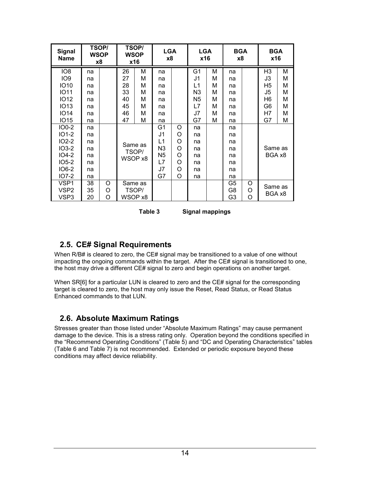<span id="page-17-0"></span>

| <b>Signal</b><br><b>Name</b> | <b>WSOP</b><br>x8 | TSOP/ |    | TSOP/<br><b>WSOP</b><br>x16 | <b>LGA</b><br><b>x8</b> |   | <b>LGA</b><br>x16 |   | <b>BGA</b><br>x8 |   | <b>BGA</b><br>x16 |   |
|------------------------------|-------------------|-------|----|-----------------------------|-------------------------|---|-------------------|---|------------------|---|-------------------|---|
| IO <sub>8</sub>              | na                |       | 26 | М                           | na                      |   | G <sub>1</sub>    | M | na               |   | H <sub>3</sub>    | M |
| IO <sub>9</sub>              | na                |       | 27 | М                           | na                      |   | J1                | M | na               |   | J3                | M |
| <b>IO10</b>                  | na                |       | 28 | М                           | na                      |   | L1                | M | na               |   | H5                | M |
| <b>IO11</b>                  | na                |       | 33 | М                           | na                      |   | N <sub>3</sub>    | M | na               |   | J5                | M |
| <b>IO12</b>                  | na                |       | 40 | М                           | na                      |   | N <sub>5</sub>    | M | na               |   | H <sub>6</sub>    | M |
| <b>IO13</b>                  | na                |       | 45 | М                           | na                      |   | L7                | М | na               |   | G6                | M |
| <b>IO14</b>                  | na                |       | 46 | М                           | na                      |   | J7                | M | na               |   | H7                | M |
| <b>IO15</b>                  | na                |       | 47 | М                           | na                      |   | G7                | M | na               |   | G7                | M |
| <b>IO0-2</b>                 | na                |       |    |                             | G1                      | O | na                |   | na               |   |                   |   |
| $IO1-2$                      | na                |       |    |                             | J1                      | O | na                |   | na               |   |                   |   |
| $IO2-2$                      | na                |       |    | Same as                     | L1                      | O | na                |   | na               |   |                   |   |
| $IO3-2$                      | na                |       |    | TSOP/                       | N <sub>3</sub>          | O | na                |   | na               |   | Same as           |   |
| $IO4-2$                      | na                |       |    | WSOP x8                     | N <sub>5</sub>          | O | na                |   | na               |   | BGA x8            |   |
| $IO5-2$                      | na                |       |    |                             | L7                      | O | na                |   | na               |   |                   |   |
| IO6-2                        | na                |       |    |                             |                         | O | na                |   | na               |   |                   |   |
| $IO7-2$                      | na                |       |    |                             | G7                      | O | na                |   | na               |   |                   |   |
| VSP1                         | 38                | O     |    | Same as                     |                         |   |                   |   | G <sub>5</sub>   | O | Same as           |   |
| VSP <sub>2</sub>             | 35                | O     |    | TSOP/                       |                         |   |                   |   | G8               | O |                   |   |
| VSP3                         | 20                | O     |    | WSOP x8                     |                         |   |                   |   | G <sub>3</sub>   | O | BGA x8            |   |

| Table 3 | <b>Signal mappings</b> |
|---------|------------------------|
|---------|------------------------|

# **2.5. CE# Signal Requirements**

When R/B# is cleared to zero, the CE# signal may be transitioned to a value of one without impacting the ongoing commands within the target. After the CE# signal is transitioned to one, the host may drive a different CE# signal to zero and begin operations on another target.

When SR[6] for a particular LUN is cleared to zero and the CE# signal for the corresponding target is cleared to zero, the host may only issue the Reset, Read Status, or Read Status Enhanced commands to that LUN.

# **2.6. Absolute Maximum Ratings**

Stresses greater than those listed under "Absolute Maximum Ratings" may cause permanent damage to the device. This is a stress rating only. Operation beyond the conditions specified in the "Recommend Operating Conditions" ([Table 5](#page-18-0)) and "DC and Operating Characteristics" tables ([Table 6](#page-19-0) and [Table 7\)](#page-20-0) is not recommended. Extended or periodic exposure beyond these conditions may affect device reliability.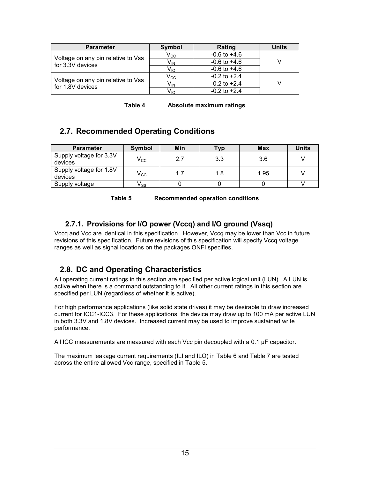<span id="page-18-0"></span>

| <b>Parameter</b>                                       | <b>Symbol</b>              | Rating           | Units |
|--------------------------------------------------------|----------------------------|------------------|-------|
| Voltage on any pin relative to Vss                     | $\mathsf{V}_{\mathsf{CC}}$ | $-0.6$ to $+4.6$ |       |
| for 3.3V devices                                       | V <sub>IN</sub>            | $-0.6$ to $+4.6$ |       |
|                                                        | V <sub>IO</sub>            | $-0.6$ to $+4.6$ |       |
|                                                        | $\mathsf{V_{CC}}$          | $-0.2$ to $+2.4$ |       |
| Voltage on any pin relative to Vss<br>for 1.8V devices | $V_{IN}$                   | $-0.2$ to $+2.4$ |       |
|                                                        | V <sub>lo</sub>            | $-0.2$ to $+2.4$ |       |

| Absolute maximum ratings<br>Table 4 |
|-------------------------------------|
|-------------------------------------|

# **2.7. Recommended Operating Conditions**

| <b>Parameter</b>                   | Symbol                     | Min | Tvo | <b>Max</b> | <b>Units</b> |
|------------------------------------|----------------------------|-----|-----|------------|--------------|
| Supply voltage for 3.3V<br>devices | $\mathsf{V}_{\mathsf{CC}}$ | 2.7 | 3.3 | 3.6        |              |
| Supply voltage for 1.8V<br>devices | $\mathsf{V}_{\mathsf{CC}}$ | 1.7 | 1.8 | 1.95       |              |
| Supply voltage                     | v ss                       |     |     |            |              |

**Table 5 Recommended operation conditions** 

## **2.7.1. Provisions for I/O power (Vccq) and I/O ground (Vssq)**

Vccq and Vcc are identical in this specification. However, Vccq may be lower than Vcc in future revisions of this specification. Future revisions of this specification will specify Vccq voltage ranges as well as signal locations on the packages ONFI specifies.

# **2.8. DC and Operating Characteristics**

All operating current ratings in this section are specified per active logical unit (LUN). A LUN is active when there is a command outstanding to it. All other current ratings in this section are specified per LUN (regardless of whether it is active).

For high performance applications (like solid state drives) it may be desirable to draw increased current for ICC1-ICC3. For these applications, the device may draw up to 100 mA per active LUN in both 3.3V and 1.8V devices. Increased current may be used to improve sustained write performance.

All ICC measurements are measured with each Vcc pin decoupled with a 0.1  $\mu$ F capacitor.

The maximum leakage current requirements (ILI and ILO) in [Table 6](#page-19-0) and [Table 7](#page-20-0) are tested across the entire allowed Vcc range, specified in Table 5.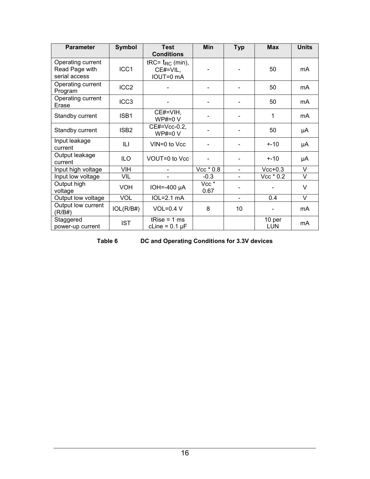<span id="page-19-0"></span>

| <b>Parameter</b>                                     | <b>Symbol</b>    | <b>Test</b><br><b>Conditions</b>                 | <b>Min</b>               | <b>Typ</b>     | <b>Max</b>    | <b>Units</b> |
|------------------------------------------------------|------------------|--------------------------------------------------|--------------------------|----------------|---------------|--------------|
| Operating current<br>Read Page with<br>serial access | ICC1             | tRC= $t_{RC}$ (min),<br>$CE#=VIL$ ,<br>IOUT=0 mA |                          |                | 50            | mA           |
| Operating current<br>Program                         | ICC <sub>2</sub> |                                                  |                          |                | 50            | mA           |
| Operating current<br>Erase                           | ICC <sub>3</sub> |                                                  |                          |                | 50            | mA           |
| Standby current                                      | ISB1             | $CE#=VIH,$<br>$WP#=0 V$                          |                          |                | 1             | mA           |
| Standby current                                      | ISB <sub>2</sub> | CE#=Vcc-0.2,<br>$WP#=0 V$                        |                          |                | 50            | μA           |
| Input leakage<br>current                             | ILI.             | VIN=0 to Vcc                                     |                          |                | $+ - 10$      | μA           |
| Output leakage<br>current                            | <b>ILO</b>       | VOUT=0 to Vcc                                    |                          |                | $+ -10$       | μA           |
| Input high voltage                                   | <b>VIH</b>       |                                                  | Vcc * 0.8                |                | $Vcc+0.3$     | V            |
| Input low voltage                                    | VIL              |                                                  | $-0.3$                   |                | Vcc $*$ 0.2   | V            |
| Output high<br>voltage                               | <b>VOH</b>       | IOH=-400 $\mu$ A                                 | Vcc <sup>*</sup><br>0.67 |                |               | V            |
| Output low voltage                                   | <b>VOL</b>       | $IOL=2.1mA$                                      |                          | $\blacksquare$ | 0.4           | V            |
| Output low current<br>(R/B#)                         | IOL(R/B#)        | $VOL=0.4 V$                                      | 8                        | 10             |               | mA           |
| Staggered<br>power-up current                        | <b>IST</b>       | tRise = $1 \text{ ms}$<br>cLine = $0.1 \mu F$    |                          |                | 10 per<br>LUN | mA           |

**Table 6 DC and Operating Conditions for 3.3V devices**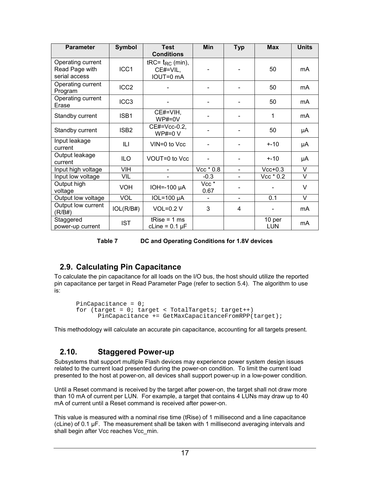<span id="page-20-0"></span>

| <b>Parameter</b>                                     | <b>Symbol</b>    | <b>Test</b><br><b>Conditions</b>                 | <b>Min</b>               | <b>Typ</b>     | <b>Max</b>    | <b>Units</b> |
|------------------------------------------------------|------------------|--------------------------------------------------|--------------------------|----------------|---------------|--------------|
| Operating current<br>Read Page with<br>serial access | ICC1             | tRC= $t_{RC}$ (min),<br>$CE#=VIL$ ,<br>IOUT=0 mA |                          |                | 50            | mA           |
| Operating current<br>Program                         | ICC <sub>2</sub> |                                                  |                          |                | 50            | mA           |
| Operating current<br>Erase                           | ICC <sub>3</sub> |                                                  |                          |                | 50            | mA           |
| Standby current                                      | ISB1             | $CE#=VIH,$<br>$WP#=0V$                           |                          |                | 1             | mA           |
| Standby current                                      | ISB <sub>2</sub> | CE#=Vcc-0.2,<br>$WP#=0 V$                        |                          |                | 50            | μA           |
| Input leakage<br>current                             | ILI.             | VIN=0 to Vcc                                     |                          |                | $+ - 10$      | μA           |
| Output leakage<br>current                            | <b>ILO</b>       | VOUT=0 to Vcc                                    |                          |                | $+ -10$       | μA           |
| Input high voltage                                   | <b>VIH</b>       |                                                  | Vcc * 0.8                |                | $Vcc+0.3$     | V            |
| Input low voltage                                    | VIL              |                                                  | $-0.3$                   |                | $Vec* 0.2$    | V            |
| Output high<br>voltage                               | <b>VOH</b>       | IOH=-100 µA                                      | Vcc <sup>*</sup><br>0.67 |                |               | V            |
| Output low voltage                                   | <b>VOL</b>       | $IOL=100 \mu A$                                  |                          | $\blacksquare$ | 0.1           | V            |
| Output low current<br>(R/B#)                         | IOL(R/B#)        | $VOL=0.2 V$                                      | 3                        | 4              |               | mA           |
| Staggered<br>power-up current                        | <b>IST</b>       | tRise = $1 \text{ ms}$<br>cLine = $0.1 \mu F$    |                          |                | 10 per<br>LUN | mA           |

#### **Table 7 DC and Operating Conditions for 1.8V devices**

# **2.9. Calculating Pin Capacitance**

To calculate the pin capacitance for all loads on the I/O bus, the host should utilize the reported pin capacitance per target in Read Parameter Page (refer to section [5.4\)](#page-44-0). The algorithm to use is:

```
PinCapacitance = 0;for (target = 0; target < TotalTargets; target++)
     PinCapacitance += GetMaxCapacitanceFromRPP(target);
```
This methodology will calculate an accurate pin capacitance, accounting for all targets present.

# **2.10. Staggered Power-up**

Subsystems that support multiple Flash devices may experience power system design issues related to the current load presented during the power-on condition. To limit the current load presented to the host at power-on, all devices shall support power-up in a low-power condition.

Until a Reset command is received by the target after power-on, the target shall not draw more than 10 mA of current per LUN. For example, a target that contains 4 LUNs may draw up to 40 mA of current until a Reset command is received after power-on.

This value is measured with a nominal rise time (tRise) of 1 millisecond and a line capacitance  $($ cLine) of 0.1  $\mu$ F. The measurement shall be taken with 1 millisecond averaging intervals and shall begin after Vcc reaches Vcc min.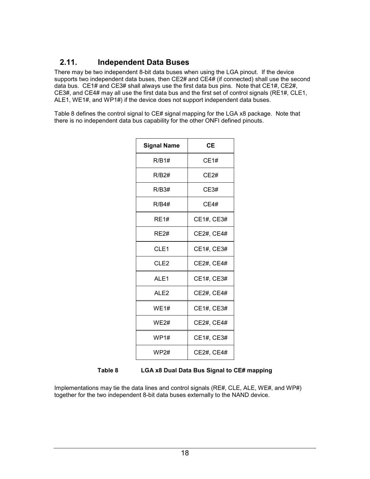## <span id="page-21-0"></span>**2.11. Independent Data Buses**

There may be two independent 8-bit data buses when using the LGA pinout. If the device supports two independent data buses, then CE2# and CE4# (if connected) shall use the second data bus. CE1# and CE3# shall always use the first data bus pins. Note that CE1#, CE2#, CE3#, and CE4# may all use the first data bus and the first set of control signals (RE1#, CLE1, ALE1, WE1#, and WP1#) if the device does not support independent data buses.

Table 8 defines the control signal to CE# signal mapping for the LGA x8 package. Note that there is no independent data bus capability for the other ONFI defined pinouts.

| <b>Signal Name</b> | <b>CE</b>   |
|--------------------|-------------|
| R/B1#              | <b>CE1#</b> |
| R/B2#              | CE2#        |
| R/B3#              | CE3#        |
| R/B4#              | CE4#        |
| <b>RE1#</b>        | CE1#, CE3#  |
| RF2#               | CE2#, CE4#  |
| CLE <sub>1</sub>   | CE1#, CE3#  |
| CLE <sub>2</sub>   | CE2#, CE4#  |
| AL <sub>E1</sub>   | CE1#, CE3#  |
| AL <sub>F2</sub>   | CE2#, CE4#  |
| WE1#               | CE1#, CE3#  |
| <b>WE2#</b>        | CE2#, CE4#  |
| WP1#               | CE1#, CE3#  |
| WP2#               | CE2#, CE4#  |

**Table 8 LGA x8 Dual Data Bus Signal to CE# mapping** 

Implementations may tie the data lines and control signals (RE#, CLE, ALE, WE#, and WP#) together for the two independent 8-bit data buses externally to the NAND device.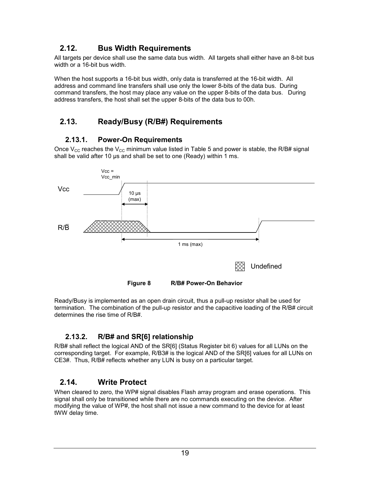# <span id="page-22-0"></span>**2.12. Bus Width Requirements**

All targets per device shall use the same data bus width. All targets shall either have an 8-bit bus width or a 16-bit bus width.

When the host supports a 16-bit bus width, only data is transferred at the 16-bit width. All address and command line transfers shall use only the lower 8-bits of the data bus. During command transfers, the host may place any value on the upper 8-bits of the data bus. During address transfers, the host shall set the upper 8-bits of the data bus to 00h.

# **2.13. Ready/Busy (R/B#) Requirements**

### **2.13.1. Power-On Requirements**

Once  $V_{CC}$  reaches the  $V_{CC}$  minimum value listed in [Table 5](#page-18-0) and power is stable, the R/B# signal shall be valid after 10  $\mu$ s and shall be set to one (Ready) within 1 ms.



Ready/Busy is implemented as an open drain circuit, thus a pull-up resistor shall be used for termination. The combination of the pull-up resistor and the capacitive loading of the R/B# circuit determines the rise time of R/B#.

# **2.13.2. R/B# and SR[6] relationship**

R/B# shall reflect the logical AND of the SR[6] (Status Register bit 6) values for all LUNs on the corresponding target. For example, R/B3# is the logical AND of the SR[6] values for all LUNs on CE3#. Thus, R/B# reflects whether any LUN is busy on a particular target.

### **2.14. Write Protect**

When cleared to zero, the WP# signal disables Flash array program and erase operations. This signal shall only be transitioned while there are no commands executing on the device. After modifying the value of WP#, the host shall not issue a new command to the device for at least tWW delay time.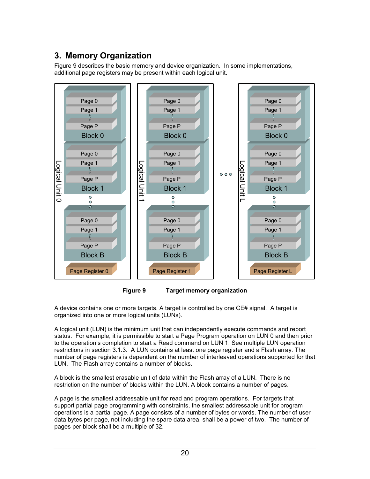# <span id="page-23-0"></span>**3. Memory Organization**

Figure 9 describes the basic memory and device organization. In some implementations, additional page registers may be present within each logical unit.





A device contains one or more targets. A target is controlled by one CE# signal. A target is organized into one or more logical units (LUNs).

A logical unit (LUN) is the minimum unit that can independently execute commands and report status. For example, it is permissible to start a Page Program operation on LUN 0 and then prior to the operation's completion to start a Read command on LUN 1. See multiple LUN operation restrictions in section [3.1.3.](#page-25-0) A LUN contains at least one page register and a Flash array. The number of page registers is dependent on the number of interleaved operations supported for that LUN. The Flash array contains a number of blocks.

A block is the smallest erasable unit of data within the Flash array of a LUN. There is no restriction on the number of blocks within the LUN. A block contains a number of pages.

A page is the smallest addressable unit for read and program operations. For targets that support partial page programming with constraints, the smallest addressable unit for program operations is a partial page. A page consists of a number of bytes or words. The number of user data bytes per page, not including the spare data area, shall be a power of two. The number of pages per block shall be a multiple of 32.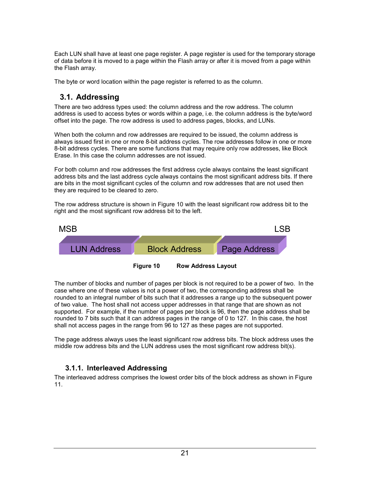<span id="page-24-0"></span>Each LUN shall have at least one page register. A page register is used for the temporary storage of data before it is moved to a page within the Flash array or after it is moved from a page within the Flash array.

The byte or word location within the page register is referred to as the column.

## **3.1. Addressing**

There are two address types used: the column address and the row address. The column address is used to access bytes or words within a page, i.e. the column address is the byte/word offset into the page. The row address is used to address pages, blocks, and LUNs.

When both the column and row addresses are required to be issued, the column address is always issued first in one or more 8-bit address cycles. The row addresses follow in one or more 8-bit address cycles. There are some functions that may require only row addresses, like Block Erase. In this case the column addresses are not issued.

For both column and row addresses the first address cycle always contains the least significant address bits and the last address cycle always contains the most significant address bits. If there are bits in the most significant cycles of the column and row addresses that are not used then they are required to be cleared to zero.

The row address structure is shown in Figure 10 with the least significant row address bit to the right and the most significant row address bit to the left.



The number of blocks and number of pages per block is not required to be a power of two. In the case where one of these values is not a power of two, the corresponding address shall be rounded to an integral number of bits such that it addresses a range up to the subsequent power of two value. The host shall not access upper addresses in that range that are shown as not supported. For example, if the number of pages per block is 96, then the page address shall be rounded to 7 bits such that it can address pages in the range of 0 to 127. In this case, the host

shall not access pages in the range from 96 to 127 as these pages are not supported.

The page address always uses the least significant row address bits. The block address uses the middle row address bits and the LUN address uses the most significant row address bit(s).

### **3.1.1. Interleaved Addressing**

The interleaved address comprises the lowest order bits of the block address as shown in [Figure](#page-25-0)  [11](#page-25-0).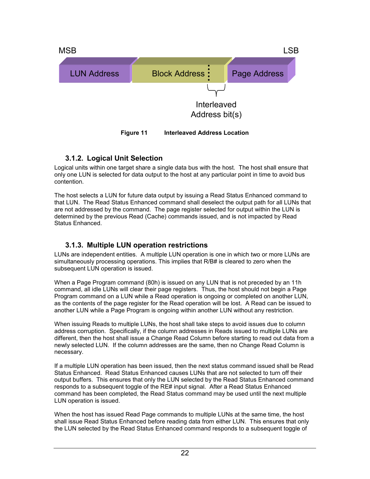<span id="page-25-0"></span>

### **3.1.2. Logical Unit Selection**

Logical units within one target share a single data bus with the host. The host shall ensure that only one LUN is selected for data output to the host at any particular point in time to avoid bus contention.

The host selects a LUN for future data output by issuing a Read Status Enhanced command to that LUN. The Read Status Enhanced command shall deselect the output path for all LUNs that are not addressed by the command. The page register selected for output within the LUN is determined by the previous Read (Cache) commands issued, and is not impacted by Read Status Enhanced.

### **3.1.3. Multiple LUN operation restrictions**

LUNs are independent entities. A multiple LUN operation is one in which two or more LUNs are simultaneously processing operations. This implies that R/B# is cleared to zero when the subsequent LUN operation is issued.

When a Page Program command (80h) is issued on any LUN that is not preceded by an 11h command, all idle LUNs will clear their page registers. Thus, the host should not begin a Page Program command on a LUN while a Read operation is ongoing or completed on another LUN, as the contents of the page register for the Read operation will be lost. A Read can be issued to another LUN while a Page Program is ongoing within another LUN without any restriction.

When issuing Reads to multiple LUNs, the host shall take steps to avoid issues due to column address corruption. Specifically, if the column addresses in Reads issued to multiple LUNs are different, then the host shall issue a Change Read Column before starting to read out data from a newly selected LUN. If the column addresses are the same, then no Change Read Column is necessary.

If a multiple LUN operation has been issued, then the next status command issued shall be Read Status Enhanced. Read Status Enhanced causes LUNs that are not selected to turn off their output buffers. This ensures that only the LUN selected by the Read Status Enhanced command responds to a subsequent toggle of the RE# input signal. After a Read Status Enhanced command has been completed, the Read Status command may be used until the next multiple LUN operation is issued.

When the host has issued Read Page commands to multiple LUNs at the same time, the host shall issue Read Status Enhanced before reading data from either LUN. This ensures that only the LUN selected by the Read Status Enhanced command responds to a subsequent toggle of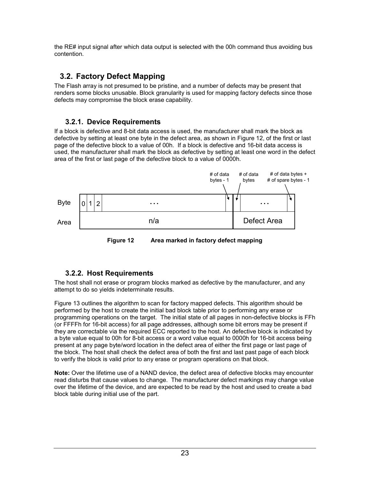<span id="page-26-0"></span>the RE# input signal after which data output is selected with the 00h command thus avoiding bus contention.

# **3.2. Factory Defect Mapping**

The Flash array is not presumed to be pristine, and a number of defects may be present that renders some blocks unusable. Block granularity is used for mapping factory defects since those defects may compromise the block erase capability.

### **3.2.1. Device Requirements**

If a block is defective and 8-bit data access is used, the manufacturer shall mark the block as defective by setting at least one byte in the defect area, as shown in Figure 12, of the first or last page of the defective block to a value of 00h. If a block is defective and 16-bit data access is used, the manufacturer shall mark the block as defective by setting at least one word in the defect area of the first or last page of the defective block to a value of 0000h.



**Figure 12 Area marked in factory defect mapping** 

# **3.2.2. Host Requirements**

The host shall not erase or program blocks marked as defective by the manufacturer, and any attempt to do so yields indeterminate results.

[Figure 13](#page-27-0) outlines the algorithm to scan for factory mapped defects. This algorithm should be performed by the host to create the initial bad block table prior to performing any erase or programming operations on the target. The initial state of all pages in non-defective blocks is FFh (or FFFFh for 16-bit access) for all page addresses, although some bit errors may be present if they are correctable via the required ECC reported to the host. An defective block is indicated by a byte value equal to 00h for 8-bit access or a word value equal to 0000h for 16-bit access being present at any page byte/word location in the defect area of either the first page or last page of the block. The host shall check the defect area of both the first and last past page of each block to verify the block is valid prior to any erase or program operations on that block.

**Note:** Over the lifetime use of a NAND device, the defect area of defective blocks may encounter read disturbs that cause values to change. The manufacturer defect markings may change value over the lifetime of the device, and are expected to be read by the host and used to create a bad block table during initial use of the part.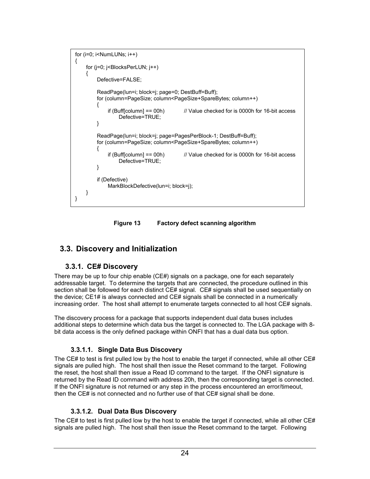```
for (i=0: i< NumLUNs; i++)
{
    for (j=0; j<BlocksPerLUN; j++)
     { 
         Defective=FALSE; 
         ReadPage(lun=i; block=j; page=0; DestBuff=Buff); 
         for (column=PageSize; column<PageSize+SpareBytes; column++) 
         {
             if (Buff[column] == 00h) \frac{1}{2} Value checked for is 0000h for 16-bit access
                 Defective=TRUE; 
        }
         ReadPage(lun=i; block=j; page=PagesPerBlock-1; DestBuff=Buff); 
         for (column=PageSize; column<PageSize+SpareBytes; column++) 
        {
             if (Buff[column] == 00h) // Value checked for is 0000h for 16-bit access
                 Defective=TRUE; 
        }
         if (Defective) 
             MarkBlockDefective(lun=i; block=j); 
     } 
}
```
**Figure 13 Factory defect scanning algorithm** 

# **3.3. Discovery and Initialization**

### **3.3.1. CE# Discovery**

There may be up to four chip enable (CE#) signals on a package, one for each separately addressable target. To determine the targets that are connected, the procedure outlined in this section shall be followed for each distinct CE# signal. CE# signals shall be used sequentially on the device; CE1# is always connected and CE# signals shall be connected in a numerically increasing order. The host shall attempt to enumerate targets connected to all host CE# signals.

The discovery process for a package that supports independent dual data buses includes additional steps to determine which data bus the target is connected to. The LGA package with 8 bit data access is the only defined package within ONFI that has a dual data bus option.

### **3.3.1.1. Single Data Bus Discovery**

The CE# to test is first pulled low by the host to enable the target if connected, while all other CE# signals are pulled high. The host shall then issue the Reset command to the target. Following the reset, the host shall then issue a Read ID command to the target. If the ONFI signature is returned by the Read ID command with address 20h, then the corresponding target is connected. If the ONFI signature is not returned or any step in the process encountered an error/timeout, then the CE# is not connected and no further use of that CE# signal shall be done.

### **3.3.1.2. Dual Data Bus Discovery**

The CE# to test is first pulled low by the host to enable the target if connected, while all other CE# signals are pulled high. The host shall then issue the Reset command to the target. Following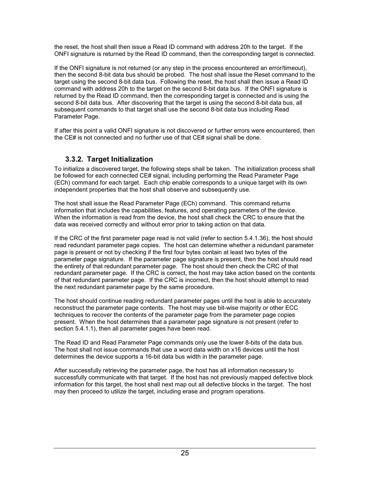<span id="page-28-0"></span>the reset, the host shall then issue a Read ID command with address 20h to the target. If the ONFI signature is returned by the Read ID command, then the corresponding target is connected.

If the ONFI signature is not returned (or any step in the process encountered an error/timeout), then the second 8-bit data bus should be probed. The host shall issue the Reset command to the target using the second 8-bit data bus. Following the reset, the host shall then issue a Read ID command with address 20h to the target on the second 8-bit data bus. If the ONFI signature is returned by the Read ID command, then the corresponding target is connected and is using the second 8-bit data bus. After discovering that the target is using the second 8-bit data bus, all subsequent commands to that target shall use the second 8-bit data bus including Read Parameter Page.

If after this point a valid ONFI signature is not discovered or further errors were encountered, then the CE# is not connected and no further use of that CE# signal shall be done.

### **3.3.2. Target Initialization**

To initialize a discovered target, the following steps shall be taken. The initialization process shall be followed for each connected CE# signal, including performing the Read Parameter Page (ECh) command for each target. Each chip enable corresponds to a unique target with its own independent properties that the host shall observe and subsequently use.

The host shall issue the Read Parameter Page (ECh) command. This command returns information that includes the capabilities, features, and operating parameters of the device. When the information is read from the device, the host shall check the CRC to ensure that the data was received correctly and without error prior to taking action on that data.

If the CRC of the first parameter page read is not valid (refer to section [5.4.1.36\)](#page-55-0), the host should read redundant parameter page copies. The host can determine whether a redundant parameter page is present or not by checking if the first four bytes contain at least two bytes of the parameter page signature. If the parameter page signature is present, then the host should read the entirety of that redundant parameter page. The host should then check the CRC of that redundant parameter page. If the CRC is correct, the host may take action based on the contents of that redundant parameter page. If the CRC is incorrect, then the host should attempt to read the next redundant parameter page by the same procedure.

The host should continue reading redundant parameter pages until the host is able to accurately reconstruct the parameter page contents. The host may use bit-wise majority or other ECC techniques to recover the contents of the parameter page from the parameter page copies present. When the host determines that a parameter page signature is not present (refer to section [5.4.1.1\)](#page-48-0), then all parameter pages have been read.

The Read ID and Read Parameter Page commands only use the lower 8-bits of the data bus. The host shall not issue commands that use a word data width on x16 devices until the host determines the device supports a 16-bit data bus width in the parameter page.

After successfully retrieving the parameter page, the host has all information necessary to successfully communicate with that target. If the host has not previously mapped defective block information for this target, the host shall next map out all defective blocks in the target. The host may then proceed to utilize the target, including erase and program operations.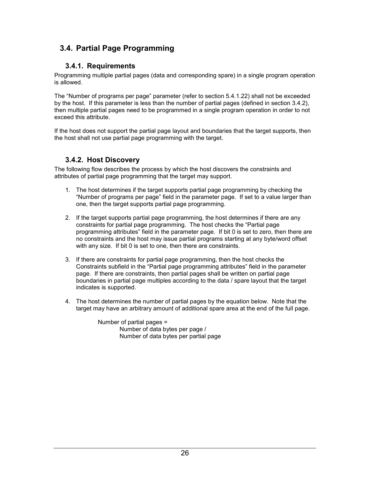# <span id="page-29-0"></span>**3.4. Partial Page Programming**

### **3.4.1. Requirements**

Programming multiple partial pages (data and corresponding spare) in a single program operation is allowed.

The "Number of programs per page" parameter (refer to section [5.4.1.22\)](#page-51-0) shall not be exceeded by the host. If this parameter is less than the number of partial pages (defined in section 3.4.2), then multiple partial pages need to be programmed in a single program operation in order to not exceed this attribute.

If the host does not support the partial page layout and boundaries that the target supports, then the host shall not use partial page programming with the target.

### **3.4.2. Host Discovery**

The following flow describes the process by which the host discovers the constraints and attributes of partial page programming that the target may support.

- 1. The host determines if the target supports partial page programming by checking the "Number of programs per page" field in the parameter page. If set to a value larger than one, then the target supports partial page programming.
- 2. If the target supports partial page programming, the host determines if there are any constraints for partial page programming. The host checks the "Partial page programming attributes" field in the parameter page. If bit 0 is set to zero, then there are no constraints and the host may issue partial programs starting at any byte/word offset with any size. If bit 0 is set to one, then there are constraints.
- 3. If there are constraints for partial page programming, then the host checks the Constraints subfield in the "Partial page programming attributes" field in the parameter page. If there are constraints, then partial pages shall be written on partial page boundaries in partial page multiples according to the data / spare layout that the target indicates is supported.
- 4. The host determines the number of partial pages by the equation below. Note that the target may have an arbitrary amount of additional spare area at the end of the full page.

Number of partial pages = Number of data bytes per page / Number of data bytes per partial page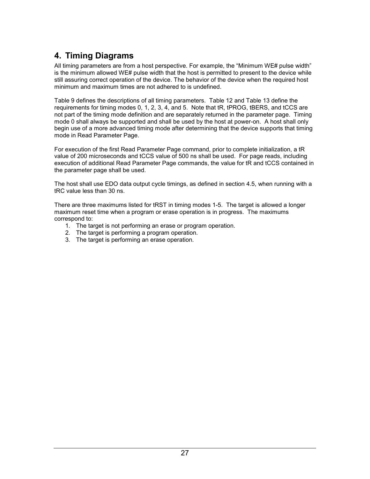# <span id="page-30-0"></span>**4. Timing Diagrams**

All timing parameters are from a host perspective. For example, the "Minimum WE# pulse width" is the minimum allowed WE# pulse width that the host is permitted to present to the device while still assuring correct operation of the device. The behavior of the device when the required host minimum and maximum times are not adhered to is undefined.

[Table 9](#page-31-0) defines the descriptions of all timing parameters. [Table 12](#page-33-0) and [Table 13](#page-34-0) define the requirements for timing modes 0, 1, 2, 3, 4, and 5. Note that tR, tPROG, tBERS, and tCCS are not part of the timing mode definition and are separately returned in the parameter page. Timing mode 0 shall always be supported and shall be used by the host at power-on. A host shall only begin use of a more advanced timing mode after determining that the device supports that timing mode in Read Parameter Page.

For execution of the first Read Parameter Page command, prior to complete initialization, a tR value of 200 microseconds and tCCS value of 500 ns shall be used. For page reads, including execution of additional Read Parameter Page commands, the value for tR and tCCS contained in the parameter page shall be used.

The host shall use EDO data output cycle timings, as defined in section [4.5,](#page-39-0) when running with a tRC value less than 30 ns.

There are three maximums listed for tRST in timing modes 1-5. The target is allowed a longer maximum reset time when a program or erase operation is in progress. The maximums correspond to:

- 1. The target is not performing an erase or program operation.
- 2. The target is performing a program operation.
- 3. The target is performing an erase operation.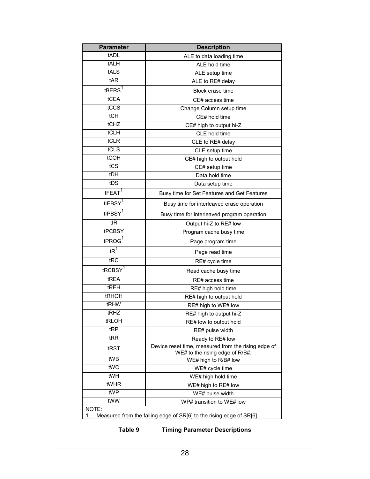<span id="page-31-0"></span>

| <b>Parameter</b>                                                                    | <b>Description</b>                                                                     |  |  |  |  |  |
|-------------------------------------------------------------------------------------|----------------------------------------------------------------------------------------|--|--|--|--|--|
| tADL                                                                                | ALE to data loading time                                                               |  |  |  |  |  |
| tALH                                                                                | ALE hold time                                                                          |  |  |  |  |  |
| tALS                                                                                | ALE setup time                                                                         |  |  |  |  |  |
| tAR                                                                                 | ALE to RE# delay                                                                       |  |  |  |  |  |
| tBERS <sup>1</sup>                                                                  | Block erase time                                                                       |  |  |  |  |  |
| tCEA                                                                                | CE# access time                                                                        |  |  |  |  |  |
| tCCS                                                                                | Change Column setup time                                                               |  |  |  |  |  |
| tCH                                                                                 | CE# hold time                                                                          |  |  |  |  |  |
| tCHZ                                                                                | CE# high to output hi-Z                                                                |  |  |  |  |  |
| tCLH                                                                                | CLE hold time                                                                          |  |  |  |  |  |
| tCLR                                                                                | CLE to RE# delay                                                                       |  |  |  |  |  |
| tCLS                                                                                | CLE setup time                                                                         |  |  |  |  |  |
| tCOH                                                                                | CE# high to output hold                                                                |  |  |  |  |  |
| tCS                                                                                 | CE# setup time                                                                         |  |  |  |  |  |
| tDH                                                                                 | Data hold time                                                                         |  |  |  |  |  |
| tDS                                                                                 | Data setup time                                                                        |  |  |  |  |  |
| tFEAT <sup>1</sup>                                                                  | Busy time for Set Features and Get Features                                            |  |  |  |  |  |
| tIEBSY <sup>1</sup>                                                                 | Busy time for interleaved erase operation                                              |  |  |  |  |  |
| tIPBSY <sup>1</sup>                                                                 | Busy time for interleaved program operation                                            |  |  |  |  |  |
| tIR                                                                                 | Output hi-Z to RE# low                                                                 |  |  |  |  |  |
| tPCBSY                                                                              | Program cache busy time                                                                |  |  |  |  |  |
| tPROG <sup>1</sup>                                                                  | Page program time                                                                      |  |  |  |  |  |
| $tR^1$                                                                              | Page read time                                                                         |  |  |  |  |  |
| tRC                                                                                 | RE# cycle time                                                                         |  |  |  |  |  |
| tRCBSY <sup>1</sup>                                                                 | Read cache busy time                                                                   |  |  |  |  |  |
| tREA                                                                                | RE# access time                                                                        |  |  |  |  |  |
| tREH                                                                                | RE# high hold time                                                                     |  |  |  |  |  |
| tRHOH                                                                               | RE# high to output hold                                                                |  |  |  |  |  |
| tRHW                                                                                | RE# high to WE# low                                                                    |  |  |  |  |  |
| tRHZ                                                                                | RE# high to output hi-Z                                                                |  |  |  |  |  |
| tRLOH                                                                               | RE# low to output hold                                                                 |  |  |  |  |  |
| tRP                                                                                 | RE# pulse width                                                                        |  |  |  |  |  |
| tRR                                                                                 | Ready to RE# low                                                                       |  |  |  |  |  |
| tRST                                                                                | Device reset time, measured from the rising edge of<br>WE# to the rising edge of R/B#. |  |  |  |  |  |
| tWB                                                                                 | WE# high to R/B# low                                                                   |  |  |  |  |  |
| tWC                                                                                 | WE# cycle time                                                                         |  |  |  |  |  |
| tWH                                                                                 | WE# high hold time                                                                     |  |  |  |  |  |
| tWHR                                                                                | WE# high to RE# low                                                                    |  |  |  |  |  |
| tWP                                                                                 | WE# pulse width                                                                        |  |  |  |  |  |
| tWW                                                                                 | WP# transition to WE# low                                                              |  |  |  |  |  |
| NOTE:<br>Measured from the falling edge of SR[6] to the rising edge of SR[6].<br>1. |                                                                                        |  |  |  |  |  |

**Table 9 Timing Parameter Descriptions**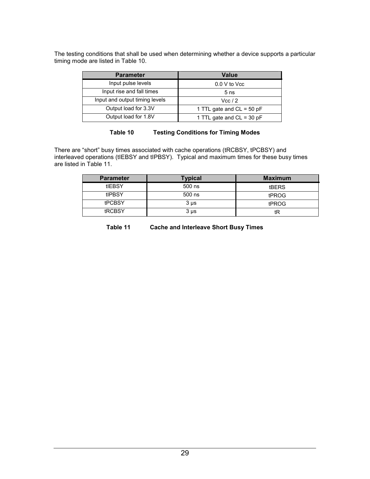The testing conditions that shall be used when determining whether a device supports a particular timing mode are listed in Table 10.

| <b>Parameter</b>               | Value                       |
|--------------------------------|-----------------------------|
| Input pulse levels             | 0.0 V to Vcc                |
| Input rise and fall times      | 5 <sub>ns</sub>             |
| Input and output timing levels | Vec/2                       |
| Output load for 3.3V           | 1 TTL gate and $CL = 50$ pF |
| Output load for 1.8V           | 1 TTL gate and CL = 30 pF   |

#### **Table 10 Testing Conditions for Timing Modes**

There are "short" busy times associated with cache operations (tRCBSY, tPCBSY) and interleaved operations (tIEBSY and tIPBSY). Typical and maximum times for these busy times are listed in Table 11.

| <b>Parameter</b> | Typical   | <b>Maximum</b> |
|------------------|-----------|----------------|
| tIEBSY           | 500 ns    | <b>tBERS</b>   |
| tIPBSY           | 500 ns    | tPROG          |
| <b>tPCBSY</b>    | $3 \mu s$ | tPROG          |
| tRCBSY           | $3 \mu s$ | tR             |

**Table 11 Cache and Interleave Short Busy Times**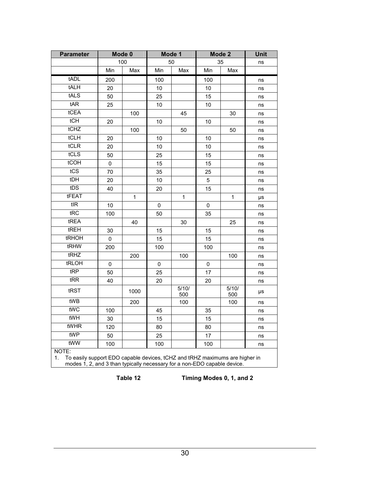<span id="page-33-0"></span>

| <b>Parameter</b>                                                                                                                                                       |     | Mode 0       | Mode 1 |              | Mode 2 |              | <b>Unit</b> |
|------------------------------------------------------------------------------------------------------------------------------------------------------------------------|-----|--------------|--------|--------------|--------|--------------|-------------|
|                                                                                                                                                                        |     | 100          |        | 50           | 35     |              | ns          |
|                                                                                                                                                                        | Min | Max          | Min    | Max          | Min    | Max          |             |
| tADL                                                                                                                                                                   | 200 |              | 100    |              | 100    |              | ns          |
| tALH                                                                                                                                                                   | 20  |              | 10     |              | 10     |              | ns          |
| tALS                                                                                                                                                                   | 50  |              | 25     |              | 15     |              | ns          |
| tAR                                                                                                                                                                    | 25  |              | 10     |              | 10     |              | ns          |
| tCEA                                                                                                                                                                   |     | 100          |        | 45           |        | 30           | ns          |
| tCH                                                                                                                                                                    | 20  |              | 10     |              | 10     |              | ns          |
| tCHZ                                                                                                                                                                   |     | 100          |        | 50           |        | 50           | ns          |
| tCLH                                                                                                                                                                   | 20  |              | 10     |              | 10     |              | ns          |
| tCLR                                                                                                                                                                   | 20  |              | 10     |              | 10     |              | ns          |
| tCLS                                                                                                                                                                   | 50  |              | 25     |              | 15     |              | ns          |
| tCOH                                                                                                                                                                   | 0   |              | 15     |              | 15     |              | ns          |
| tCS                                                                                                                                                                    | 70  |              | 35     |              | 25     |              | ns          |
| tDH                                                                                                                                                                    | 20  |              | 10     |              | 5      |              | ns          |
| tDS                                                                                                                                                                    | 40  |              | 20     |              | 15     |              | ns          |
| tFEAT                                                                                                                                                                  |     | $\mathbf{1}$ |        | $\mathbf{1}$ |        | $\mathbf{1}$ | μs          |
| $t$ <sub>IR</sub>                                                                                                                                                      | 10  |              | 0      |              | 0      |              | ns          |
| tRC                                                                                                                                                                    | 100 |              | 50     |              | 35     |              | ns          |
| tREA                                                                                                                                                                   |     | 40           |        | 30           |        | 25           | ns          |
| tREH                                                                                                                                                                   | 30  |              | 15     |              | 15     |              | ns          |
| tRHOH                                                                                                                                                                  | 0   |              | 15     |              | 15     |              | ns          |
| tRHW                                                                                                                                                                   | 200 |              | 100    |              | 100    |              | ns          |
| tRHZ                                                                                                                                                                   |     | 200          |        | 100          |        | 100          | ns          |
| tRLOH                                                                                                                                                                  | 0   |              | 0      |              | 0      |              | ns          |
| tRP                                                                                                                                                                    | 50  |              | 25     |              | 17     |              | ns          |
| tRR                                                                                                                                                                    | 40  |              | 20     |              | 20     |              | ns          |
| tRST                                                                                                                                                                   |     | 1000         |        | 5/10/<br>500 |        | 5/10/<br>500 | μs          |
| tWB                                                                                                                                                                    |     | 200          |        | 100          |        | 100          | ns          |
| tWC                                                                                                                                                                    | 100 |              | 45     |              | 35     |              | ns          |
| tWH                                                                                                                                                                    | 30  |              | 15     |              | 15     |              | ns          |
| tWHR                                                                                                                                                                   | 120 |              | 80     |              | 80     |              | ns          |
| tWP                                                                                                                                                                    | 50  |              | 25     |              | 17     |              | ns          |
| tWW                                                                                                                                                                    | 100 |              | 100    |              | 100    |              | ns          |
| NOTE:<br>To easily support EDO capable devices, tCHZ and tRHZ maximums are higher in<br>1.<br>modes 1, 2, and 3 than typically necessary for a non-EDO capable device. |     |              |        |              |        |              |             |

**Table 12 Timing Modes 0, 1, and 2**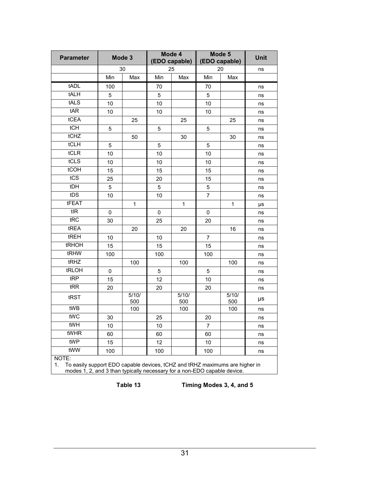<span id="page-34-0"></span>

| <b>Parameter</b>                                                                                                                                                       |     | Mode 3       | Mode 4<br>(EDO capable) |              | Mode 5<br>(EDO capable) | <b>Unit</b>  |    |
|------------------------------------------------------------------------------------------------------------------------------------------------------------------------|-----|--------------|-------------------------|--------------|-------------------------|--------------|----|
|                                                                                                                                                                        |     | 30           |                         | 25           |                         | 20           | ns |
|                                                                                                                                                                        | Min | Max          | Min                     | Max          | Min                     | Max          |    |
| tADL                                                                                                                                                                   | 100 |              | 70                      |              | 70                      |              | ns |
| tALH                                                                                                                                                                   | 5   |              | 5                       |              | 5                       |              | ns |
| tALS                                                                                                                                                                   | 10  |              | 10                      |              | 10                      |              | ns |
| tAR                                                                                                                                                                    | 10  |              | 10                      |              | 10                      |              | ns |
| tCEA                                                                                                                                                                   |     | 25           |                         | 25           |                         | 25           | ns |
| tCH                                                                                                                                                                    | 5   |              | 5                       |              | 5                       |              | ns |
| tCHZ                                                                                                                                                                   |     | 50           |                         | 30           |                         | 30           | ns |
| tCLH                                                                                                                                                                   | 5   |              | 5                       |              | 5                       |              | ns |
| tCLR                                                                                                                                                                   | 10  |              | 10                      |              | 10                      |              | ns |
| tCLS                                                                                                                                                                   | 10  |              | 10                      |              | 10                      |              | ns |
| tCOH                                                                                                                                                                   | 15  |              | 15                      |              | 15                      |              | ns |
| tCS                                                                                                                                                                    | 25  |              | 20                      |              | 15                      |              | ns |
| tDH                                                                                                                                                                    | 5   |              | 5                       |              | 5                       |              | ns |
| tDS                                                                                                                                                                    | 10  |              | 10                      |              | $\overline{7}$          |              | ns |
| tFEAT                                                                                                                                                                  |     | 1            |                         | 1            |                         | $\mathbf{1}$ | μs |
| tIR                                                                                                                                                                    | 0   |              | 0                       |              | 0                       |              | ns |
| tRC                                                                                                                                                                    | 30  |              | 25                      |              | 20                      |              | ns |
| tREA                                                                                                                                                                   |     | 20           |                         | 20           |                         | 16           | ns |
| tREH                                                                                                                                                                   | 10  |              | 10                      |              | $\overline{7}$          |              | ns |
| tRHOH                                                                                                                                                                  | 15  |              | 15                      |              | 15                      |              | ns |
| tRHW                                                                                                                                                                   | 100 |              | 100                     |              | 100                     |              | ns |
| tRHZ                                                                                                                                                                   |     | 100          |                         | 100          |                         | 100          | ns |
| tRLOH                                                                                                                                                                  | 0   |              | 5                       |              | 5                       |              | ns |
| tRP                                                                                                                                                                    | 15  |              | 12                      |              | 10                      |              | ns |
| tRR                                                                                                                                                                    | 20  |              | 20                      |              | 20                      |              | ns |
| tRST                                                                                                                                                                   |     | 5/10/<br>500 |                         | 5/10/<br>500 |                         | 5/10/<br>500 | μs |
| tWB                                                                                                                                                                    |     | 100          |                         | 100          |                         | 100          | ns |
| tWC                                                                                                                                                                    | 30  |              | 25                      |              | 20                      |              | ns |
| tWH                                                                                                                                                                    | 10  |              | 10                      |              | 7                       |              | ns |
| tWHR                                                                                                                                                                   | 60  |              | 60                      |              | 60                      |              | ns |
| tWP                                                                                                                                                                    | 15  |              | 12                      |              | $10$                    |              | ns |
| tWW                                                                                                                                                                    | 100 |              | 100                     |              | 100                     |              | ns |
| NOTE:<br>To easily support EDO capable devices, tCHZ and tRHZ maximums are higher in<br>1.<br>modes 1, 2, and 3 than typically necessary for a non-EDO capable device. |     |              |                         |              |                         |              |    |

**Table 13 Timing Modes 3, 4, and 5**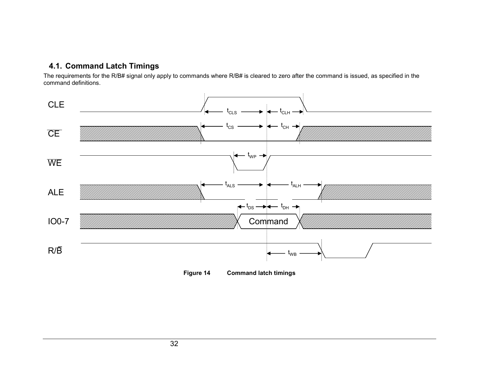### <span id="page-35-0"></span>**4.1. Command Latch Timings**

The requirements for the R/B# signal only apply to commands where R/B# is cleared to zero after the command is issued, as specified in the command definitions.



**Figure 14 Command latch timings**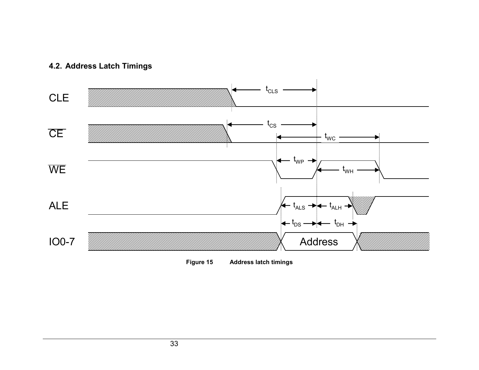## **4.2. Address Latch Timings**



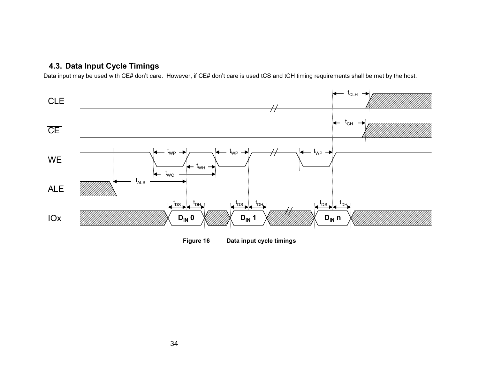## **4.3. Data Input Cycle Timings**

Data input may be used with CE# don't care. However, if CE# don't care is used tCS and tCH timing requirements shall be met by the host.



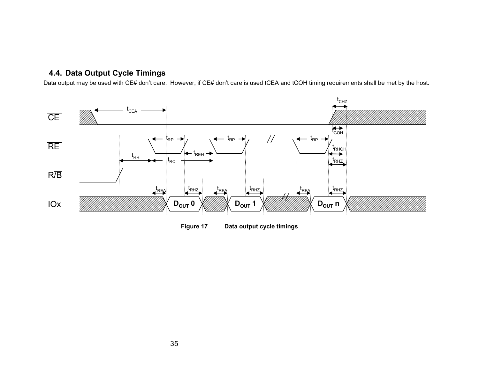## **4.4. Data Output Cycle Timings**

Data output may be used with CE# don't care. However, if CE# don't care is used tCEA and tCOH timing requirements shall be met by the host.



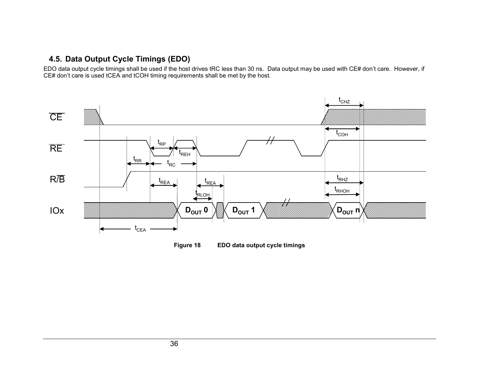## **4.5. Data Output Cycle Timings (EDO)**

EDO data output cycle timings shall be used if the host drives tRC less than 30 ns. Data output may be used with CE# don't care. However, if CE# don't care is used tCEA and tCOH timing requirements shall be met by the host.



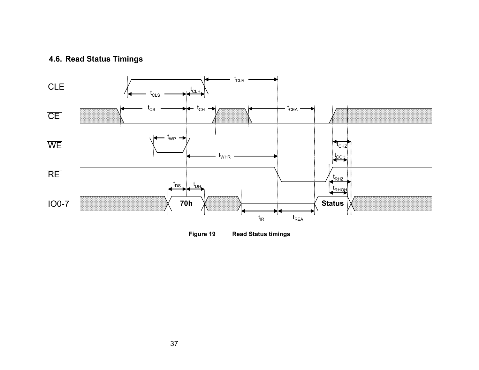## **4.6. Read Status Timings**



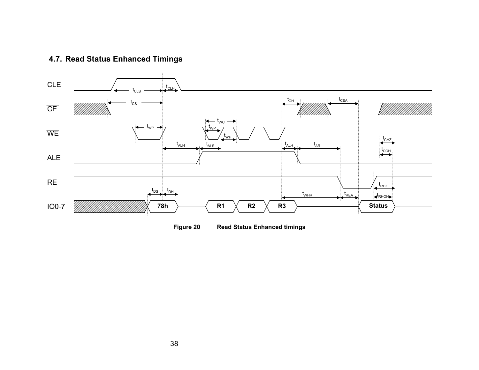## **4.7. Read Status Enhanced Timings**



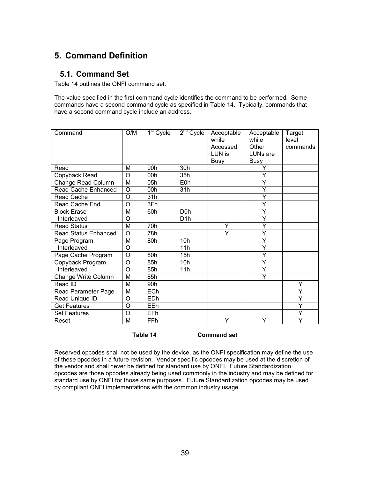# **5. Command Definition**

## **5.1. Command Set**

Table 14 outlines the ONFI command set.

The value specified in the first command cycle identifies the command to be performed. Some commands have a second command cycle as specified in Table 14. Typically, commands that have a second command cycle include an address.

| Command                     | O/M            | $\overline{1^{\text{st}}}$ Cycle | $2nd$ Cycle      | Acceptable<br>while<br>Accessed | Acceptable<br>while<br>Other | Target<br>level<br>commands |
|-----------------------------|----------------|----------------------------------|------------------|---------------------------------|------------------------------|-----------------------------|
|                             |                |                                  |                  | LUN is                          | LUNs are                     |                             |
|                             |                |                                  |                  | <b>Busy</b>                     | <b>Busy</b>                  |                             |
| Read                        | М              | 00h                              | 30h              |                                 | Y                            |                             |
| Copyback Read               | O              | 00h                              | 35h              |                                 | Y                            |                             |
| Change Read Column          | M              | 05h                              | E0h              |                                 | Y                            |                             |
| Read Cache Enhanced         | O              | 00h                              | 31h              |                                 | Y                            |                             |
| Read Cache                  | O              | 31h                              |                  |                                 | Ý                            |                             |
| Read Cache End              | Ō              | 3Fh                              |                  |                                 | Ý                            |                             |
| <b>Block Erase</b>          | M              | 60h                              | D <sub>0</sub> h |                                 | Y                            |                             |
| Interleaved                 | O              |                                  | D <sub>1</sub> h |                                 | Y                            |                             |
| <b>Read Status</b>          | M              | 70h                              |                  | Y                               | Ý                            |                             |
| <b>Read Status Enhanced</b> | O              | 78h                              |                  | Y                               | Ý                            |                             |
| Page Program                | M              | 80h                              | 10 <sub>h</sub>  |                                 | Y                            |                             |
| Interleaved                 | O              |                                  | 11h              |                                 | Ý                            |                             |
| Page Cache Program          | $\overline{O}$ | 80h                              | 15h              |                                 | Ý                            |                             |
| Copyback Program            | O              | 85h                              | 10h              |                                 | Ý                            |                             |
| Interleaved                 | Ω              | 85h                              | 11h              |                                 | Y                            |                             |
| Change Write Column         | M              | 85h                              |                  |                                 | Y                            |                             |
| Read ID                     | М              | 90h                              |                  |                                 |                              | Υ                           |
| Read Parameter Page         | M              | ECh                              |                  |                                 |                              | Ÿ                           |
| Read Unique ID              | O              | EDh                              |                  |                                 |                              | Ÿ                           |
| <b>Get Features</b>         | O              | EEh                              |                  |                                 |                              | Ÿ                           |
| <b>Set Features</b>         | O              | EFh                              |                  |                                 |                              | Y                           |
| Reset                       | M              | FFh                              |                  | Ÿ                               | Ÿ                            | Ÿ                           |

**Table 14 Command set** 

Reserved opcodes shall not be used by the device, as the ONFI specification may define the use of these opcodes in a future revision. Vendor specific opcodes may be used at the discretion of the vendor and shall never be defined for standard use by ONFI. Future Standardization opcodes are those opcodes already being used commonly in the industry and may be defined for standard use by ONFI for those same purposes. Future Standardization opcodes may be used by compliant ONFI implementations with the common industry usage.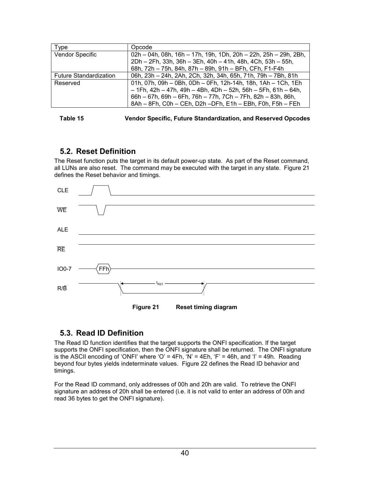| <b>vpe</b>                    | Opcode                                                          |
|-------------------------------|-----------------------------------------------------------------|
| Vendor Specific               | 02h - 04h, 08h, 16h - 17h, 19h, 1Dh, 20h - 22h, 25h - 29h, 2Bh, |
|                               | 2Dh - 2Fh, 33h, 36h - 3Eh, 40h - 41h, 48h, 4Ch, 53h - 55h,      |
|                               | 68h, 72h - 75h, 84h, 87h - 89h, 91h - BFh, CFh, F1-F4h          |
| <b>Future Standardization</b> | 06h, 23h - 24h, 2Ah, 2Ch, 32h, 34h, 65h, 71h, 79h - 7Bh, 81h    |
| Reserved                      | 01h, 07h, 09h - 0Bh, 0Dh - 0Fh, 12h-14h, 18h, 1Ah - 1Ch, 1Eh    |
|                               | $-1$ Fh, 42h - 47h, 49h - 4Bh, 4Dh - 52h, 56h - 5Fh, 61h - 64h, |
|                               | 66h - 67h, 69h - 6Fh, 76h - 77h, 7Ch - 7Fh, 82h - 83h, 86h,     |
|                               | 8Ah - 8Fh, C0h - CEh, D2h - DFh, E1h - EBh, F0h, F5h - FEh      |

| Table 15 | <b>Vendor Specific, Future Standardization, and Reserved Opcodes</b> |  |
|----------|----------------------------------------------------------------------|--|

## **5.2. Reset Definition**

The Reset function puts the target in its default power-up state. As part of the Reset command, all LUNs are also reset. The command may be executed with the target in any state. Figure 21 defines the Reset behavior and timings.



## **5.3. Read ID Definition**

The Read ID function identifies that the target supports the ONFI specification. If the target supports the ONFI specification, then the ONFI signature shall be returned. The ONFI signature is the ASCII encoding of 'ONFI' where 'O' = 4Fh, 'N' = 4Eh, 'F' = 46h, and 'I' = 49h. Reading beyond four bytes yields indeterminate values. [Figure 22](#page-44-0) defines the Read ID behavior and timings.

For the Read ID command, only addresses of 00h and 20h are valid. To retrieve the ONFI signature an address of 20h shall be entered (i.e. it is not valid to enter an address of 00h and read 36 bytes to get the ONFI signature).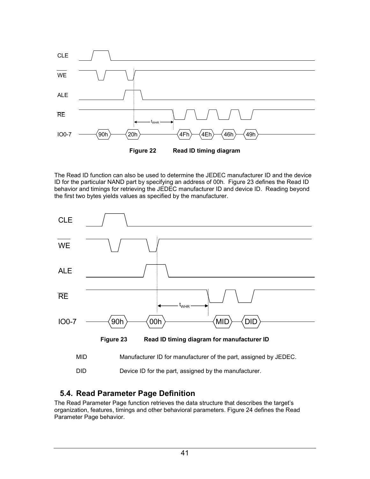<span id="page-44-0"></span>

The Read ID function can also be used to determine the JEDEC manufacturer ID and the device ID for the particular NAND part by specifying an address of 00h. Figure 23 defines the Read ID behavior and timings for retrieving the JEDEC manufacturer ID and device ID. Reading beyond the first two bytes yields values as specified by the manufacturer.



DID Device ID for the part, assigned by the manufacturer.

## **5.4. Read Parameter Page Definition**

The Read Parameter Page function retrieves the data structure that describes the target's organization, features, timings and other behavioral parameters. [Figure 24](#page-45-0) defines the Read Parameter Page behavior.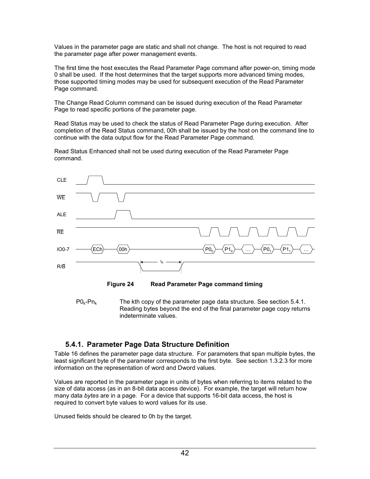<span id="page-45-0"></span>Values in the parameter page are static and shall not change. The host is not required to read the parameter page after power management events.

The first time the host executes the Read Parameter Page command after power-on, timing mode 0 shall be used. If the host determines that the target supports more advanced timing modes, those supported timing modes may be used for subsequent execution of the Read Parameter Page command.

The Change Read Column command can be issued during execution of the Read Parameter Page to read specific portions of the parameter page.

Read Status may be used to check the status of Read Parameter Page during execution. After completion of the Read Status command, 00h shall be issued by the host on the command line to continue with the data output flow for the Read Parameter Page command.

Read Status Enhanced shall not be used during execution of the Read Parameter Page command.



**Figure 24 Read Parameter Page command timing** 

 $P0_{k}-Pn_{k}$  The kth copy of the parameter page data structure. See section 5.4.1. Reading bytes beyond the end of the final parameter page copy returns indeterminate values.

## **5.4.1. Parameter Page Data Structure Definition**

[Table 16](#page-48-0) defines the parameter page data structure. For parameters that span multiple bytes, the least significant byte of the parameter corresponds to the first byte. See section [1.3.2.3](#page-7-0) for more information on the representation of word and Dword values.

Values are reported in the parameter page in units of bytes when referring to items related to the size of data access (as in an 8-bit data access device). For example, the target will return how many data *bytes* are in a page. For a device that supports 16-bit data access, the host is required to convert byte values to word values for its use.

Unused fields should be cleared to 0h by the target.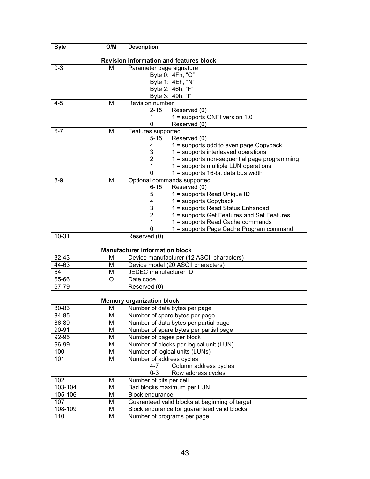| <b>Byte</b> | O/M                     | <b>Description</b>                                                              |
|-------------|-------------------------|---------------------------------------------------------------------------------|
|             |                         |                                                                                 |
|             |                         | <b>Revision information and features block</b>                                  |
| $0 - 3$     | M                       | Parameter page signature                                                        |
|             |                         | Byte 0: 4Fh, "O"                                                                |
|             |                         | Byte 1: 4Eh, "N"                                                                |
|             |                         | Byte 2: 46h, "F"                                                                |
|             | M                       | Byte 3: 49h, "I"<br>Revision number                                             |
| $4 - 5$     |                         | $2 - 15$<br>Reserved (0)                                                        |
|             |                         | $1 =$ supports ONFI version 1.0<br>1                                            |
|             |                         | Reserved (0)<br>0                                                               |
| $6 - 7$     | M                       | Features supported                                                              |
|             |                         | $5 - 15$<br>Reserved (0)                                                        |
|             |                         | 4<br>1 = supports odd to even page Copyback                                     |
|             |                         | 3<br>1 = supports interleaved operations                                        |
|             |                         | $\overline{2}$<br>1 = supports non-sequential page programming                  |
|             |                         | 1<br>1 = supports multiple LUN operations                                       |
|             |                         | 0<br>$1 =$ supports 16-bit data bus width                                       |
| $8 - 9$     | M                       | Optional commands supported                                                     |
|             |                         | $6 - 15$<br>Reserved (0)                                                        |
|             |                         | 5<br>1 = supports Read Unique ID                                                |
|             |                         | $1 =$ supports Copyback<br>4                                                    |
|             |                         | 3<br>1 = supports Read Status Enhanced                                          |
|             |                         | $\overline{2}$<br>1 = supports Get Features and Set Features                    |
|             |                         | 1 = supports Read Cache commands<br>1                                           |
|             |                         | 1 = supports Page Cache Program command<br>0                                    |
| $10 - 31$   |                         | Reserved (0)                                                                    |
|             |                         |                                                                                 |
| $32 - 43$   | M                       | <b>Manufacturer information block</b>                                           |
| 44-63       | M                       | Device manufacturer (12 ASCII characters)<br>Device model (20 ASCII characters) |
| 64          | M                       | JEDEC manufacturer ID                                                           |
| 65-66       | O                       | Date code                                                                       |
| 67-79       |                         | Reserved (0)                                                                    |
|             |                         |                                                                                 |
|             |                         | <b>Memory organization block</b>                                                |
| 80-83       | M                       | Number of data bytes per page                                                   |
| $84 - 85$   | $\overline{\mathsf{M}}$ | Number of spare bytes per page                                                  |
| 86-89       | M                       | Number of data bytes per partial page                                           |
| 90-91       | M                       | Number of spare bytes per partial page                                          |
| $92 - 95$   | M                       | Number of pages per block                                                       |
| 96-99       | M                       | Number of blocks per logical unit (LUN)                                         |
| 100         | M                       | Number of logical units (LUNs)                                                  |
| 101         | M                       | Number of address cycles                                                        |
|             |                         | $4 - 7$<br>Column address cycles                                                |
|             |                         | $0 - 3$<br>Row address cycles                                                   |
| 102         | M                       | Number of bits per cell                                                         |
| 103-104     | M                       | Bad blocks maximum per LUN                                                      |
| 105-106     | M                       | <b>Block endurance</b>                                                          |
| 107         | M                       | Guaranteed valid blocks at beginning of target                                  |
| 108-109     | M                       | Block endurance for guaranteed valid blocks                                     |
| 110         | M                       | Number of programs per page                                                     |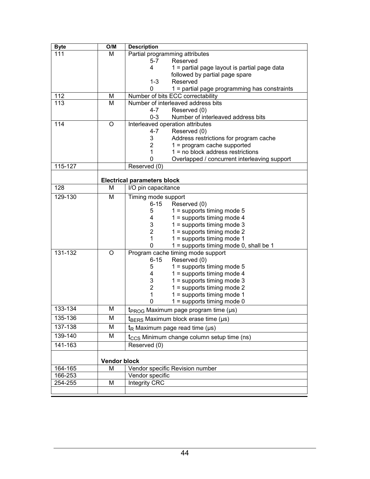| <b>Byte</b> | O/M                 | <b>Description</b>                                            |
|-------------|---------------------|---------------------------------------------------------------|
| 111         | M                   | Partial programming attributes                                |
|             |                     | $5 - 7$<br>Reserved                                           |
|             |                     | 4<br>$1$ = partial page layout is partial page data           |
|             |                     | followed by partial page spare                                |
|             |                     | $1 - 3$<br>Reserved                                           |
|             |                     | $1$ = partial page programming has constraints<br>0           |
| 112         | M                   | Number of bits ECC correctability                             |
| 113         | M                   | Number of interleaved address bits                            |
|             |                     | $4 - 7$<br>Reserved (0)<br>Number of interleaved address bits |
| 114         | O                   | $0 - 3$<br>Interleaved operation attributes                   |
|             |                     | 4-7<br>Reserved (0)                                           |
|             |                     | 3<br>Address restrictions for program cache                   |
|             |                     | 2<br>$1 = program cache supported$                            |
|             |                     | $1 = no block address restrictions$<br>1                      |
|             |                     | 0<br>Overlapped / concurrent interleaving support             |
| 115-127     |                     | Reserved (0)                                                  |
|             |                     |                                                               |
|             |                     | <b>Electrical parameters block</b>                            |
| 128         | M                   | I/O pin capacitance                                           |
| 129-130     | M                   | Timing mode support                                           |
|             |                     | $6 - 15$<br>Reserved (0)                                      |
|             |                     | $1 =$ supports timing mode 5<br>5                             |
|             |                     | $1 =$ supports timing mode 4<br>4                             |
|             |                     | 3<br>$1 =$ supports timing mode 3                             |
|             |                     | $\overline{2}$<br>$1 =$ supports timing mode 2                |
|             |                     | 1<br>$1 =$ supports timing mode 1                             |
|             |                     | $\Omega$<br>$1 =$ supports timing mode 0, shall be 1          |
| 131-132     | O                   | Program cache timing mode support<br>$6 - 15$                 |
|             |                     | Reserved (0)<br>5<br>$1 =$ supports timing mode 5             |
|             |                     | $1 =$ supports timing mode 4<br>4                             |
|             |                     | $1 =$ supports timing mode 3<br>3                             |
|             |                     | $\overline{2}$<br>$1 =$ supports timing mode 2                |
|             |                     | 1<br>$1 =$ supports timing mode 1                             |
|             |                     | $1 =$ supports timing mode 0<br>O                             |
| 133-134     | M                   | $t_{PROG}$ Maximum page program time ( $\mu s$ )              |
| 135-136     | M                   | $t_{BFRS}$ Maximum block erase time ( $\mu s$ )               |
| 137-138     | М                   | $tR$ Maximum page read time ( $\mu s$ )                       |
| 139-140     | M                   | $t_{\text{CCS}}$ Minimum change column setup time (ns)        |
| 141-163     |                     | Reserved (0)                                                  |
|             |                     |                                                               |
|             | <b>Vendor block</b> |                                                               |
| $164 - 165$ | м                   | Vendor specific Revision number                               |
| 166-253     |                     | Vendor specific                                               |
| 254-255     | M                   | Integrity CRC                                                 |
|             |                     |                                                               |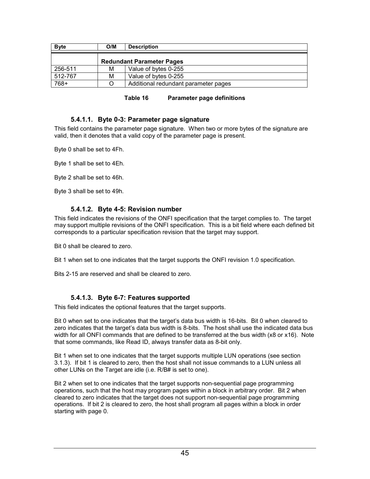<span id="page-48-0"></span>

| <b>Byte</b> | O/M | <b>Description</b>                   |
|-------------|-----|--------------------------------------|
|             |     | <b>Redundant Parameter Pages</b>     |
| 256-511     | M   | Value of bytes 0-255                 |
| 512-767     | М   | Value of bytes 0-255                 |
| 768+        |     | Additional redundant parameter pages |

| Table 16 | <b>Parameter page definitions</b> |
|----------|-----------------------------------|
|----------|-----------------------------------|

#### **5.4.1.1. Byte 0-3: Parameter page signature**

This field contains the parameter page signature. When two or more bytes of the signature are valid, then it denotes that a valid copy of the parameter page is present.

Byte 0 shall be set to 4Fh.

Byte 1 shall be set to 4Eh.

Byte 2 shall be set to 46h.

Byte 3 shall be set to 49h.

#### **5.4.1.2. Byte 4-5: Revision number**

This field indicates the revisions of the ONFI specification that the target complies to. The target may support multiple revisions of the ONFI specification. This is a bit field where each defined bit corresponds to a particular specification revision that the target may support.

Bit 0 shall be cleared to zero.

Bit 1 when set to one indicates that the target supports the ONFI revision 1.0 specification.

Bits 2-15 are reserved and shall be cleared to zero.

#### **5.4.1.3. Byte 6-7: Features supported**

This field indicates the optional features that the target supports.

Bit 0 when set to one indicates that the target's data bus width is 16-bits. Bit 0 when cleared to zero indicates that the target's data bus width is 8-bits. The host shall use the indicated data bus width for all ONFI commands that are defined to be transferred at the bus width (x8 or x16). Note that some commands, like Read ID, always transfer data as 8-bit only.

Bit 1 when set to one indicates that the target supports multiple LUN operations (see section [3.1.3](#page-25-0)). If bit 1 is cleared to zero, then the host shall not issue commands to a LUN unless all other LUNs on the Target are idle (i.e. R/B# is set to one).

Bit 2 when set to one indicates that the target supports non-sequential page programming operations, such that the host may program pages within a block in arbitrary order. Bit 2 when cleared to zero indicates that the target does not support non-sequential page programming operations. If bit 2 is cleared to zero, the host shall program all pages within a block in order starting with page 0.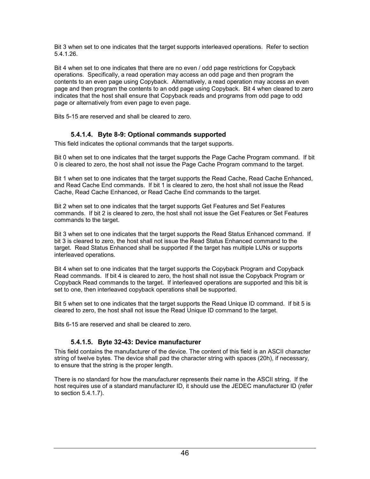Bit 3 when set to one indicates that the target supports interleaved operations. Refer to section [5.4.1.26.](#page-53-0)

Bit 4 when set to one indicates that there are no even / odd page restrictions for Copyback operations. Specifically, a read operation may access an odd page and then program the contents to an even page using Copyback. Alternatively, a read operation may access an even page and then program the contents to an odd page using Copyback. Bit 4 when cleared to zero indicates that the host shall ensure that Copyback reads and programs from odd page to odd page or alternatively from even page to even page.

Bits 5-15 are reserved and shall be cleared to zero.

## **5.4.1.4. Byte 8-9: Optional commands supported**

This field indicates the optional commands that the target supports.

Bit 0 when set to one indicates that the target supports the Page Cache Program command. If bit 0 is cleared to zero, the host shall not issue the Page Cache Program command to the target.

Bit 1 when set to one indicates that the target supports the Read Cache, Read Cache Enhanced, and Read Cache End commands. If bit 1 is cleared to zero, the host shall not issue the Read Cache, Read Cache Enhanced, or Read Cache End commands to the target.

Bit 2 when set to one indicates that the target supports Get Features and Set Features commands. If bit 2 is cleared to zero, the host shall not issue the Get Features or Set Features commands to the target.

Bit 3 when set to one indicates that the target supports the Read Status Enhanced command. If bit 3 is cleared to zero, the host shall not issue the Read Status Enhanced command to the target. Read Status Enhanced shall be supported if the target has multiple LUNs or supports interleaved operations.

Bit 4 when set to one indicates that the target supports the Copyback Program and Copyback Read commands. If bit 4 is cleared to zero, the host shall not issue the Copyback Program or Copyback Read commands to the target. If interleaved operations are supported and this bit is set to one, then interleaved copyback operations shall be supported.

Bit 5 when set to one indicates that the target supports the Read Unique ID command. If bit 5 is cleared to zero, the host shall not issue the Read Unique ID command to the target.

Bits 6-15 are reserved and shall be cleared to zero.

## **5.4.1.5. Byte 32-43: Device manufacturer**

This field contains the manufacturer of the device. The content of this field is an ASCII character string of twelve bytes. The device shall pad the character string with spaces (20h), if necessary, to ensure that the string is the proper length.

There is no standard for how the manufacturer represents their name in the ASCII string. If the host requires use of a standard manufacturer ID, it should use the JEDEC manufacturer ID (refer to section [5.4.1.7\)](#page-50-0).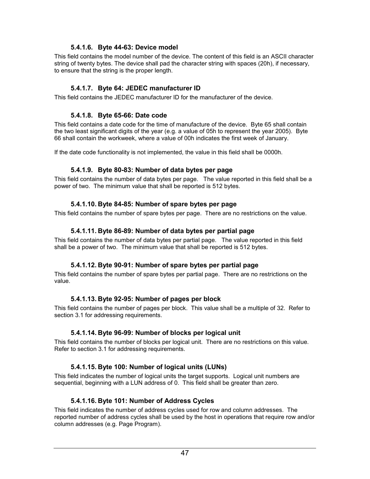### **5.4.1.6. Byte 44-63: Device model**

<span id="page-50-0"></span>This field contains the model number of the device. The content of this field is an ASCII character string of twenty bytes. The device shall pad the character string with spaces (20h), if necessary, to ensure that the string is the proper length.

## **5.4.1.7. Byte 64: JEDEC manufacturer ID**

This field contains the JEDEC manufacturer ID for the manufacturer of the device.

### **5.4.1.8. Byte 65-66: Date code**

This field contains a date code for the time of manufacture of the device. Byte 65 shall contain the two least significant digits of the year (e.g. a value of 05h to represent the year 2005). Byte 66 shall contain the workweek, where a value of 00h indicates the first week of January.

If the date code functionality is not implemented, the value in this field shall be 0000h.

### **5.4.1.9. Byte 80-83: Number of data bytes per page**

This field contains the number of data bytes per page. The value reported in this field shall be a power of two. The minimum value that shall be reported is 512 bytes.

### **5.4.1.10. Byte 84-85: Number of spare bytes per page**

This field contains the number of spare bytes per page. There are no restrictions on the value.

### **5.4.1.11. Byte 86-89: Number of data bytes per partial page**

This field contains the number of data bytes per partial page. The value reported in this field shall be a power of two. The minimum value that shall be reported is 512 bytes.

## **5.4.1.12. Byte 90-91: Number of spare bytes per partial page**

This field contains the number of spare bytes per partial page. There are no restrictions on the value.

#### **5.4.1.13. Byte 92-95: Number of pages per block**

This field contains the number of pages per block. This value shall be a multiple of 32. Refer to section [3.1](#page-24-0) for addressing requirements.

## **5.4.1.14. Byte 96-99: Number of blocks per logical unit**

This field contains the number of blocks per logical unit. There are no restrictions on this value. Refer to section [3.1](#page-24-0) for addressing requirements.

## **5.4.1.15. Byte 100: Number of logical units (LUNs)**

This field indicates the number of logical units the target supports. Logical unit numbers are sequential, beginning with a LUN address of 0. This field shall be greater than zero.

#### **5.4.1.16. Byte 101: Number of Address Cycles**

This field indicates the number of address cycles used for row and column addresses. The reported number of address cycles shall be used by the host in operations that require row and/or column addresses (e.g. Page Program).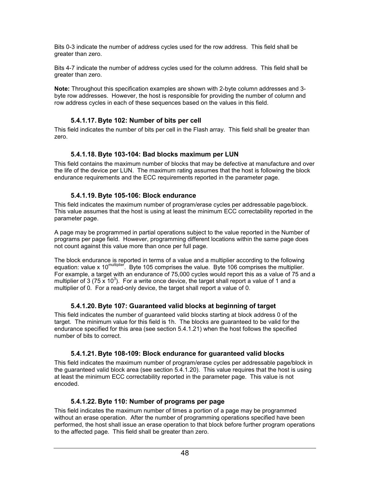Bits 0-3 indicate the number of address cycles used for the row address. This field shall be greater than zero.

Bits 4-7 indicate the number of address cycles used for the column address. This field shall be greater than zero.

**Note:** Throughout this specification examples are shown with 2-byte column addresses and 3 byte row addresses. However, the host is responsible for providing the number of column and row address cycles in each of these sequences based on the values in this field.

### **5.4.1.17. Byte 102: Number of bits per cell**

This field indicates the number of bits per cell in the Flash array. This field shall be greater than zero.

## **5.4.1.18. Byte 103-104: Bad blocks maximum per LUN**

This field contains the maximum number of blocks that may be defective at manufacture and over the life of the device per LUN. The maximum rating assumes that the host is following the block endurance requirements and the ECC requirements reported in the parameter page.

### **5.4.1.19. Byte 105-106: Block endurance**

This field indicates the maximum number of program/erase cycles per addressable page/block. This value assumes that the host is using at least the minimum ECC correctability reported in the parameter page.

A page may be programmed in partial operations subject to the value reported in the Number of programs per page field. However, programming different locations within the same page does not count against this value more than once per full page.

The block endurance is reported in terms of a value and a multiplier according to the following equation: value x 10multiplier. Byte 105 comprises the value. Byte 106 comprises the multiplier. For example, a target with an endurance of 75,000 cycles would report this as a value of 75 and a multiplier of 3 (75  $\times$  10<sup>3</sup>). For a write once device, the target shall report a value of 1 and a multiplier of 0. For a read-only device, the target shall report a value of 0.

## **5.4.1.20. Byte 107: Guaranteed valid blocks at beginning of target**

This field indicates the number of guaranteed valid blocks starting at block address 0 of the target. The minimum value for this field is 1h. The blocks are guaranteed to be valid for the endurance specified for this area (see section 5.4.1.21) when the host follows the specified number of bits to correct.

## **5.4.1.21. Byte 108-109: Block endurance for guaranteed valid blocks**

This field indicates the maximum number of program/erase cycles per addressable page/block in the guaranteed valid block area (see section 5.4.1.20). This value requires that the host is using at least the minimum ECC correctability reported in the parameter page. This value is not encoded.

## **5.4.1.22. Byte 110: Number of programs per page**

This field indicates the maximum number of times a portion of a page may be programmed without an erase operation. After the number of programming operations specified have been performed, the host shall issue an erase operation to that block before further program operations to the affected page. This field shall be greater than zero.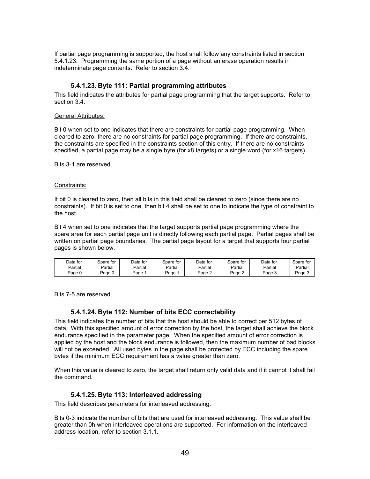If partial page programming is supported, the host shall follow any constraints listed in section 5.4.1.23. Programming the same portion of a page without an erase operation results in indeterminate page contents. Refer to section [3.4.](#page-29-0)

#### **5.4.1.23. Byte 111: Partial programming attributes**

This field indicates the attributes for partial page programming that the target supports. Refer to section [3.4.](#page-29-0)

#### General Attributes:

Bit 0 when set to one indicates that there are constraints for partial page programming. When cleared to zero, there are no constraints for partial page programming. If there are constraints, the constraints are specified in the constraints section of this entry. If there are no constraints specified, a partial page may be a single byte (for x8 targets) or a single word (for x16 targets).

Bits 3-1 are reserved.

#### Constraints:

If bit 0 is cleared to zero, then all bits in this field shall be cleared to zero (since there are no constraints). If bit 0 is set to one, then bit 4 shall be set to one to indicate the type of constraint to the host.

Bit 4 when set to one indicates that the target supports partial page programming where the spare area for each partial page unit is directly following each partial page. Partial pages shall be written on partial page boundaries. The partial page layout for a target that supports four partial pages is shown below.

| Data for | Spare for | Data for | Spare for | Data for | Spare for     | Data for | Spare for |
|----------|-----------|----------|-----------|----------|---------------|----------|-----------|
| Partial  | Partial   | Partial  | Partial   | Partial  | Partial       | Partial  | Partial   |
| Page 0   | Page u    | Page     | Page      | Page 2   | $Page \angle$ | Page 3   | Page J    |

Bits 7-5 are reserved.

#### **5.4.1.24. Byte 112: Number of bits ECC correctability**

This field indicates the number of bits that the host should be able to correct per 512 bytes of data. With this specified amount of error correction by the host, the target shall achieve the block endurance specified in the parameter page. When the specified amount of error correction is applied by the host and the block endurance is followed, then the maximum number of bad blocks will not be exceeded. All used bytes in the page shall be protected by ECC including the spare bytes if the minimum ECC requirement has a value greater than zero.

When this value is cleared to zero, the target shall return only valid data and if it cannot it shall fail the command.

#### **5.4.1.25. Byte 113: Interleaved addressing**

This field describes parameters for interleaved addressing.

Bits 0-3 indicate the number of bits that are used for interleaved addressing. This value shall be greater than 0h when interleaved operations are supported. For information on the interleaved address location, refer to section [3.1.1.](#page-24-0)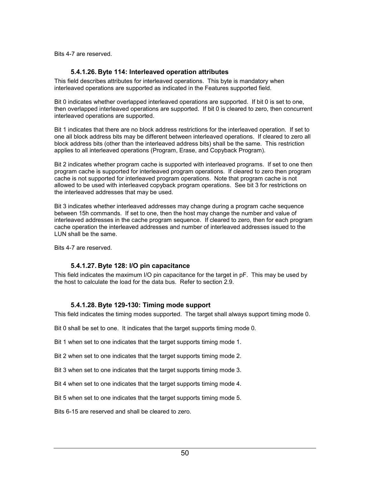<span id="page-53-0"></span>Bits 4-7 are reserved.

### **5.4.1.26. Byte 114: Interleaved operation attributes**

This field describes attributes for interleaved operations. This byte is mandatory when interleaved operations are supported as indicated in the Features supported field.

Bit 0 indicates whether overlapped interleaved operations are supported. If bit 0 is set to one, then overlapped interleaved operations are supported. If bit 0 is cleared to zero, then concurrent interleaved operations are supported.

Bit 1 indicates that there are no block address restrictions for the interleaved operation. If set to one all block address bits may be different between interleaved operations. If cleared to zero all block address bits (other than the interleaved address bits) shall be the same. This restriction applies to all interleaved operations (Program, Erase, and Copyback Program).

Bit 2 indicates whether program cache is supported with interleaved programs. If set to one then program cache is supported for interleaved program operations. If cleared to zero then program cache is not supported for interleaved program operations. Note that program cache is not allowed to be used with interleaved copyback program operations. See bit 3 for restrictions on the interleaved addresses that may be used.

Bit 3 indicates whether interleaved addresses may change during a program cache sequence between 15h commands. If set to one, then the host may change the number and value of interleaved addresses in the cache program sequence. If cleared to zero, then for each program cache operation the interleaved addresses and number of interleaved addresses issued to the LUN shall be the same.

Bits 4-7 are reserved.

#### **5.4.1.27. Byte 128: I/O pin capacitance**

This field indicates the maximum I/O pin capacitance for the target in pF. This may be used by the host to calculate the load for the data bus. Refer to section [2.9.](#page-20-0)

#### **5.4.1.28. Byte 129-130: Timing mode support**

This field indicates the timing modes supported. The target shall always support timing mode 0.

Bit 0 shall be set to one. It indicates that the target supports timing mode 0.

Bit 1 when set to one indicates that the target supports timing mode 1.

Bit 2 when set to one indicates that the target supports timing mode 2.

Bit 3 when set to one indicates that the target supports timing mode 3.

Bit 4 when set to one indicates that the target supports timing mode 4.

Bit 5 when set to one indicates that the target supports timing mode 5.

Bits 6-15 are reserved and shall be cleared to zero.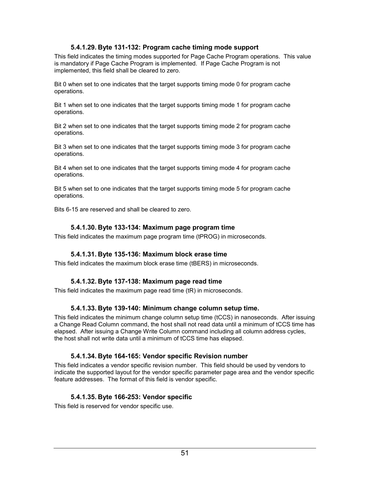## **5.4.1.29. Byte 131-132: Program cache timing mode support**

This field indicates the timing modes supported for Page Cache Program operations. This value is mandatory if Page Cache Program is implemented. If Page Cache Program is not implemented, this field shall be cleared to zero.

Bit 0 when set to one indicates that the target supports timing mode 0 for program cache operations.

Bit 1 when set to one indicates that the target supports timing mode 1 for program cache operations.

Bit 2 when set to one indicates that the target supports timing mode 2 for program cache operations.

Bit 3 when set to one indicates that the target supports timing mode 3 for program cache operations.

Bit 4 when set to one indicates that the target supports timing mode 4 for program cache operations.

Bit 5 when set to one indicates that the target supports timing mode 5 for program cache operations.

Bits 6-15 are reserved and shall be cleared to zero.

#### **5.4.1.30. Byte 133-134: Maximum page program time**

This field indicates the maximum page program time (tPROG) in microseconds.

#### **5.4.1.31. Byte 135-136: Maximum block erase time**

This field indicates the maximum block erase time (tBERS) in microseconds.

#### **5.4.1.32. Byte 137-138: Maximum page read time**

This field indicates the maximum page read time (tR) in microseconds.

#### **5.4.1.33. Byte 139-140: Minimum change column setup time.**

This field indicates the minimum change column setup time (tCCS) in nanoseconds. After issuing a Change Read Column command, the host shall not read data until a minimum of tCCS time has elapsed. After issuing a Change Write Column command including all column address cycles, the host shall not write data until a minimum of tCCS time has elapsed.

#### **5.4.1.34. Byte 164-165: Vendor specific Revision number**

This field indicates a vendor specific revision number. This field should be used by vendors to indicate the supported layout for the vendor specific parameter page area and the vendor specific feature addresses. The format of this field is vendor specific.

#### **5.4.1.35. Byte 166-253: Vendor specific**

This field is reserved for vendor specific use.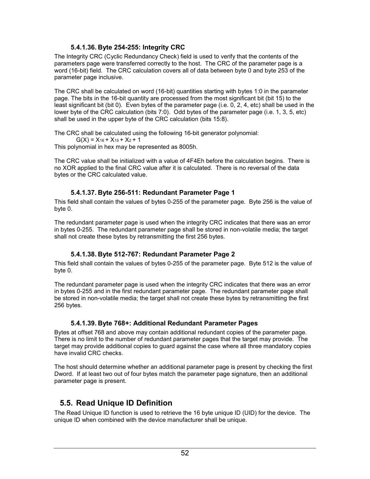## **5.4.1.36. Byte 254-255: Integrity CRC**

The Integrity CRC (Cyclic Redundancy Check) field is used to verify that the contents of the parameters page were transferred correctly to the host. The CRC of the parameter page is a word (16-bit) field. The CRC calculation covers all of data between byte 0 and byte 253 of the parameter page inclusive.

The CRC shall be calculated on word (16-bit) quantities starting with bytes 1:0 in the parameter page. The bits in the 16-bit quantity are processed from the most significant bit (bit 15) to the least significant bit (bit 0). Even bytes of the parameter page (i.e. 0, 2, 4, etc) shall be used in the lower byte of the CRC calculation (bits 7:0). Odd bytes of the parameter page (i.e. 1, 3, 5, etc) shall be used in the upper byte of the CRC calculation (bits 15:8).

The CRC shall be calculated using the following 16-bit generator polynomial:  $G(X) = X_{16} + X_{15} + X_2 + 1$ 

This polynomial in hex may be represented as 8005h.

The CRC value shall be initialized with a value of 4F4Eh before the calculation begins. There is no XOR applied to the final CRC value after it is calculated. There is no reversal of the data bytes or the CRC calculated value.

## **5.4.1.37. Byte 256-511: Redundant Parameter Page 1**

This field shall contain the values of bytes 0-255 of the parameter page. Byte 256 is the value of byte 0.

The redundant parameter page is used when the integrity CRC indicates that there was an error in bytes 0-255. The redundant parameter page shall be stored in non-volatile media; the target shall not create these bytes by retransmitting the first 256 bytes.

## **5.4.1.38. Byte 512-767: Redundant Parameter Page 2**

This field shall contain the values of bytes 0-255 of the parameter page. Byte 512 is the value of byte 0.

The redundant parameter page is used when the integrity CRC indicates that there was an error in bytes 0-255 and in the first redundant parameter page. The redundant parameter page shall be stored in non-volatile media; the target shall not create these bytes by retransmitting the first 256 bytes.

## **5.4.1.39. Byte 768+: Additional Redundant Parameter Pages**

Bytes at offset 768 and above may contain additional redundant copies of the parameter page. There is no limit to the number of redundant parameter pages that the target may provide. The target may provide additional copies to guard against the case where all three mandatory copies have invalid CRC checks.

The host should determine whether an additional parameter page is present by checking the first Dword. If at least two out of four bytes match the parameter page signature, then an additional parameter page is present.

# **5.5. Read Unique ID Definition**

The Read Unique ID function is used to retrieve the 16 byte unique ID (UID) for the device. The unique ID when combined with the device manufacturer shall be unique.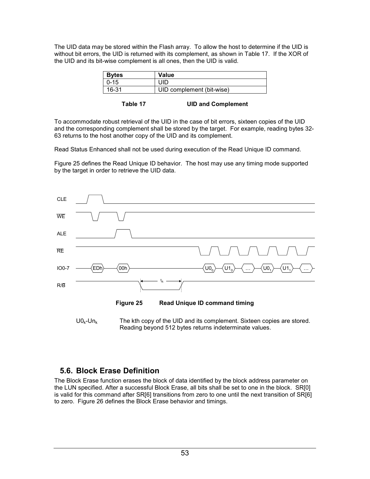The UID data may be stored within the Flash array. To allow the host to determine if the UID is without bit errors, the UID is returned with its complement, as shown in Table 17. If the XOR of the UID and its bit-wise complement is all ones, then the UID is valid.

| <b>Bytes</b> | Value                     |
|--------------|---------------------------|
| $10 - 15$    | UID.                      |
| 16-31        | UID complement (bit-wise) |

To accommodate robust retrieval of the UID in the case of bit errors, sixteen copies of the UID and the corresponding complement shall be stored by the target. For example, reading bytes 32- 63 returns to the host another copy of the UID and its complement.

Read Status Enhanced shall not be used during execution of the Read Unique ID command.

Figure 25 defines the Read Unique ID behavior. The host may use any timing mode supported by the target in order to retrieve the UID data.





## **5.6. Block Erase Definition**

The Block Erase function erases the block of data identified by the block address parameter on the LUN specified. After a successful Block Erase, all bits shall be set to one in the block. SR[0] is valid for this command after SR[6] transitions from zero to one until the next transition of SR[6] to zero. [Figure 26](#page-57-0) defines the Block Erase behavior and timings.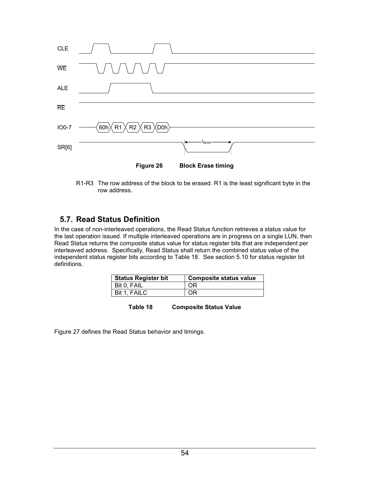<span id="page-57-0"></span>

R1-R3 The row address of the block to be erased. R1 is the least significant byte in the row address.

# **5.7. Read Status Definition**

In the case of non-interleaved operations, the Read Status function retrieves a status value for the last operation issued. If multiple interleaved operations are in progress on a single LUN, then Read Status returns the composite status value for status register bits that are independent per interleaved address. Specifically, Read Status shall return the combined status value of the independent status register bits according to Table 18. See section [5.10](#page-59-0) for status register bit definitions.

| <b>Status Register bit</b> | <b>Composite status value</b> |
|----------------------------|-------------------------------|
| l Bit 0. FAIL              | OR                            |
| Bit 1, FAILC               | ΟR                            |

| <b>Composite Status Value</b><br>Table 18 |
|-------------------------------------------|
|-------------------------------------------|

[Figure 27](#page-58-0) defines the Read Status behavior and timings.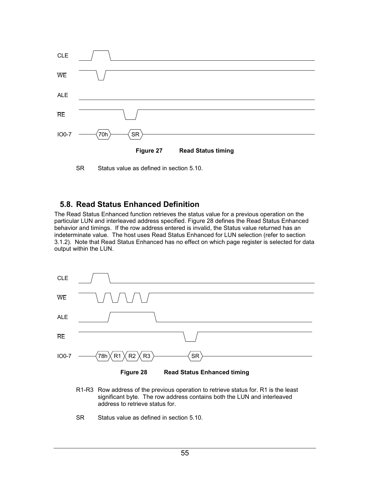<span id="page-58-0"></span>

SR Status value as defined in section [5.10.](#page-59-0)

## **5.8. Read Status Enhanced Definition**

The Read Status Enhanced function retrieves the status value for a previous operation on the particular LUN and interleaved address specified. Figure 28 defines the Read Status Enhanced behavior and timings. If the row address entered is invalid, the Status value returned has an indeterminate value. The host uses Read Status Enhanced for LUN selection (refer to section [3.1.2](#page-25-0)). Note that Read Status Enhanced has no effect on which page register is selected for data output within the LUN.





- R1-R3 Row address of the previous operation to retrieve status for. R1 is the least significant byte. The row address contains both the LUN and interleaved address to retrieve status for.
- SR Status value as defined in section [5.10.](#page-59-0)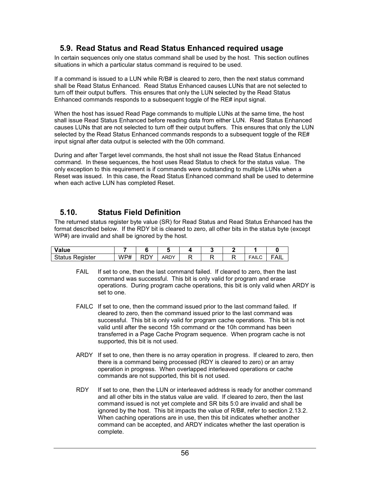## <span id="page-59-0"></span>**5.9. Read Status and Read Status Enhanced required usage**

In certain sequences only one status command shall be used by the host. This section outlines situations in which a particular status command is required to be used.

If a command is issued to a LUN while R/B# is cleared to zero, then the next status command shall be Read Status Enhanced. Read Status Enhanced causes LUNs that are not selected to turn off their output buffers. This ensures that only the LUN selected by the Read Status Enhanced commands responds to a subsequent toggle of the RE# input signal.

When the host has issued Read Page commands to multiple LUNs at the same time, the host shall issue Read Status Enhanced before reading data from either LUN. Read Status Enhanced causes LUNs that are not selected to turn off their output buffers. This ensures that only the LUN selected by the Read Status Enhanced commands responds to a subsequent toggle of the RE# input signal after data output is selected with the 00h command.

During and after Target level commands, the host shall not issue the Read Status Enhanced command. In these sequences, the host uses Read Status to check for the status value. The only exception to this requirement is if commands were outstanding to multiple LUNs when a Reset was issued. In this case, the Read Status Enhanced command shall be used to determine when each active LUN has completed Reset.

## **5.10. Status Field Definition**

The returned status register byte value (SR) for Read Status and Read Status Enhanced has the format described below. If the RDY bit is cleared to zero, all other bits in the status byte (except WP#) are invalid and shall be ignored by the host.

| Value              |          |               |            |  |       |               |
|--------------------|----------|---------------|------------|--|-------|---------------|
| Status<br>Register | WP#<br>. | DDV<br>-<br>◝ | DDV<br>ARD |  | FAILC | $\sim$<br>¬⊥∟ |

- FAIL If set to one, then the last command failed. If cleared to zero, then the last command was successful. This bit is only valid for program and erase operations. During program cache operations, this bit is only valid when ARDY is set to one.
- FAILC If set to one, then the command issued prior to the last command failed. If cleared to zero, then the command issued prior to the last command was successful. This bit is only valid for program cache operations. This bit is not valid until after the second 15h command or the 10h command has been transferred in a Page Cache Program sequence. When program cache is not supported, this bit is not used.
- ARDY If set to one, then there is no array operation in progress. If cleared to zero, then there is a command being processed (RDY is cleared to zero) or an array operation in progress. When overlapped interleaved operations or cache commands are not supported, this bit is not used.
- RDY If set to one, then the LUN or interleaved address is ready for another command and all other bits in the status value are valid. If cleared to zero, then the last command issued is not yet complete and SR bits 5:0 are invalid and shall be ignored by the host. This bit impacts the value of R/B#, refer to section [2.13.2.](#page-22-0) When caching operations are in use, then this bit indicates whether another command can be accepted, and ARDY indicates whether the last operation is complete.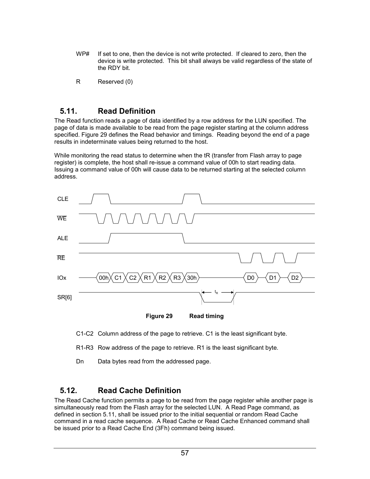- WP# If set to one, then the device is not write protected. If cleared to zero, then the device is write protected. This bit shall always be valid regardless of the state of the RDY bit.
- R Reserved (0)

## **5.11. Read Definition**

The Read function reads a page of data identified by a row address for the LUN specified. The page of data is made available to be read from the page register starting at the column address specified. Figure 29 defines the Read behavior and timings. Reading beyond the end of a page results in indeterminate values being returned to the host.

While monitoring the read status to determine when the tR (transfer from Flash array to page register) is complete, the host shall re-issue a command value of 00h to start reading data. Issuing a command value of 00h will cause data to be returned starting at the selected column address.



C1-C2 Column address of the page to retrieve. C1 is the least significant byte.

R1-R3 Row address of the page to retrieve. R1 is the least significant byte.

Dn Data bytes read from the addressed page.

# **5.12. Read Cache Definition**

The Read Cache function permits a page to be read from the page register while another page is simultaneously read from the Flash array for the selected LUN. A Read Page command, as defined in section 5.11, shall be issued prior to the initial sequential or random Read Cache command in a read cache sequence. A Read Cache or Read Cache Enhanced command shall be issued prior to a Read Cache End (3Fh) command being issued.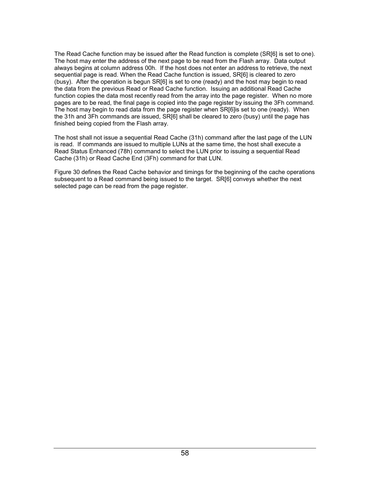The Read Cache function may be issued after the Read function is complete (SR[6] is set to one). The host may enter the address of the next page to be read from the Flash array. Data output always begins at column address 00h. If the host does not enter an address to retrieve, the next sequential page is read. When the Read Cache function is issued, SR[6] is cleared to zero (busy). After the operation is begun SR[6] is set to one (ready) and the host may begin to read the data from the previous Read or Read Cache function. Issuing an additional Read Cache function copies the data most recently read from the array into the page register. When no more pages are to be read, the final page is copied into the page register by issuing the 3Fh command. The host may begin to read data from the page register when SR[6]is set to one (ready). When the 31h and 3Fh commands are issued, SR[6] shall be cleared to zero (busy) until the page has finished being copied from the Flash array.

The host shall not issue a sequential Read Cache (31h) command after the last page of the LUN is read. If commands are issued to multiple LUNs at the same time, the host shall execute a Read Status Enhanced (78h) command to select the LUN prior to issuing a sequential Read Cache (31h) or Read Cache End (3Fh) command for that LUN.

[Figure 30](#page-62-0) defines the Read Cache behavior and timings for the beginning of the cache operations subsequent to a Read command being issued to the target. SR[6] conveys whether the next selected page can be read from the page register.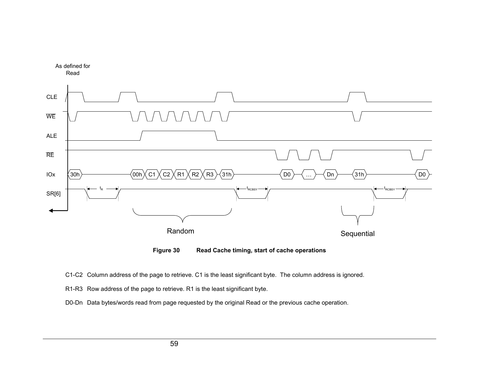<span id="page-62-0"></span>

**Figure 30 Read Cache timing, start of cache operations**

C1-C2 Column address of the page to retrieve. C1 is the least significant byte. The column address is ignored.

R1-R3 Row address of the page to retrieve. R1 is the least significant byte.

D0-Dn Data bytes/words read from page requested by the original Read or the previous cache operation.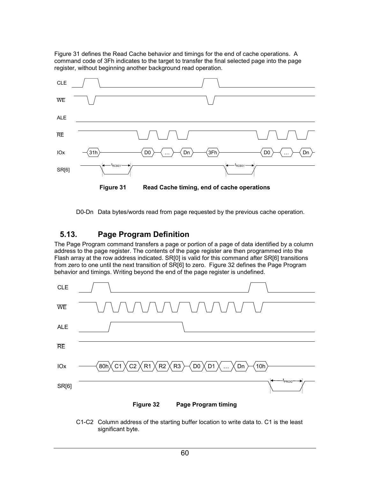Figure 31 defines the Read Cache behavior and timings for the end of cache operations. A command code of 3Fh indicates to the target to transfer the final selected page into the page register, without beginning another background read operation.



D0-Dn Data bytes/words read from page requested by the previous cache operation.

## **5.13. Page Program Definition**

The Page Program command transfers a page or portion of a page of data identified by a column address to the page register. The contents of the page register are then programmed into the Flash array at the row address indicated. SR[0] is valid for this command after SR[6] transitions from zero to one until the next transition of SR[6] to zero. Figure 32 defines the Page Program behavior and timings. Writing beyond the end of the page register is undefined.



C1-C2 Column address of the starting buffer location to write data to. C1 is the least significant byte.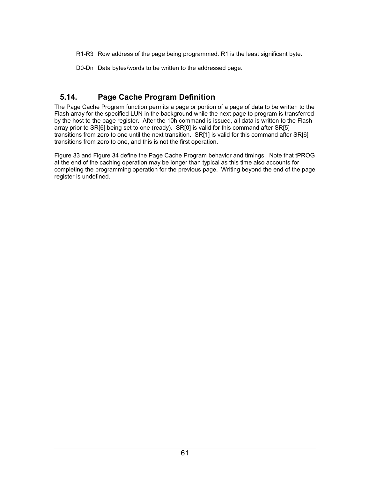R1-R3 Row address of the page being programmed. R1 is the least significant byte.

D0-Dn Data bytes/words to be written to the addressed page.

# **5.14. Page Cache Program Definition**

The Page Cache Program function permits a page or portion of a page of data to be written to the Flash array for the specified LUN in the background while the next page to program is transferred by the host to the page register. After the 10h command is issued, all data is written to the Flash array prior to SR[6] being set to one (ready). SR[0] is valid for this command after SR[5] transitions from zero to one until the next transition. SR[1] is valid for this command after SR[6] transitions from zero to one, and this is not the first operation.

[Figure 33](#page-65-0) and [Figure 34](#page-65-0) define the Page Cache Program behavior and timings. Note that tPROG at the end of the caching operation may be longer than typical as this time also accounts for completing the programming operation for the previous page. Writing beyond the end of the page register is undefined.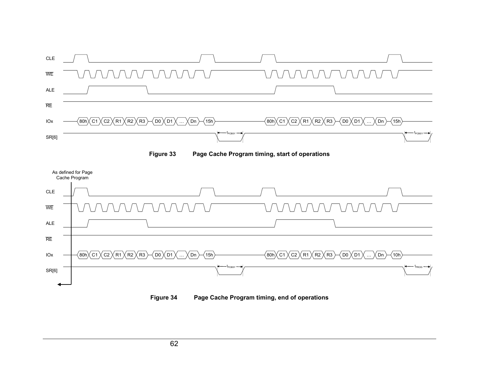<span id="page-65-0"></span>



**Figure 34 Page Cache Program timing, end of operations**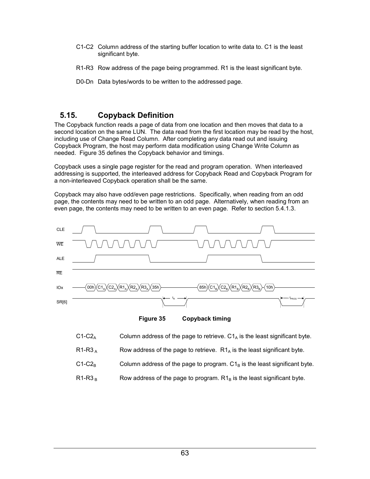- C1-C2 Column address of the starting buffer location to write data to. C1 is the least significant byte.
- R1-R3 Row address of the page being programmed. R1 is the least significant byte.
- D0-Dn Data bytes/words to be written to the addressed page.

## **5.15. Copyback Definition**

The Copyback function reads a page of data from one location and then moves that data to a second location on the same LUN. The data read from the first location may be read by the host, including use of Change Read Column. After completing any data read out and issuing Copyback Program, the host may perform data modification using Change Write Column as needed. Figure 35 defines the Copyback behavior and timings.

Copyback uses a single page register for the read and program operation. When interleaved addressing is supported, the interleaved address for Copyback Read and Copyback Program for a non-interleaved Copyback operation shall be the same.

Copyback may also have odd/even page restrictions. Specifically, when reading from an odd page, the contents may need to be written to an odd page. Alternatively, when reading from an even page, the contents may need to be written to an even page. Refer to section [5.4.1.3.](#page-48-0)



**Figure 35 Copyback timing** 

- C1-C2<sub>A</sub> Column address of the page to retrieve. C1<sub>A</sub> is the least significant byte.
- $R1-R3_A$  Row address of the page to retrieve.  $R1_A$  is the least significant byte.
- C1-C2<sub>B</sub> Column address of the page to program.  $C1_B$  is the least significant byte.
- $R1-R3<sub>B</sub>$  Row address of the page to program.  $R1<sub>B</sub>$  is the least significant byte.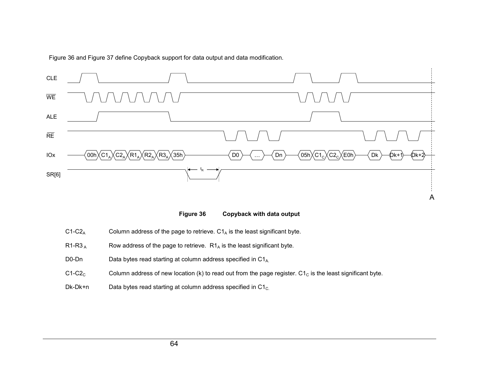Figure 36 and [Figure](#page-68-0) 37 define Copyback support for data output and data modification.



**Figure 36 Copyback with data output**

- $C1-C2_A$ Column address of the page to retrieve.  $C1_A$  is the least significant byte.
- R1-R3  $_{\rm A}$ Row address of the page to retrieve.  $R1_A$  is the least significant byte.
- D0-DnData bytes read starting at column address specified in  $C1_{A}$ .
- $C1-C2<sub>C</sub>$ Column address of new location (k) to read out from the page register.  $C1<sub>C</sub>$  is the least significant byte.
- Dk-Dk+nData bytes read starting at column address specified in  $C1_{C}$ .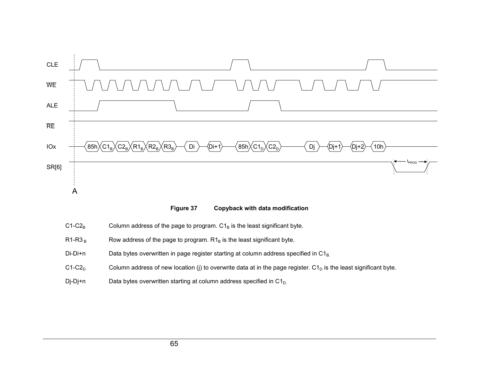<span id="page-68-0"></span>

**Figure 37 Copyback with data modification**

- $C1-C2_B$ Column address of the page to program.  $C1_B$  is the least significant byte.
- R1-R3  $_{\rm B}$ Row address of the page to program.  $R1_B$  is the least significant byte.
- Di-Di+nData bytes overwritten in page register starting at column address specified in C1<sub>B.</sub>
- $C1-C2_D$ Column address of new location (j) to overwrite data at in the page register.  $C1_D$  is the least significant byte.
- Dj-Dj+n Data bytes overwritten starting at column address specified in  $C1_{D}$ .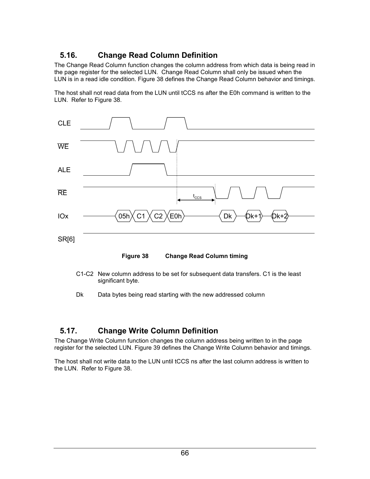# **5.16. Change Read Column Definition**

The Change Read Column function changes the column address from which data is being read in the page register for the selected LUN. Change Read Column shall only be issued when the LUN is in a read idle condition. Figure 38 defines the Change Read Column behavior and timings.

The host shall not read data from the LUN until tCCS ns after the E0h command is written to the LUN. Refer to Figure 38.





- C1-C2 New column address to be set for subsequent data transfers. C1 is the least significant byte.
- Dk Data bytes being read starting with the new addressed column

## **5.17. Change Write Column Definition**

The Change Write Column function changes the column address being written to in the page register for the selected LUN. [Figure 39](#page-70-0) defines the Change Write Column behavior and timings.

The host shall not write data to the LUN until tCCS ns after the last column address is written to the LUN. Refer to Figure 38.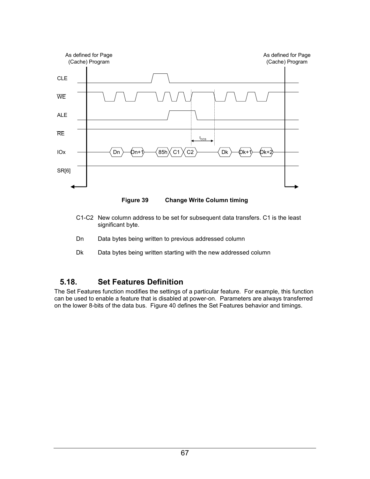<span id="page-70-0"></span>

**Figure 39 Change Write Column timing** 

- C1-C2 New column address to be set for subsequent data transfers. C1 is the least significant byte.
- Dn Data bytes being written to previous addressed column
- Dk Data bytes being written starting with the new addressed column

## **5.18. Set Features Definition**

The Set Features function modifies the settings of a particular feature. For example, this function can be used to enable a feature that is disabled at power-on. Parameters are always transferred on the lower 8-bits of the data bus. [Figure 40](#page-71-0) defines the Set Features behavior and timings.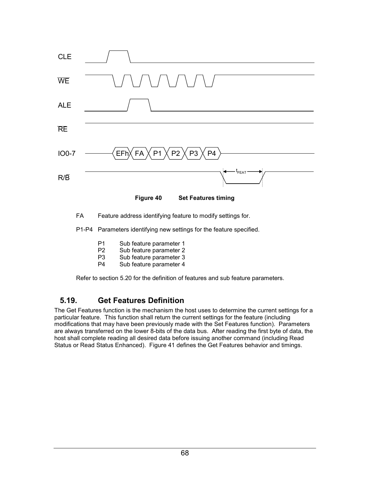<span id="page-71-0"></span>

Refer to section [5.20](#page-72-0) for the definition of features and sub feature parameters.

# **5.19. Get Features Definition**

The Get Features function is the mechanism the host uses to determine the current settings for a particular feature. This function shall return the current settings for the feature (including modifications that may have been previously made with the Set Features function). Parameters are always transferred on the lower 8-bits of the data bus. After reading the first byte of data, the host shall complete reading all desired data before issuing another command (including Read Status or Read Status Enhanced). [Figure 41](#page-72-0) defines the Get Features behavior and timings.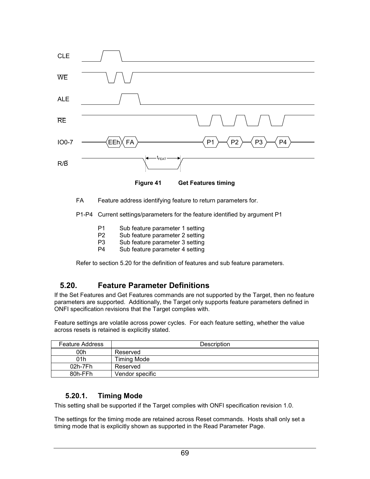

FA Feature address identifying feature to return parameters for.

P1-P4 Current settings/parameters for the feature identified by argument P1

- P1 Sub feature parameter 1 setting
- P2 Sub feature parameter 2 setting<br>P3 Sub feature parameter 3 setting
- Sub feature parameter 3 setting
- P4 Sub feature parameter 4 setting

Refer to section 5.20 for the definition of features and sub feature parameters.

#### **5.20. Feature Parameter Definitions**

If the Set Features and Get Features commands are not supported by the Target, then no feature parameters are supported. Additionally, the Target only supports feature parameters defined in ONFI specification revisions that the Target complies with.

Feature settings are volatile across power cycles. For each feature setting, whether the value across resets is retained is explicitly stated.

| <b>Feature Address</b> | Description        |
|------------------------|--------------------|
| 00h                    | Reserved           |
| 01h                    | <b>Timing Mode</b> |
| 02h-7Fh                | Reserved           |
| 80h-FFh                | Vendor specific    |

#### **5.20.1. Timing Mode**

This setting shall be supported if the Target complies with ONFI specification revision 1.0.

The settings for the timing mode are retained across Reset commands. Hosts shall only set a timing mode that is explicitly shown as supported in the Read Parameter Page.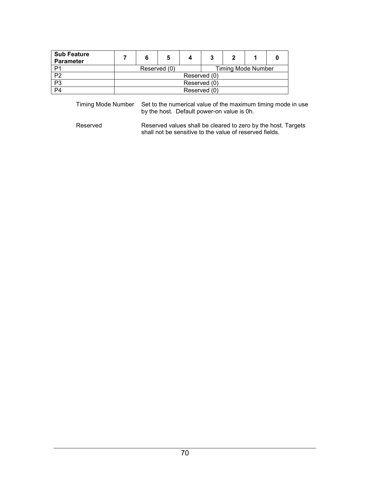| <b>Sub Feature</b><br><b>Parameter</b> |                                           | 6 |  |  |  | 7 |  |  |
|----------------------------------------|-------------------------------------------|---|--|--|--|---|--|--|
| P <sub>1</sub>                         | <b>Timing Mode Number</b><br>Reserved (0) |   |  |  |  |   |  |  |
| P <sub>2</sub>                         | Reserved (0)                              |   |  |  |  |   |  |  |
| P <sub>3</sub>                         | Reserved (0)                              |   |  |  |  |   |  |  |
| P <sub>4</sub>                         | Reserved (0)                              |   |  |  |  |   |  |  |

Timing Mode Number Set to the numerical value of the maximum timing mode in use by the host. Default power-on value is 0h.

Reserved **Reserved values shall be cleared to zero by the host. Targets** shall not be sensitive to the value of reserved fields.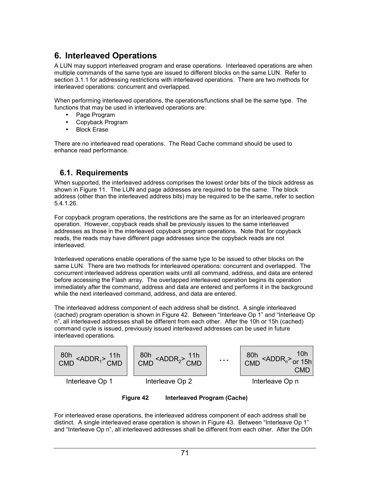# **6. Interleaved Operations**

A LUN may support interleaved program and erase operations. Interleaved operations are when multiple commands of the same type are issued to different blocks on the same LUN. Refer to section [3.1.1](#page-24-0) for addressing restrictions with interleaved operations. There are two methods for interleaved operations: concurrent and overlapped.

When performing interleaved operations, the operations/functions shall be the same type. The functions that may be used in interleaved operations are:

- Page Program
- Copyback Program
- **Block Erase**

There are no interleaved read operations. The Read Cache command should be used to enhance read performance.

## **6.1. Requirements**

When supported, the interleaved address comprises the lowest order bits of the block address as shown in [Figure 11](#page-25-0). The LUN and page addresses are required to be the same. The block address (other than the interleaved address bits) may be required to be the same, refer to section [5.4.1.26.](#page-53-0)

For copyback program operations, the restrictions are the same as for an interleaved program operation. However, copyback reads shall be previously issues to the same interleaved addresses as those in the interleaved copyback program operations. Note that for copyback reads, the reads may have different page addresses since the copyback reads are not interleaved.

Interleaved operations enable operations of the same type to be issued to other blocks on the same LUN. There are two methods for interleaved operations: concurrent and overlapped. The concurrent interleaved address operation waits until all command, address, and data are entered before accessing the Flash array. The overlapped interleaved operation begins its operation immediately after the command, address and data are entered and performs it in the background while the next interleaved command, address, and data are entered.

The interleaved address component of each address shall be distinct. A single interleaved (cached) program operation is shown in Figure 42. Between "Interleave Op 1" and "Interleave Op n", all interleaved addresses shall be different from each other. After the 10h or 15h (cached) command cycle is issued, previously issued interleaved addresses can be used in future interleaved operations.



**Figure 42 Interleaved Program (Cache)** 

For interleaved erase operations, the interleaved address component of each address shall be distinct. A single interleaved erase operation is shown in [Figure 43](#page-75-0). Between "Interleave Op 1" and "Interleave Op n", all interleaved addresses shall be different from each other. After the D0h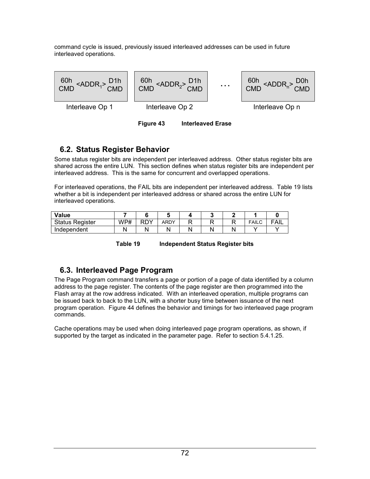<span id="page-75-0"></span>command cycle is issued, previously issued interleaved addresses can be used in future interleaved operations.



## **6.2. Status Register Behavior**

Some status register bits are independent per interleaved address. Other status register bits are shared across the entire LUN. This section defines when status register bits are independent per interleaved address. This is the same for concurrent and overlapped operations.

For interleaved operations, the FAIL bits are independent per interleaved address. Table 19 lists whether a bit is independent per interleaved address or shared across the entire LUN for interleaved operations.

| Value                  |     |     |      |  |              |             |
|------------------------|-----|-----|------|--|--------------|-------------|
| <b>Status Register</b> | WP# | RDY | ARDY |  | <b>FAILU</b> | <b>FAIL</b> |
| Independent            |     |     |      |  |              |             |

**Table 19 Independent Status Register bits** 

## **6.3. Interleaved Page Program**

The Page Program command transfers a page or portion of a page of data identified by a column address to the page register. The contents of the page register are then programmed into the Flash array at the row address indicated. With an interleaved operation, multiple programs can be issued back to back to the LUN, with a shorter busy time between issuance of the next program operation. [Figure 44](#page-76-0) defines the behavior and timings for two interleaved page program commands.

Cache operations may be used when doing interleaved page program operations, as shown, if supported by the target as indicated in the parameter page. Refer to section [5.4.1.25.](#page-52-0)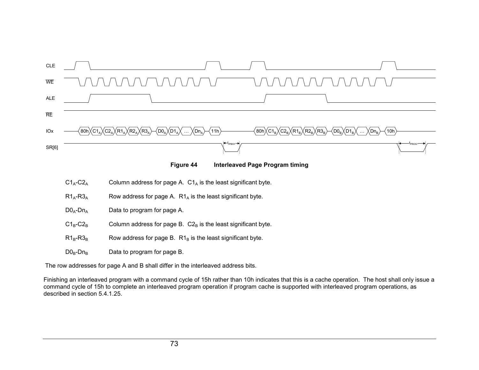<span id="page-76-0"></span>



- $C1_A-C2_A$ Column address for page A.  $C1_A$  is the least significant byte.
- $R1_A-R3_A$ Row address for page A.  $R1_A$  is the least significant byte.
- $DO<sub>A</sub>-Dn<sub>A</sub>$ Data to program for page A.
- $C1_B-C2_B$ Column address for page B.  $C2_B$  is the least significant byte.
- $R1_{B}$ -R $3_{B}$ Row address for page B.  $R1_B$  is the least significant byte.
- $D0_B$ -Dn<sub>B</sub> Data to program for page B.

The row addresses for page A and B shall differ in the interleaved address bits.

Finishing an interleaved program with <sup>a</sup> command cycle of 15h rather than 10h indicates that this is <sup>a</sup> cache operation. The host shall only issue <sup>a</sup> command cycle of 15h to complete an interleaved program operation if program cache is supported with interleaved program operations, as described in section [5.4.1.25](#page-52-0).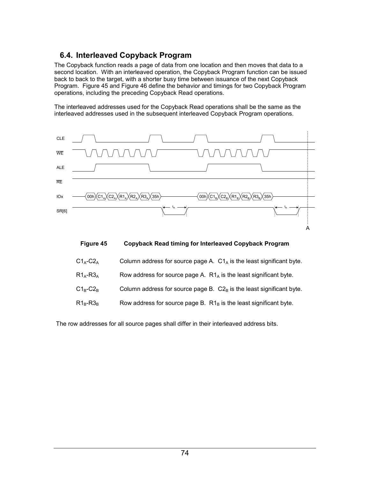## **6.4. Interleaved Copyback Program**

The Copyback function reads a page of data from one location and then moves that data to a second location. With an interleaved operation, the Copyback Program function can be issued back to back to the target, with a shorter busy time between issuance of the next Copyback Program. Figure 45 and [Figure 46](#page-78-0) define the behavior and timings for two Copyback Program operations, including the preceding Copyback Read operations.

The interleaved addresses used for the Copyback Read operations shall be the same as the interleaved addresses used in the subsequent interleaved Copyback Program operations.





| $C1_A-C2_A$ | Column address for source page A. $C1_A$ is the least significant byte. |  |
|-------------|-------------------------------------------------------------------------|--|
|             |                                                                         |  |
|             |                                                                         |  |

| $R1_A-R3_A$<br>Row address for source page A. $R1_A$ is the least significant byte. |
|-------------------------------------------------------------------------------------|
|-------------------------------------------------------------------------------------|

- $C1_B-C2_B$  Column address for source page B.  $C2_B$  is the least significant byte.
- $R1_B-R3_B$  Row address for source page B.  $R1_B$  is the least significant byte.

The row addresses for all source pages shall differ in their interleaved address bits.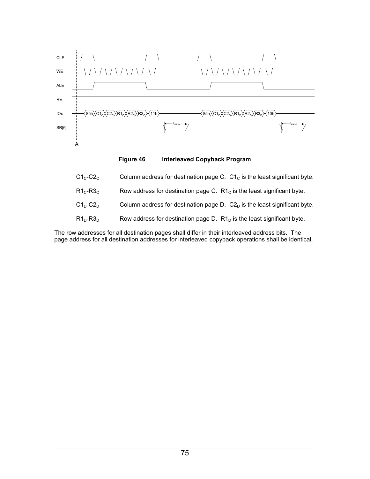<span id="page-78-0"></span>

**Figure 46 Interleaved Copyback Program** 

| $\mathsf{C1}_{\mathsf{C}}\text{-}\mathsf{C2}_{\mathsf{C}}$ .          | Column address for destination page C. $C1c$ is the least significant byte. |
|-----------------------------------------------------------------------|-----------------------------------------------------------------------------|
| $\mathsf{R}1_\mathsf{C}\text{-}\mathsf{R}3_\mathsf{C}$ .              | Row address for destination page C. $R1C$ is the least significant byte.    |
| $\mathsf{C1_{n}\text{-}C2_{n}}$ .                                     | Column address for destination page D. $C2D$ is the least significant byte. |
| $R1_{\scriptscriptstyle{\sf{D}}}$ -R3 $_{\scriptscriptstyle{\sf{D}}}$ | Row address for destination page D. $R1D$ is the least significant byte.    |

The row addresses for all destination pages shall differ in their interleaved address bits. The page address for all destination addresses for interleaved copyback operations shall be identical.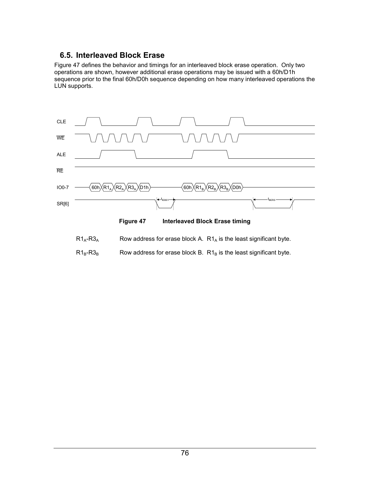## **6.5. Interleaved Block Erase**

Figure 47 defines the behavior and timings for an interleaved block erase operation. Only two operations are shown, however additional erase operations may be issued with a 60h/D1h sequence prior to the final 60h/D0h sequence depending on how many interleaved operations the LUN supports.



- $R1_A-R3_A$  Row address for erase block A.  $R1_A$  is the least significant byte.
- $R1_B-R3_B$  Row address for erase block B.  $R1_B$  is the least significant byte.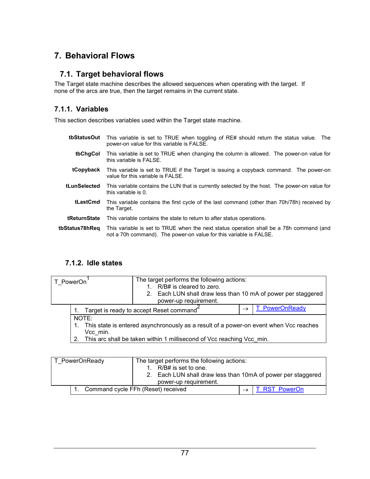# **7. Behavioral Flows**

#### **7.1. Target behavioral flows**

The Target state machine describes the allowed sequences when operating with the target. If none of the arcs are true, then the target remains in the current state.

#### **7.1.1. Variables**

This section describes variables used within the Target state machine.

- **tbStatusOut** This variable is set to TRUE when toggling of RE# should return the status value. The power-on value for this variable is FALSE.
- **tbChgCol** This variable is set to TRUE when changing the column is allowed. The power-on value for this variable is FALSE.
- **tCopyback** This variable is set to TRUE if the Target is issuing a copyback command. The power-on value for this variable is FALSE.
- **tLunSelected** This variable contains the LUN that is currently selected by the host. The power-on value for this variable is 0.
	- **tLastCmd** This variable contains the first cycle of the last command (other than 70h/78h) received by the Target.
- **tReturnState** This variable contains the state to return to after status operations.
- **tbStatus78hReq** This variable is set to TRUE when the next status operation shall be a 78h command (and not a 70h command). The power-on value for this variable is FALSE.

#### **7.1.2. Idle states**

| T PowerOn                               |                                                                                       | The target performs the following actions:<br>1. R/B# is cleared to zero.<br>2. Each LUN shall draw less than 10 mA of power per staggered<br>power-up requirement. |                |  |  |
|-----------------------------------------|---------------------------------------------------------------------------------------|---------------------------------------------------------------------------------------------------------------------------------------------------------------------|----------------|--|--|
| Target is ready to accept Reset command |                                                                                       |                                                                                                                                                                     | T PowerOnReady |  |  |
|                                         | NOTE:                                                                                 |                                                                                                                                                                     |                |  |  |
|                                         | This state is entered asynchronously as a result of a power-on event when Vcc reaches |                                                                                                                                                                     |                |  |  |
|                                         | Vcc min.                                                                              |                                                                                                                                                                     |                |  |  |
|                                         | This arc shall be taken within 1 millisecond of Vcc reaching Vcc min.                 |                                                                                                                                                                     |                |  |  |

| T PowerOnReady | The target performs the following actions:<br>R/B# is set to one.<br>Each LUN shall draw less than 10mA of power per staggered<br>2 <sub>1</sub><br>power-up requirement. |               |
|----------------|---------------------------------------------------------------------------------------------------------------------------------------------------------------------------|---------------|
|                | Command cycle FFh (Reset) received                                                                                                                                        | T RST PowerOn |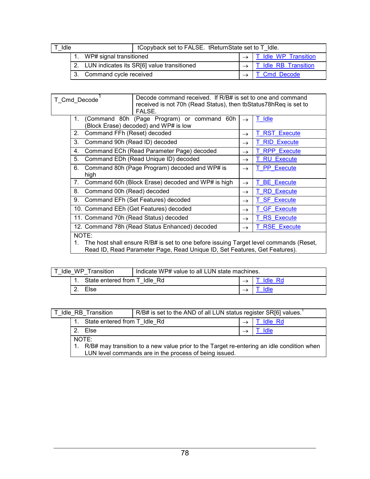<span id="page-81-0"></span>

| tCopyback set to FALSE. tReturnState set to T Idle.<br>I Idle |                            |                                               |  |                      |
|---------------------------------------------------------------|----------------------------|-----------------------------------------------|--|----------------------|
|                                                               | 1. WP# signal transitioned |                                               |  | T Idle WP Transition |
|                                                               |                            | 2. LUN indicates its SR[6] value transitioned |  | T Idle RB Transition |
|                                                               | 3. Command cycle received  |                                               |  | T Cmd Decode         |

| T Cmd Decode   | FALSE.                                                                                                                                                              | Decode command received. If R/B# is set to one and command<br>received is not 70h (Read Status), then tb Status 78h Req is set to |                         |  |  |  |
|----------------|---------------------------------------------------------------------------------------------------------------------------------------------------------------------|-----------------------------------------------------------------------------------------------------------------------------------|-------------------------|--|--|--|
| $1_{-}$        | (Command 80h (Page Program) or command 60h<br>(Block Erase) decoded) and WP# is low                                                                                 | $\rightarrow$                                                                                                                     | Idle                    |  |  |  |
| 2.             | Command FFh (Reset) decoded                                                                                                                                         | $\rightarrow$                                                                                                                     | <b>RST</b><br>Execute   |  |  |  |
| 3.             | Command 90h (Read ID) decoded                                                                                                                                       | $\rightarrow$                                                                                                                     | <b>RID Execute</b>      |  |  |  |
| 4.             | Command ECh (Read Parameter Page) decoded                                                                                                                           | $\rightarrow$                                                                                                                     | <b>RPP Execute</b>      |  |  |  |
| 5.             | Command EDh (Read Unique ID) decoded                                                                                                                                | $\rightarrow$                                                                                                                     | <b>RU Execute</b><br>Τ  |  |  |  |
| 6.<br>high     | Command 80h (Page Program) decoded and WP# is                                                                                                                       | $\rightarrow$                                                                                                                     | <b>PP</b> Execute<br>T. |  |  |  |
| 7 <sub>1</sub> | Command 60h (Block Erase) decoded and WP# is high                                                                                                                   | $\rightarrow$                                                                                                                     | <b>BE</b> Execute       |  |  |  |
| 8.             | Command 00h (Read) decoded                                                                                                                                          | $\rightarrow$                                                                                                                     | <b>RD</b> Execute       |  |  |  |
| 9.             | Command EFh (Set Features) decoded                                                                                                                                  | $\rightarrow$                                                                                                                     | <b>SF Execute</b>       |  |  |  |
|                | 10. Command EEh (Get Features) decoded                                                                                                                              | $\rightarrow$                                                                                                                     | <b>GF</b> Execute       |  |  |  |
|                | 11. Command 70h (Read Status) decoded                                                                                                                               | $\rightarrow$                                                                                                                     | <b>RS</b> Execute       |  |  |  |
|                | 12. Command 78h (Read Status Enhanced) decoded                                                                                                                      | $\rightarrow$                                                                                                                     | <b>RSE Execute</b>      |  |  |  |
| NOTE:          | The host shall ensure R/B# is set to one before issuing Target level commands (Reset,<br>Read ID, Read Parameter Page, Read Unique ID, Set Features, Get Features). |                                                                                                                                   |                         |  |  |  |

| Indicate WP# value to all LUN state machines.<br>Transition<br>Idle WP |                              |  |  |         |
|------------------------------------------------------------------------|------------------------------|--|--|---------|
|                                                                        | State entered from T Idle Rd |  |  | Idle Rd |
|                                                                        | Else                         |  |  |         |

| T Idle RB Transition                                                                                                                                | R/B# is set to the AND of all LUN status register SR[6] values. |  |                |
|-----------------------------------------------------------------------------------------------------------------------------------------------------|-----------------------------------------------------------------|--|----------------|
| State entered from T Idle Rd                                                                                                                        |                                                                 |  | <b>Idle Rd</b> |
| Else<br>2 <sub>1</sub>                                                                                                                              |                                                                 |  | Idle           |
| NOTE:                                                                                                                                               |                                                                 |  |                |
| R/B# may transition to a new value prior to the Target re-entering an idle condition when<br>LUN level commands are in the process of being issued. |                                                                 |  |                |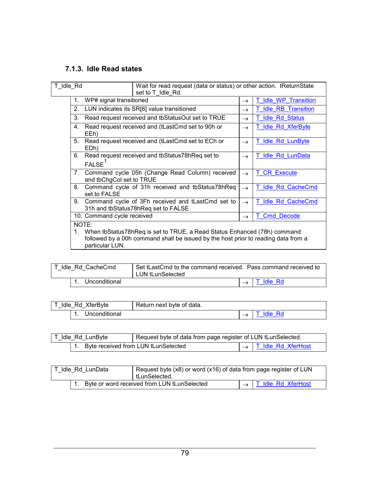# <span id="page-82-0"></span>**7.1.3. Idle Read states**

| T Idle Rd                                                                                                                                                                                     |                                                                                                                                                          | Wait for read request (data or status) or other action. tReturnState<br>set to T Idle Rd. |               |                                 |
|-----------------------------------------------------------------------------------------------------------------------------------------------------------------------------------------------|----------------------------------------------------------------------------------------------------------------------------------------------------------|-------------------------------------------------------------------------------------------|---------------|---------------------------------|
| 1.                                                                                                                                                                                            | WP# signal transitioned                                                                                                                                  |                                                                                           | $\rightarrow$ | <b>Idle WP Transition</b><br>T. |
| 2 <sub>1</sub>                                                                                                                                                                                |                                                                                                                                                          | LUN indicates its SR[6] value transitioned                                                | $\rightarrow$ | <b>Idle RB Transition</b>       |
| 3 <sub>1</sub>                                                                                                                                                                                |                                                                                                                                                          | Read request received and tbStatusOut set to TRUE                                         | $\rightarrow$ | <b>Idle Rd Status</b><br>T.     |
|                                                                                                                                                                                               | 4. Read request received and (tLastCmd set to 90h or<br>EEh)                                                                                             |                                                                                           | $\rightarrow$ | T Idle Rd XferByte              |
| 5 <sub>1</sub>                                                                                                                                                                                | EDh)                                                                                                                                                     | Read request received and (tLastCmd set to ECh or                                         | $\rightarrow$ | T Idle Rd LunByte               |
| 6.                                                                                                                                                                                            | FALSE <sup>1</sup>                                                                                                                                       | Read request received and tbStatus78hReq set to                                           | $\rightarrow$ | T Idle Rd LunData               |
|                                                                                                                                                                                               | 7. Command cycle 05h (Change Read Column) received<br>and tbChgCol set to TRUE<br>Command cycle of 31h received and tbStatus78hReq<br>8.<br>set to FALSE |                                                                                           | $\rightarrow$ | <b>CR Execute</b><br>T.         |
|                                                                                                                                                                                               |                                                                                                                                                          |                                                                                           | $\rightarrow$ | Idle Rd CacheCmd                |
| 9.                                                                                                                                                                                            |                                                                                                                                                          | Command cycle of 3Fh received and tLastCmd set to<br>31h and tbStatus78hReq set to FALSE  | $\rightarrow$ | T Idle Rd CacheCmd              |
|                                                                                                                                                                                               | 10. Command cycle received                                                                                                                               |                                                                                           | $\rightarrow$ | <b>Cmd Decode</b>               |
| NOTE:<br>1. When tbStatus78hReq is set to TRUE, a Read Status Enhanced (78h) command<br>followed by a 00h command shall be issued by the host prior to reading data from a<br>particular LUN. |                                                                                                                                                          |                                                                                           |               |                                 |

| Idle Rd CacheCmd | Set tLastCmd to the command received. Pass command received to<br>LUN tLunSelected |  |           |
|------------------|------------------------------------------------------------------------------------|--|-----------|
| Unconditional    |                                                                                    |  | . Idle Rd |

| Idle Rd XferByte | Return next byte of data. |              |
|------------------|---------------------------|--------------|
| Unconditional    |                           | - Ra<br>۹ΙΑ. |

| I Idle Rd LunByte                      | Request byte of data from page register of LUN tLunSelected. |                                  |
|----------------------------------------|--------------------------------------------------------------|----------------------------------|
| 1. Byte received from LUN tLunSelected |                                                              | $\rightarrow$ T Idle Rd XferHost |

| Idle Rd LunData | Request byte (x8) or word (x16) of data from page register of LUN<br>tLunSelected. |  |                                  |
|-----------------|------------------------------------------------------------------------------------|--|----------------------------------|
|                 | Byte or word received from LUN tLunSelected                                        |  | $\rightarrow$ T Idle Rd XferHost |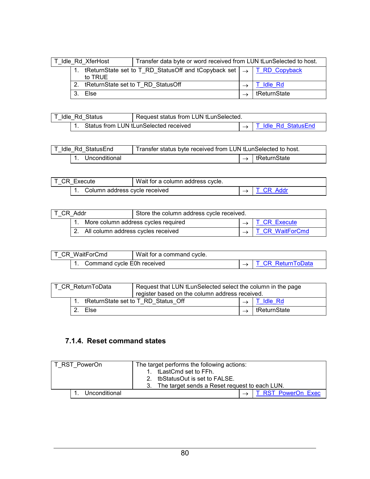<span id="page-83-0"></span>

| Transfer data byte or word received from LUN tLunSelected to host.<br>Idle Rd XferHost |                                    |                                                                                  |  |                 |
|----------------------------------------------------------------------------------------|------------------------------------|----------------------------------------------------------------------------------|--|-----------------|
|                                                                                        | to TRUE                            | tReturnState set to T_RD_StatusOff and tCopyback set $\rightarrow$ T_RD_Copyback |  |                 |
| 2.                                                                                     | tReturnState set to T RD StatusOff |                                                                                  |  | <b>Fldle Rd</b> |
|                                                                                        | Else                               |                                                                                  |  | tReturnState    |

| Request status from LUN tLunSelected.<br>IT Idle Rd Status |  |                                       |                      |
|------------------------------------------------------------|--|---------------------------------------|----------------------|
|                                                            |  | Status from LUN tLunSelected received | IT Idle Rd StatusEnd |

| T Idle Rd StatusEnd |               | Transfer status byte received from LUN tLunSelected to host. |               |                |
|---------------------|---------------|--------------------------------------------------------------|---------------|----------------|
|                     | Unconditional |                                                              | $\rightarrow$ | ∣ tReturnState |

| IT CR Execute |                               | Wait for a column address cycle. |           |
|---------------|-------------------------------|----------------------------------|-----------|
|               | Column address cycle received |                                  | T CR Addr |

| T CR Addr |                                       | Store the column address cycle received. |  |                               |
|-----------|---------------------------------------|------------------------------------------|--|-------------------------------|
|           |                                       | More column address cycles required      |  | $\rightarrow$ T CR Execute    |
|           | 2. All column address cycles received |                                          |  | $\rightarrow$ T CR WaitForCmd |

| IT CR WaitForCmd |  |                            | Wait for a command cycle. |                          |
|------------------|--|----------------------------|---------------------------|--------------------------|
|                  |  | Command cycle E0h received |                           | <b>T CR ReturnToData</b> |

| T CR ReturnToData |      | Request that LUN tLunSelected select the column in the page<br>register based on the column address received. |  |              |
|-------------------|------|---------------------------------------------------------------------------------------------------------------|--|--------------|
|                   |      | tReturnState set to T RD Status Off                                                                           |  | T Idle Rd    |
|                   | Else |                                                                                                               |  | tReturnState |

# **7.1.4. Reset command states**

| T RST PowerOn |               | The target performs the following actions:          |  |                    |
|---------------|---------------|-----------------------------------------------------|--|--------------------|
|               |               | 1. tLastCmd set to FFh.                             |  |                    |
|               |               | tbStatusOut is set to FALSE.<br>2 <sup>2</sup>      |  |                    |
|               |               | The target sends a Reset request to each LUN.<br>3. |  |                    |
|               | Unconditional |                                                     |  | T RST PowerOn Exec |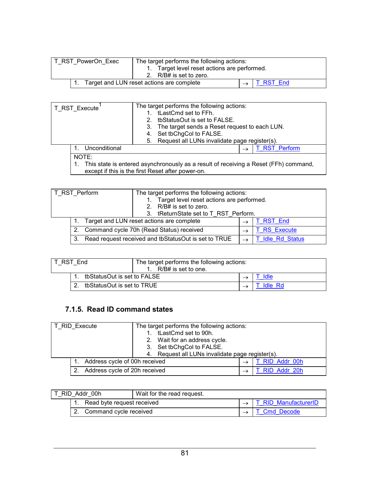<span id="page-84-0"></span>

| T RST PowerOn Exec | The target performs the following actions:<br>Target level reset actions are performed.<br>2. R/B# is set to zero. |                         |
|--------------------|--------------------------------------------------------------------------------------------------------------------|-------------------------|
|                    | Target and LUN reset actions are complete                                                                          | $\rightarrow$ T RST End |

| T RST Execute | The target performs the following actions:<br>tLastCmd set to FFh.<br>1.<br>tbStatusOut is set to FALSE.<br>The target sends a Reset request to each LUN.<br>3.<br>Set tbChgCol to FALSE.<br>4.<br>Request all LUNs invalidate page register(s).<br>5. |                    |
|---------------|--------------------------------------------------------------------------------------------------------------------------------------------------------------------------------------------------------------------------------------------------------|--------------------|
| Unconditional | $\rightarrow$                                                                                                                                                                                                                                          | <b>RST Perform</b> |
| NOTE:         | This state is entered asynchronously as a result of receiving a Reset (FFh) command,<br>except if this is the first Reset after power-on.                                                                                                              |                    |

| T RST Perform |                | The target performs the following actions:<br>Target level reset actions are performed.<br>2. R/B# is set to zero.<br>3. tReturnState set to T RST Perform. |  |                       |
|---------------|----------------|-------------------------------------------------------------------------------------------------------------------------------------------------------------|--|-----------------------|
|               |                | Target and LUN reset actions are complete                                                                                                                   |  | RST End               |
|               | 2 <sub>1</sub> | Command cycle 70h (Read Status) received                                                                                                                    |  | <b>RS</b> Execute     |
|               | 3.             | Read request received and tbStatusOut is set to TRUE                                                                                                        |  | <b>Idle Rd Status</b> |

| IT RST End |                             | The target performs the following actions:<br>R/B# is set to one. |  |                |
|------------|-----------------------------|-------------------------------------------------------------------|--|----------------|
|            | tbStatusOut is set to FALSE |                                                                   |  | Idle           |
|            | tbStatusOut is set to TRUE  |                                                                   |  | <b>Idle Rd</b> |

## **7.1.5. Read ID command states**

| T RID Execute |                               | The target performs the following actions:       |  |              |
|---------------|-------------------------------|--------------------------------------------------|--|--------------|
|               |                               | tLastCmd set to 90h.                             |  |              |
|               |                               | 2. Wait for an address cycle.                    |  |              |
|               |                               | 3. Set tbChgCol to FALSE.                        |  |              |
|               |                               | 4. Request all LUNs invalidate page register(s). |  |              |
|               | Address cycle of 00h received |                                                  |  | RID Addr 00h |
|               | Address cycle of 20h received |                                                  |  | RID Addr 20h |

| RID Addr 00h |                            | Wait for the read request. |                             |
|--------------|----------------------------|----------------------------|-----------------------------|
|              | Read byte request received |                            | <b>T RID ManufacturerID</b> |
|              | Command cycle received     |                            | T Cmd Decode                |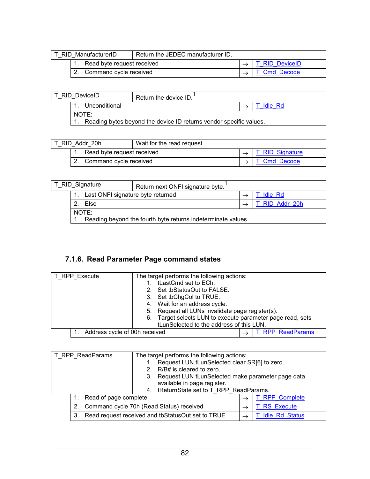<span id="page-85-0"></span>

| T RID ManufacturerID |                               | Return the JEDEC manufacturer ID. |                       |
|----------------------|-------------------------------|-----------------------------------|-----------------------|
|                      | 1. Read byte request received |                                   | <b>T RID DeviceID</b> |
|                      | Command cycle received        |                                   | <b>Cmd Decode</b>     |

|       | T RID DeviceID | Return the device ID.                                              |         |
|-------|----------------|--------------------------------------------------------------------|---------|
|       | Unconditional  |                                                                    | Idle Rd |
| NOTE: |                | Reading bytes beyond the device ID returns vendor specific values. |         |

| T RID Addr 20h |                            | Wait for the read request. |                               |
|----------------|----------------------------|----------------------------|-------------------------------|
|                | Read byte request received |                            | $\rightarrow$ T RID Signature |
|                | 2. Command cycle received  |                            | T Cmd Decode                  |

| T_RID_Signature |                                                              | Return next ONFI signature byte. |  |                |
|-----------------|--------------------------------------------------------------|----------------------------------|--|----------------|
|                 | Last ONFI signature byte returned                            |                                  |  | <b>Idle Rd</b> |
|                 | Else                                                         |                                  |  | T RID Addr 20h |
|                 | NOTE:                                                        |                                  |  |                |
|                 | Reading beyond the fourth byte returns indeterminate values. |                                  |  |                |

# **7.1.6. Read Parameter Page command states**

| T_RPP_Execute<br>The target performs the following actions: |                                                               |  |
|-------------------------------------------------------------|---------------------------------------------------------------|--|
|                                                             | tLastCmd set to ECh.                                          |  |
|                                                             | Set tbStatusOut to FALSE.                                     |  |
|                                                             | 3. Set tbChgCol to TRUE.                                      |  |
|                                                             | 4. Wait for an address cycle.                                 |  |
|                                                             | 5. Request all LUNs invalidate page register(s).              |  |
|                                                             | Target selects LUN to execute parameter page read, sets<br>6. |  |
|                                                             | tLunSelected to the address of this LUN.                      |  |
| Address cycle of 00h received                               | <b>T RPP ReadParams</b>                                       |  |

| T_RPP_ReadParams<br>3. |                       | The target performs the following actions:<br>Request LUN tLunSelected clear SR[6] to zero.<br>R/B# is cleared to zero.<br>Request LUN tLunSelected make parameter page data<br>available in page register.<br>tReturnState set to T RPP ReadParams.<br>4. |               |                       |
|------------------------|-----------------------|------------------------------------------------------------------------------------------------------------------------------------------------------------------------------------------------------------------------------------------------------------|---------------|-----------------------|
|                        | Read of page complete |                                                                                                                                                                                                                                                            | $\rightarrow$ | <b>T RPP Complete</b> |
|                        | 2 <sub>1</sub>        | Command cycle 70h (Read Status) received                                                                                                                                                                                                                   | $\rightarrow$ | <b>T RS Execute</b>   |
|                        | 3.                    | Read request received and tbStatusOut set to TRUE                                                                                                                                                                                                          |               | <b>Idle Rd Status</b> |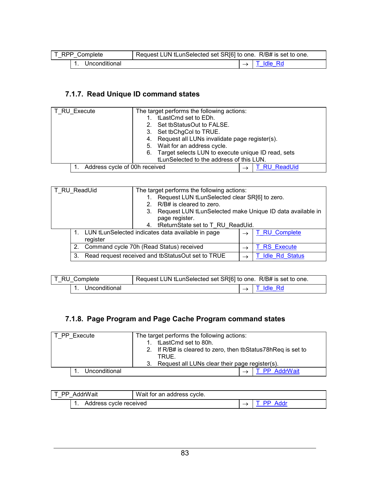<span id="page-86-0"></span>

| T_RPP_Complete | Request LUN tLunSelected set SR[6] to one. R/B# is set to one. |           |
|----------------|----------------------------------------------------------------|-----------|
| Unconditional  |                                                                | T Idle Rd |

# **7.1.7. Read Unique ID command states**

| T RU Execute                  | The target performs the following actions:            |  |  |
|-------------------------------|-------------------------------------------------------|--|--|
|                               | tLastCmd set to EDh.                                  |  |  |
|                               | Set tbStatusOut to FALSE.                             |  |  |
|                               | 3. Set tbChgCol to TRUE.                              |  |  |
|                               | 4. Request all LUNs invalidate page register(s).      |  |  |
|                               | 5. Wait for an address cycle.                         |  |  |
|                               | 6. Target selects LUN to execute unique ID read, sets |  |  |
|                               | tLunSelected to the address of this LUN.              |  |  |
| Address cycle of 00h received | <b>RU ReadUid</b>                                     |  |  |

| T RU ReadUid | The target performs the following actions:<br>R/B# is cleared to zero.<br>$2_{1}$<br>page register. | Request LUN tLunSelected clear SR[6] to zero.<br>3. Request LUN tLunSelected make Unique ID data available in |                   |
|--------------|-----------------------------------------------------------------------------------------------------|---------------------------------------------------------------------------------------------------------------|-------------------|
|              | 4. tReturnState set to T RU ReadUid.<br>LUN tLunSelected indicates data available in page           | $\rightarrow$                                                                                                 | T RU Complete     |
| register     |                                                                                                     |                                                                                                               |                   |
|              | Command cycle 70h (Read Status) received                                                            |                                                                                                               | <b>RS</b> Execute |
| 3.           | Read request received and tbStatusOut set to TRUE                                                   |                                                                                                               | T Idle Rd Status  |

| T_RU_Complete | Request LUN tLunSelected set SR[6] to one. R/B# is set to one. |  |                           |
|---------------|----------------------------------------------------------------|--|---------------------------|
| Unconditional |                                                                |  | $\rightarrow$   T Idle Rd |

# **7.1.8. Page Program and Page Cache Program command states**

| T PP Execute  | The target performs the following actions:<br>1. tLastCmd set to 80h.<br>2. If R/B# is cleared to zero, then tbStatus78hReg is set to<br>TRUE. |
|---------------|------------------------------------------------------------------------------------------------------------------------------------------------|
|               | 3. Request all LUNs clear their page register(s).                                                                                              |
| Unconditional | <b>PP</b> AddrWait                                                                                                                             |

| T PP AddrWait          | Wait for an address cycle. |                |
|------------------------|----------------------------|----------------|
| Address cycle received |                            | <b>PP</b> Addr |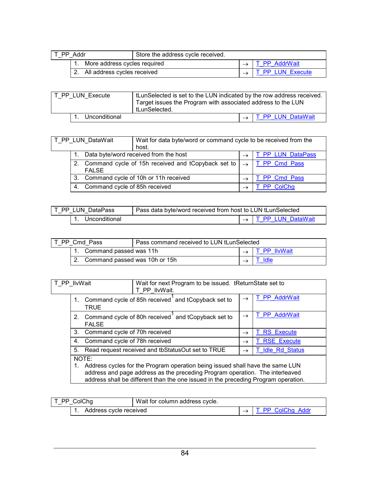<span id="page-87-0"></span>

| T PP Addr |                                | Store the address cycle received. |                  |
|-----------|--------------------------------|-----------------------------------|------------------|
|           | More address cycles required   |                                   | T PP AddrWait    |
|           | 2. All address cycles received |                                   | T PP LUN Execute |

| tLunSelected is set to the LUN indicated by the row address received.<br>T_PP_LUN_Execute<br>Target issues the Program with associated address to the LUN<br>tLunSelected. |  |  |                                 |
|----------------------------------------------------------------------------------------------------------------------------------------------------------------------------|--|--|---------------------------------|
| Unconditional                                                                                                                                                              |  |  | $\rightarrow$ T PP LUN DataWait |

| Wait for data byte/word or command cycle to be received from the<br>T PP LUN DataWait<br>host. |                                         |                                                                        |                   |
|------------------------------------------------------------------------------------------------|-----------------------------------------|------------------------------------------------------------------------|-------------------|
|                                                                                                |                                         | Data byte/word received from the host                                  | T PP LUN DataPass |
|                                                                                                | <b>FALSE</b>                            | Command cycle of 15h received and tCopyback set to $\vert \rightarrow$ | T PP Cmd Pass     |
|                                                                                                | 3. Command cycle of 10h or 11h received |                                                                        | PP Cmd Pass       |
|                                                                                                | Command cycle of 85h received<br>-4.    |                                                                        | PP ColChg         |

| T PP LUN DataPass | Pass data byte/word received from host to LUN tLunSelected |  |                                   |
|-------------------|------------------------------------------------------------|--|-----------------------------------|
| Unconditional     |                                                            |  | $\rightarrow$ I T PP LUN DataWait |

| T PP Cmd Pass |                                  |                           | Pass command received to LUN tLunSelected |  |              |
|---------------|----------------------------------|---------------------------|-------------------------------------------|--|--------------|
|               |                                  | 1. Command passed was 11h |                                           |  | T PP IlvWait |
|               | 2. Command passed was 10h or 15h |                           |                                           |  |              |

| T PP IlvWait                                                                                                                                                                                                                                        |                               | Wait for next Program to be issued. tReturnState set to<br>T PP IlvWait. |               |                       |
|-----------------------------------------------------------------------------------------------------------------------------------------------------------------------------------------------------------------------------------------------------|-------------------------------|--------------------------------------------------------------------------|---------------|-----------------------|
|                                                                                                                                                                                                                                                     | TRUE                          | Command cycle of 85h received and tCopyback set to                       | $\rightarrow$ | T PP AddrWait         |
| 2 <sub>1</sub>                                                                                                                                                                                                                                      | <b>FALSE</b>                  | Command cycle of 80h received and tCopyback set to                       | $\rightarrow$ | T PP AddrWait         |
| 3.                                                                                                                                                                                                                                                  | Command cycle of 70h received |                                                                          | $\rightarrow$ | <b>RS</b> Execute     |
| 4.                                                                                                                                                                                                                                                  | Command cycle of 78h received |                                                                          | $\rightarrow$ | <b>T RSE Execute</b>  |
| 5.                                                                                                                                                                                                                                                  |                               | Read request received and tbStatusOut set to TRUE                        |               | <b>Idle Rd Status</b> |
| NOTE:                                                                                                                                                                                                                                               |                               |                                                                          |               |                       |
| Address cycles for the Program operation being issued shall have the same LUN<br>address and page address as the preceding Program operation. The interleaved<br>address shall be different than the one issued in the preceding Program operation. |                               |                                                                          |               |                       |

| T PP ColChg            | Wait for column address cycle. |                  |
|------------------------|--------------------------------|------------------|
| Address cycle received |                                | T PP ColChg Addr |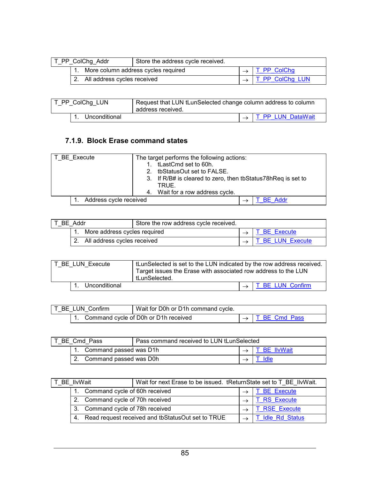<span id="page-88-0"></span>

| T PP ColChg Addr |                                        | Store the address cycle received. |                           |
|------------------|----------------------------------------|-----------------------------------|---------------------------|
|                  | 1. More column address cycles required |                                   | $\rightarrow$ T PP ColChg |
|                  | 2. All address cycles received         |                                   | T PP ColChg LUN           |

| T_PP_ColChg_LUN  | Request that LUN tLunSelected change column address to column<br>address received. |  |                                 |
|------------------|------------------------------------------------------------------------------------|--|---------------------------------|
| 1. Unconditional |                                                                                    |  | $\rightarrow$ T PP LUN DataWait |

### **7.1.9. Block Erase command states**

| T BE Execute           | The target performs the following actions:                   |
|------------------------|--------------------------------------------------------------|
|                        | tLastCmd set to 60h.                                         |
|                        | tbStatusOut set to FALSE.                                    |
|                        | 3. If R/B# is cleared to zero, then tbStatus78hReq is set to |
|                        | TRUE.                                                        |
|                        | 4. Wait for a row address cycle.                             |
| Address cycle received | <b>BE Addr</b>                                               |

| T BE Addr |                                | Store the row address cycle received. |  |                  |
|-----------|--------------------------------|---------------------------------------|--|------------------|
|           | More address cycles required   |                                       |  | T BE Execute     |
|           | 2. All address cycles received |                                       |  | T BE LUN Execute |

| T BE LUN Execute |  |               | tLunSelected is set to the LUN indicated by the row address received.<br>Target issues the Erase with associated row address to the LUN<br>tLunSelected. |                                |
|------------------|--|---------------|----------------------------------------------------------------------------------------------------------------------------------------------------------|--------------------------------|
|                  |  | Unconditional |                                                                                                                                                          | $\rightarrow$ T BE LUN Confirm |

| T BE LUN Confirm | Wait for D0h or D1h command cycle.   |                             |
|------------------|--------------------------------------|-----------------------------|
|                  | Command cycle of D0h or D1h received | $\rightarrow$ T BE Cmd Pass |

| T BE Cmd Pass |                        | Pass command received to LUN tLunSelected |  |              |
|---------------|------------------------|-------------------------------------------|--|--------------|
|               | Command passed was D1h |                                           |  | T BE IlvWait |
|               | Command passed was D0h |                                           |  | Idle         |

| BE IlvWait |                                                 | Wait for next Erase to be issued. tReturnState set to T_BE_IlvWait. |  |                       |
|------------|-------------------------------------------------|---------------------------------------------------------------------|--|-----------------------|
|            | Command cycle of 60h received                   |                                                                     |  | <b>BE Execute</b>     |
|            | Command cycle of 70h received<br>2 <sub>1</sub> |                                                                     |  | <b>RS</b> Execute     |
|            | Command cycle of 78h received<br>3.             |                                                                     |  | <b>RSE Execute</b>    |
|            |                                                 | 4. Read request received and tbStatusOut set to TRUE                |  | <b>Idle Rd Status</b> |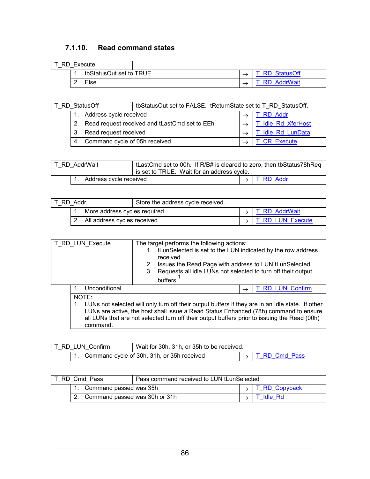### <span id="page-89-0"></span>**7.1.10. Read command states**

| T RD Execute |                         |  |                     |
|--------------|-------------------------|--|---------------------|
|              | tbStatusOut set to TRUE |  | <b>RD</b> StatusOff |
|              | Else                    |  | <b>RD</b> AddrWait  |

| RD StatusOff           |                                  | tbStatusOut set to FALSE. tReturnState set to T RD StatusOff. |  |                    |
|------------------------|----------------------------------|---------------------------------------------------------------|--|--------------------|
| Address cycle received |                                  |                                                               |  | RD Addr            |
|                        |                                  | 2. Read request received and tLastCmd set to EEh              |  | T Idle Rd XferHost |
|                        | 3. Read request received         |                                                               |  | Idle Rd LunData    |
|                        | 4. Command cycle of 05h received |                                                               |  | CR Execute         |

| T RD AddrWait             | tLastCmd set to 00h. If R/B# is cleared to zero, then tbStatus78hReg<br>is set to TRUE. Wait for an address cycle. |                         |
|---------------------------|--------------------------------------------------------------------------------------------------------------------|-------------------------|
| 1. Address cycle received |                                                                                                                    | $\rightarrow$ T RD Addr |

| RD Addr                        |  | Store the address cycle received. |                         |
|--------------------------------|--|-----------------------------------|-------------------------|
| More address cycles required   |  |                                   | T RD AddrWait           |
| 2. All address cycles received |  |                                   | <b>T RD LUN Execute</b> |

| T RD LUN Execute                                                                                                                                                                                                                                                                                              |               | The target performs the following actions:<br>tLunSelected is set to the LUN indicated by the row address<br>received.<br>Issues the Read Page with address to LUN tLunSelected.<br>Requests all idle LUNs not selected to turn off their output<br>3.<br>buffers. |  |                  |
|---------------------------------------------------------------------------------------------------------------------------------------------------------------------------------------------------------------------------------------------------------------------------------------------------------------|---------------|--------------------------------------------------------------------------------------------------------------------------------------------------------------------------------------------------------------------------------------------------------------------|--|------------------|
|                                                                                                                                                                                                                                                                                                               | Unconditional |                                                                                                                                                                                                                                                                    |  | T RD LUN Confirm |
| NOTE:<br>LUNs not selected will only turn off their output buffers if they are in an Idle state. If other<br>LUNs are active, the host shall issue a Read Status Enhanced (78h) command to ensure<br>all LUNs that are not selected turn off their output buffers prior to issuing the Read (00h)<br>command. |               |                                                                                                                                                                                                                                                                    |  |                  |

| T RD LUN Confirm | Wait for 30h, 31h, or 35h to be received.     |  |                             |
|------------------|-----------------------------------------------|--|-----------------------------|
|                  | 1. Command cycle of 30h, 31h, or 35h received |  | $\rightarrow$ T RD Cmd Pass |

| T RD Cmd Pass                 |  | Pass command received to LUN tLunSelected |  |                      |
|-------------------------------|--|-------------------------------------------|--|----------------------|
| Command passed was 35h        |  |                                           |  | <b>T RD Copyback</b> |
| Command passed was 30h or 31h |  |                                           |  | T Idle Rd            |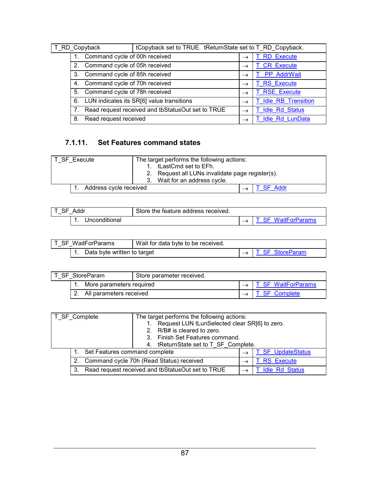<span id="page-90-0"></span>

| T_RD_Copyback |                                     |                               | tCopyback set to TRUE. tReturnState set to T RD Copyback. |               |                        |
|---------------|-------------------------------------|-------------------------------|-----------------------------------------------------------|---------------|------------------------|
|               |                                     | Command cycle of 00h received |                                                           |               | <b>RD</b> Execute      |
|               | 2 <sub>1</sub>                      | Command cycle of 05h received |                                                           |               | <b>CR Execute</b>      |
|               | Command cycle of 85h received<br>3. |                               |                                                           | $\rightarrow$ | T PP AddrWait          |
|               | Command cycle of 70h received<br>4. |                               |                                                           |               | <b>T RS Execute</b>    |
|               | Command cycle of 78h received<br>5. |                               |                                                           |               | <b>T RSE Execute</b>   |
|               | 6.                                  |                               | LUN indicates its SR[6] value transitions                 |               | T Idle RB Transition   |
|               |                                     |                               | Read request received and tbStatusOut set to TRUE         |               | <b>Idle Rd Status</b>  |
|               | Read request received<br>8.         |                               |                                                           |               | <b>Idle Rd LunData</b> |

# **7.1.11. Set Features command states**

| T SF Execute           | The target performs the following actions:          |  |
|------------------------|-----------------------------------------------------|--|
|                        | 1. tLastCmd set to EFh.                             |  |
|                        | Request all LUNs invalidate page register(s).<br>2. |  |
|                        | Wait for an address cycle.                          |  |
| Address cycle received | <b>SF Addr</b>                                      |  |

| Addr |               | Store the feature address received. |                      |
|------|---------------|-------------------------------------|----------------------|
|      | Unconditional |                                     | <b>WaitForParams</b> |

| T SF WaitForParams          | Wait for data byte to be received. |                               |
|-----------------------------|------------------------------------|-------------------------------|
| Data byte written to target |                                    | $\rightarrow$ T SF StoreParam |

| T SF StoreParam          |                         | Store parameter received. |                      |
|--------------------------|-------------------------|---------------------------|----------------------|
| More parameters required |                         |                           | T SF WaitForParams   |
|                          | All parameters received |                           | <b>T SF Complete</b> |

| T_SF_Complete                                     |  |                               | The target performs the following actions:<br>Request LUN tLunSelected clear SR[6] to zero.<br>2. R/B# is cleared to zero.<br>3. Finish Set Features command.<br>4. tReturnState set to T SF Complete. |               |                   |
|---------------------------------------------------|--|-------------------------------|--------------------------------------------------------------------------------------------------------------------------------------------------------------------------------------------------------|---------------|-------------------|
|                                                   |  | Set Features command complete |                                                                                                                                                                                                        | $\rightarrow$ | T SF UpdateStatus |
|                                                   |  |                               | Command cycle 70h (Read Status) received                                                                                                                                                               |               | <b>RS</b> Execute |
| Read request received and tbStatusOut set to TRUE |  |                               | <b>Idle Rd Status</b>                                                                                                                                                                                  |               |                   |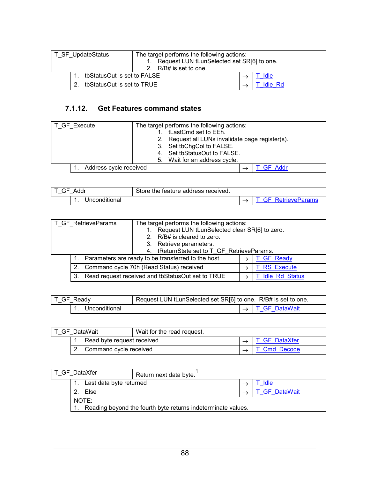<span id="page-91-0"></span>

| T SF UpdateStatus          |                             | The target performs the following actions:<br>Request LUN tLunSelected set SR[6] to one.<br>2. R/B# is set to one. |                |      |
|----------------------------|-----------------------------|--------------------------------------------------------------------------------------------------------------------|----------------|------|
|                            | tbStatusOut is set to FALSE |                                                                                                                    |                | Idle |
| tbStatusOut is set to TRUE |                             |                                                                                                                    | <b>Idle Rd</b> |      |

## **7.1.12. Get Features command states**

| T_GF_Execute           | The target performs the following actions:       |
|------------------------|--------------------------------------------------|
|                        | tLastCmd set to EEh.                             |
|                        | 2. Request all LUNs invalidate page register(s). |
|                        | 3. Set tbChgCol to FALSE.                        |
|                        | 4. Set tbStatusOut to FALSE.                     |
|                        | 5. Wait for an address cycle.                    |
| Address cycle received | GF Addr                                          |

| Addr<br>GF<br>_ | Store the feature address received. |                |
|-----------------|-------------------------------------|----------------|
| Unconditional   |                                     | RetrieveParams |

| T_GF_RetrieveParams                                     | R/B# is cleared to zero.<br>3. Retrieve parameters.<br>4. | The target performs the following actions:<br>Request LUN tLunSelected clear SR[6] to zero.<br>tReturnState set to T_GF_RetrieveParams. |                       |  |
|---------------------------------------------------------|-----------------------------------------------------------|-----------------------------------------------------------------------------------------------------------------------------------------|-----------------------|--|
|                                                         | Parameters are ready to be transferred to the host        |                                                                                                                                         | <b>T GF Ready</b>     |  |
| $2_{\cdot}$                                             | Command cycle 70h (Read Status) received                  |                                                                                                                                         | <b>RS</b> Execute     |  |
| Read request received and tbStatusOut set to TRUE<br>3. |                                                           |                                                                                                                                         | <b>Idle Rd Status</b> |  |

| T_GF_Ready    | Request LUN tLunSelected set SR[6] to one. R/B# is set to one. |  |                             |  |
|---------------|----------------------------------------------------------------|--|-----------------------------|--|
| Unconditional |                                                                |  | $\rightarrow$ T GF DataWait |  |

| T GF DataWait |                               | Wait for the read request. |  |               |
|---------------|-------------------------------|----------------------------|--|---------------|
|               | 1. Read byte request received |                            |  | T GF DataXfer |
|               | 2. Command cycle received     |                            |  | T Cmd Decode  |

| T GF DataXfer |                                                                       | Return next data byte. |  |                    |  |
|---------------|-----------------------------------------------------------------------|------------------------|--|--------------------|--|
|               | Last data byte returned                                               |                        |  | Idle               |  |
|               | $\mathcal{P}$<br>Else                                                 |                        |  | <b>GF</b> DataWait |  |
|               | NOTE:<br>Reading beyond the fourth byte returns indeterminate values. |                        |  |                    |  |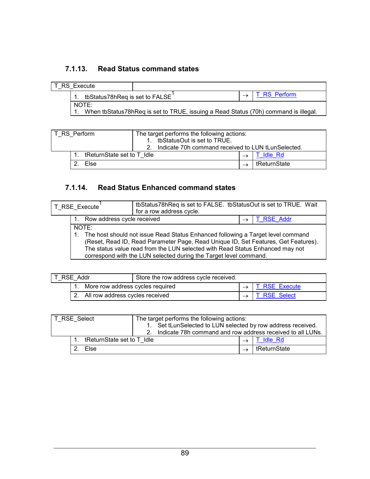## <span id="page-92-0"></span>**7.1.13. Read Status command states**

|                                | T RS Execute |                                                                                     |              |
|--------------------------------|--------------|-------------------------------------------------------------------------------------|--------------|
| tbStatus78hReg is set to FALSE |              |                                                                                     | T RS Perform |
|                                | NOTE:        | When tbStatus78hReq is set to TRUE, issuing a Read Status (70h) command is illegal. |              |

| T RS Perform |  |                            | The target performs the following actions:                           |  |  |                |
|--------------|--|----------------------------|----------------------------------------------------------------------|--|--|----------------|
|              |  |                            | tbStatusOut is set to TRUE.                                          |  |  |                |
|              |  |                            | Indicate 70h command received to LUN tLunSelected.<br>2 <sup>2</sup> |  |  |                |
|              |  | tReturnState set to T Idle |                                                                      |  |  | <b>Idle Rd</b> |
|              |  | Else                       |                                                                      |  |  | tReturnState   |

### **7.1.14. Read Status Enhanced command states**

| T RSE Execute                                                                                                                                                                                                                                                                                                                           |                            | tbStatus78hReq is set to FALSE. tbStatusOut is set to TRUE. Wait<br>for a row address cycle. |  |            |
|-----------------------------------------------------------------------------------------------------------------------------------------------------------------------------------------------------------------------------------------------------------------------------------------------------------------------------------------|----------------------------|----------------------------------------------------------------------------------------------|--|------------|
| 1.                                                                                                                                                                                                                                                                                                                                      | Row address cycle received |                                                                                              |  | T RSE Addr |
| NOTE:<br>1. The host should not issue Read Status Enhanced following a Target level command<br>(Reset, Read ID, Read Parameter Page, Read Unique ID, Set Features, Get Features).<br>The status value read from the LUN selected with Read Status Enhanced may not<br>correspond with the LUN selected during the Target level command. |                            |                                                                                              |  |            |

| T RSE Addr                         | Store the row address cycle received. |  |                             |
|------------------------------------|---------------------------------------|--|-----------------------------|
| More row address cycles required   |                                       |  | $\rightarrow$ T RSE Execute |
| 2. All row address cycles received |                                       |  | $\rightarrow$ T RSE Select  |

| 'T RSE Select |  |                            | The target performs the following actions:                    |  |              |
|---------------|--|----------------------------|---------------------------------------------------------------|--|--------------|
|               |  |                            | Set tLunSelected to LUN selected by row address received.     |  |              |
|               |  |                            | 2. Indicate 78h command and row address received to all LUNs. |  |              |
|               |  | tReturnState set to T Idle |                                                               |  | T Idle Rd    |
|               |  | Else                       |                                                               |  | tReturnState |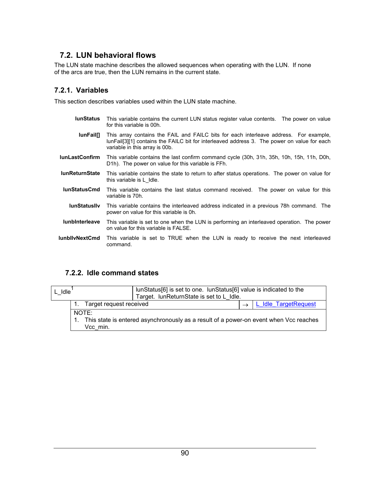### <span id="page-93-0"></span>**7.2. LUN behavioral flows**

The LUN state machine describes the allowed sequences when operating with the LUN. If none of the arcs are true, then the LUN remains in the current state.

#### **7.2.1. Variables**

This section describes variables used within the LUN state machine.

- **lunStatus** This variable contains the current LUN status register value contents. The power on value for this variable is 00h.
	- **lunFail[]** This array contains the FAIL and FAILC bits for each interleave address. For example, lunFail[3][1] contains the FAILC bit for interleaved address 3. The power on value for each variable in this array is 00b.
- **lunLastConfirm** This variable contains the last confirm command cycle (30h, 31h, 35h, 10h, 15h, 11h, D0h, D1h). The power on value for this variable is FFh.
- **lunReturnState** This variable contains the state to return to after status operations. The power on value for this variable is L\_Idle.
- **lunStatusCmd** This variable contains the last status command received. The power on value for this variable is 70h.
- **lunStatusIlv** This variable contains the interleaved address indicated in a previous 78h command. The power on value for this variable is 0h.
- **lunbInterleave** This variable is set to one when the LUN is performing an interleaved operation. The power on value for this variable is FALSE.
- **lunbIlvNextCmd** This variable is set to TRUE when the LUN is ready to receive the next interleaved command.

#### **7.2.2. Idle command states**

| Idle |                         | lunStatus[6] is set to one. lunStatus[6] value is indicated to the<br>Target. IunReturnState is set to L Idle. |  |                      |
|------|-------------------------|----------------------------------------------------------------------------------------------------------------|--|----------------------|
|      | Target request received |                                                                                                                |  | L Idle TargetRequest |
|      | NOTE:                   |                                                                                                                |  |                      |
|      | Vcc min.                | This state is entered asynchronously as a result of a power-on event when Vcc reaches                          |  |                      |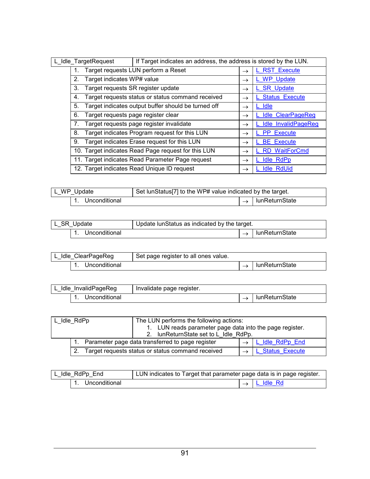<span id="page-94-0"></span>

| L_Idle_TargetRequest |    |                                     | If Target indicates an address, the address is stored by the LUN. |               |                            |
|----------------------|----|-------------------------------------|-------------------------------------------------------------------|---------------|----------------------------|
|                      |    |                                     | Target requests LUN perform a Reset                               |               | <b>RST Execute</b>         |
|                      | 2. | Target indicates WP# value          |                                                                   | $\rightarrow$ | L WP Update                |
|                      | 3. | Target requests SR register update  |                                                                   | $\rightarrow$ | <b>SR Update</b>           |
|                      | 4. |                                     | Target requests status or status command received                 | $\rightarrow$ | <b>Status Execute</b>      |
|                      | 5. |                                     | Target indicates output buffer should be turned off               | $\rightarrow$ | L Idle                     |
|                      | 6. | Target requests page register clear |                                                                   | $\rightarrow$ | <b>Idle ClearPageReg</b>   |
|                      | 7. |                                     | Target requests page register invalidate                          | $\rightarrow$ | <b>Idle InvalidPageReg</b> |
|                      | 8. |                                     | Target indicates Program request for this LUN                     | $\rightarrow$ | L PP Execute               |
|                      | 9. |                                     | Target indicates Erase request for this LUN                       | $\rightarrow$ | <b>BE</b> Execute          |
|                      |    |                                     | 10. Target indicates Read Page request for this LUN               | $\rightarrow$ | <b>RD</b> WaitForCmd       |
|                      |    |                                     | 11. Target indicates Read Parameter Page request                  | $\rightarrow$ | <b>Idle RdPp</b>           |
|                      |    |                                     | 12. Target indicates Read Unique ID request                       | $\rightarrow$ | <b>Idle RdUid</b>          |

| L_WP_Update |               | Set lunStatus <sup>[7]</sup> to the WP# value indicated by the target. |  |                |
|-------------|---------------|------------------------------------------------------------------------|--|----------------|
|             | Unconditional |                                                                        |  | lunReturnState |

| L SR Update |               | Update lunStatus as indicated by the target. |                |
|-------------|---------------|----------------------------------------------|----------------|
|             | Unconditional |                                              | lunReturnState |

| L Idle ClearPageReg<br>Set page register to all ones value. |  |                |
|-------------------------------------------------------------|--|----------------|
| Unconditional                                               |  | lunReturnState |

| Idle InvalidPageReg | Invalidate page register. |                |
|---------------------|---------------------------|----------------|
| Unconditional       |                           | lunReturnState |

| L Idle RdPp |  | The LUN performs the following actions:                                    |  |  |
|-------------|--|----------------------------------------------------------------------------|--|--|
|             |  | 1. LUN reads parameter page data into the page register.                   |  |  |
|             |  | 2. IunReturnState set to L Idle RdPp.                                      |  |  |
|             |  | Parameter page data transferred to page register<br>L Idle RdPp End        |  |  |
|             |  | Target requests status or status command received<br><b>Status Execute</b> |  |  |

| L Idle RdPp End | LUN indicates to Target that parameter page data is in page register. |  |                         |
|-----------------|-----------------------------------------------------------------------|--|-------------------------|
| Unconditional   |                                                                       |  | $\rightarrow$ L Idle Rd |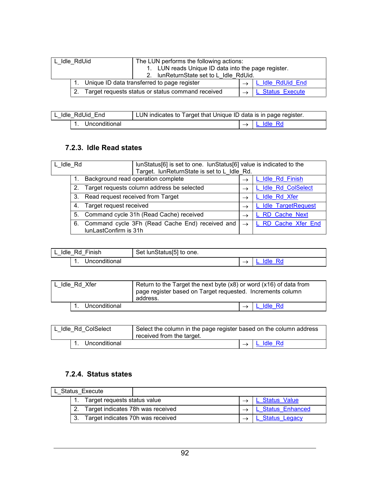<span id="page-95-0"></span>

| L Idle RdUid |  | The LUN performs the following actions:<br>1. LUN reads Unique ID data into the page register.<br>2. IunReturnState set to L Idle RdUid. |  |                  |
|--------------|--|------------------------------------------------------------------------------------------------------------------------------------------|--|------------------|
|              |  | Unique ID data transferred to page register                                                                                              |  | L Idle RdUid End |
|              |  | Target requests status or status command received                                                                                        |  | L Status Execute |

| l L Idle RdUid End | LUN indicates to Target that Unique ID data is in page register. |               |           |
|--------------------|------------------------------------------------------------------|---------------|-----------|
| Unconditional      |                                                                  | $\rightarrow$ | L Idle Rd |

#### **7.2.3. Idle Read states**

| L Idle Rd |    |                                   | lunStatus[6] is set to one. lunStatus[6] value is indicated to the<br>Target. lunReturnState is set to L Idle Rd. |  |               |                      |
|-----------|----|-----------------------------------|-------------------------------------------------------------------------------------------------------------------|--|---------------|----------------------|
|           |    |                                   | Background read operation complete                                                                                |  | $\rightarrow$ | L Idle Rd Finish     |
|           | 2. |                                   | Target requests column address be selected                                                                        |  | $\rightarrow$ | L Idle Rd ColSelect  |
|           | 3. | Read request received from Target |                                                                                                                   |  | $\rightarrow$ | L Idle Rd Xfer       |
|           | 4. | Target request received           |                                                                                                                   |  | $\rightarrow$ | L Idle TargetRequest |
|           |    |                                   | 5. Command cycle 31h (Read Cache) received                                                                        |  | $\rightarrow$ | L RD Cache Next      |
|           | 6. | lunLastConfirm is 31h             | Command cycle 3Fh (Read Cache End) received and                                                                   |  | $\rightarrow$ | L RD Cache Xfer End  |

| Idle Rd Finish | Set lunStatus[5] to one. |         |
|----------------|--------------------------|---------|
| Unconditional  |                          | ıdle Rd |

| L Idle Rd Xfer | Return to the Target the next byte (x8) or word (x16) of data from<br>page register based on Target requested. Increments column<br>address. |
|----------------|----------------------------------------------------------------------------------------------------------------------------------------------|
| Unconditional  | L Idle Rd                                                                                                                                    |

| L Idle Rd ColSelect | Select the column in the page register based on the column address<br>received from the target. |  |           |
|---------------------|-------------------------------------------------------------------------------------------------|--|-----------|
| Unconditional       |                                                                                                 |  | L Idle Rd |

### **7.2.4. Status states**

| L Status Execute                  |                                   |  |                      |
|-----------------------------------|-----------------------------------|--|----------------------|
|                                   | Target requests status value      |  | <b>Status Value</b>  |
| Target indicates 78h was received |                                   |  | L Status Enhanced    |
|                                   | Target indicates 70h was received |  | <b>Status Legacy</b> |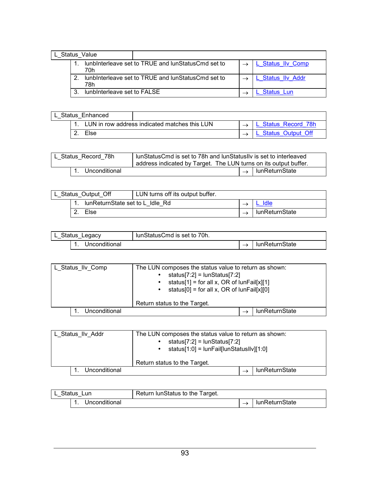<span id="page-96-0"></span>

| L Status Value |  |                             |                                                     |  |                        |
|----------------|--|-----------------------------|-----------------------------------------------------|--|------------------------|
|                |  | 70h                         | lunbinterleave set to TRUE and lunStatus Cmd set to |  | <u>Status IIv Comp</u> |
|                |  | 78h                         | lunbinterleave set to TRUE and lunStatusCmd set to  |  | . Status IIv Addr      |
|                |  | lunbInterleave set to FALSE |                                                     |  | Status Lun             |

| L Status Enhanced |                                               |                     |
|-------------------|-----------------------------------------------|---------------------|
|                   | LUN in row address indicated matches this LUN | L Status Record 78h |
| Else              |                                               | L Status Output Off |

| lunStatusCmd is set to 78h and lunStatusIIv is set to interleaved<br>L Status Record 78h<br>address indicated by Target. The LUN turns on its output buffer. |               |  |                                |
|--------------------------------------------------------------------------------------------------------------------------------------------------------------|---------------|--|--------------------------------|
|                                                                                                                                                              | Unconditional |  | $\rightarrow$   lunReturnState |

| LUN turns off its output buffer.<br>L Status Output Off |  |  |                |
|---------------------------------------------------------|--|--|----------------|
| lunReturnState set to L Idle Rd                         |  |  |                |
| Else                                                    |  |  | lunReturnState |

| L Status Legacy<br>lunStatusCmd is set to 70h. |  |                |
|------------------------------------------------|--|----------------|
| Unconditional                                  |  | lunReturnState |

| L_Status_Ilv_Comp | The LUN composes the status value to return as shown:<br>status[7:2] = $l$ unStatus[7:2]<br>status[1] = for all x, OR of $ unFail[x][1]$<br>status[0] = for all x, OR of $ unFail[x][0]$<br>Return status to the Target. |  |
|-------------------|--------------------------------------------------------------------------------------------------------------------------------------------------------------------------------------------------------------------------|--|
| Unconditional     | lunReturnState                                                                                                                                                                                                           |  |

| L Status IIv Addr | The LUN composes the status value to return as shown:<br>status[7:2] = $l$ unStatus[7:2]<br>status[1:0] = $ unFaif unStatus  v][1:0 $<br>Return status to the Target. |  |
|-------------------|-----------------------------------------------------------------------------------------------------------------------------------------------------------------------|--|
| Unconditional     | lunReturnState                                                                                                                                                        |  |

| Status Lun    | Return lunStatus to the Target. |                |
|---------------|---------------------------------|----------------|
| Unconditional |                                 | lunReturnState |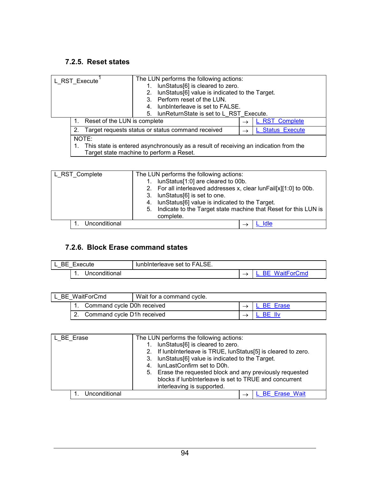### <span id="page-97-0"></span>**7.2.5. Reset states**

| L_RST_Execute |                              | The LUN performs the following actions:<br>lunStatus[6] is cleared to zero.<br>lunStatus[6] value is indicated to the Target.<br>2.<br>Perform reset of the LUN.<br>lunbinterleave is set to FALSE.<br>4.<br>lunReturnState is set to L RST Execute.<br>5. |               |                  |
|---------------|------------------------------|------------------------------------------------------------------------------------------------------------------------------------------------------------------------------------------------------------------------------------------------------------|---------------|------------------|
|               | Reset of the LUN is complete |                                                                                                                                                                                                                                                            | $\rightarrow$ | L RST Complete   |
|               | 2.                           | Target requests status or status command received                                                                                                                                                                                                          |               | L Status Execute |
|               | NOTE:                        | This state is entered asynchronously as a result of receiving an indication from the<br>Target state machine to perform a Reset.                                                                                                                           |               |                  |

| L RST Complete | The LUN performs the following actions:<br>lunStatus[1:0] are cleared to 00b.<br>1.<br>2. For all interleaved addresses x, clear lunFail[x][1:0] to 00b.<br>3. IunStatus[6] is set to one.<br>4. IunStatus[6] value is indicated to the Target.<br>Indicate to the Target state machine that Reset for this LUN is<br>5.<br>complete. |
|----------------|---------------------------------------------------------------------------------------------------------------------------------------------------------------------------------------------------------------------------------------------------------------------------------------------------------------------------------------|
| Unconditional  |                                                                                                                                                                                                                                                                                                                                       |

#### **7.2.6. Block Erase command states**

| lunbinterleave set to FALSE.<br><b>BE</b> Execute |  |                   |
|---------------------------------------------------|--|-------------------|
| Unconditional                                     |  | WaitForCmd<br>⊶ – |

| BE WaitForCmd |                            | Wait for a command cycle.  |  |            |
|---------------|----------------------------|----------------------------|--|------------|
|               | Command cycle D0h received |                            |  | L BE Erase |
|               |                            | Command cycle D1h received |  | BE llv     |

| L BE Erase    | The LUN performs the following actions:<br>1. lunStatus[6] is cleared to zero.<br>2. If lunbinterleave is TRUE, lunStatus[5] is cleared to zero.<br>3. IunStatus[6] value is indicated to the Target.<br>4. IunLastConfirm set to D0h.<br>5. Erase the requested block and any previously requested<br>blocks if lunbInterleave is set to TRUE and concurrent<br>interleaving is supported. |
|---------------|---------------------------------------------------------------------------------------------------------------------------------------------------------------------------------------------------------------------------------------------------------------------------------------------------------------------------------------------------------------------------------------------|
| Unconditional | L BE Erase Wait                                                                                                                                                                                                                                                                                                                                                                             |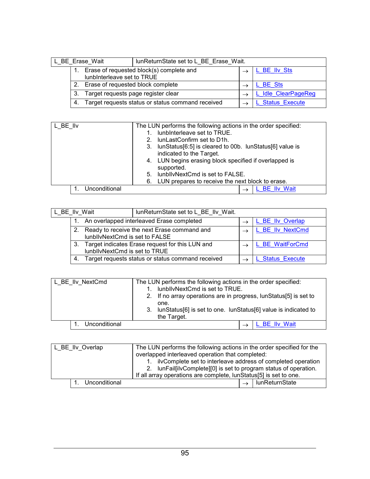<span id="page-98-0"></span>

| L BE Erase Wait            |                                           | lunReturnState set to L_BE_Erase_Wait.            |                       |
|----------------------------|-------------------------------------------|---------------------------------------------------|-----------------------|
| lunbinterleave set to TRUE |                                           | Erase of requested block(s) complete and          | BE Ilv Sts            |
|                            | Erase of requested block complete         |                                                   | <b>BE</b> Sts         |
|                            | Target requests page register clear<br>З. |                                                   | L Idle ClearPageReg   |
|                            | 4.                                        | Target requests status or status command received | <b>Status Execute</b> |

| L BE IIv      | The LUN performs the following actions in the order specified:       |
|---------------|----------------------------------------------------------------------|
|               | lunbinterleave set to TRUE.<br>1.                                    |
|               | lunLastConfirm set to D1h.<br>$2 -$                                  |
|               | 3. IunStatus[6:5] is cleared to 00b. IunStatus[6] value is           |
|               | indicated to the Target.                                             |
|               | 4. LUN begins erasing block specified if overlapped is<br>supported. |
|               | 5. IunblivNextCmd is set to FALSE.                                   |
|               | 6. LUN prepares to receive the next block to erase.                  |
| Unconditional | <b>BE</b> IIv Wait                                                   |

| L_BE_IIv_Wait                             |                                                                                          | lunReturnState set to L BE IIv Wait.                                             |  |                       |
|-------------------------------------------|------------------------------------------------------------------------------------------|----------------------------------------------------------------------------------|--|-----------------------|
| An overlapped interleaved Erase completed |                                                                                          |                                                                                  |  | L BE IIv Overlap      |
|                                           | Ready to receive the next Erase command and<br>$2_{-}$<br>lunbllvNextCmd is set to FALSE |                                                                                  |  | L BE IIv NextCmd      |
|                                           | 3.                                                                                       | Target indicates Erase request for this LUN and<br>lunbllvNextCmd is set to TRUE |  | L BE WaitForCmd       |
|                                           | Target requests status or status command received<br>4.                                  |                                                                                  |  | <b>Status Execute</b> |

| L BE IIv NextCmd | The LUN performs the following actions in the order specified:<br>lunbllvNextCmd is set to TRUE.<br>1.<br>2. If no array operations are in progress, lunStatus[5] is set to<br>one.<br>3. IunStatus[6] is set to one. IunStatus[6] value is indicated to<br>the Target. |
|------------------|-------------------------------------------------------------------------------------------------------------------------------------------------------------------------------------------------------------------------------------------------------------------------|
| Unconditional    | L BE Ilv Wait                                                                                                                                                                                                                                                           |

| L BE IIv Overlap                                                  |  | The LUN performs the following actions in the order specified for the<br>overlapped interleaved operation that completed:<br>ilvComplete set to interleave address of completed operation |  |  |  |  |                |
|-------------------------------------------------------------------|--|-------------------------------------------------------------------------------------------------------------------------------------------------------------------------------------------|--|--|--|--|----------------|
| 2. IunFail[ilvComplete][0] is set to program status of operation. |  |                                                                                                                                                                                           |  |  |  |  |                |
| If all array operations are complete, lunStatus[5] is set to one. |  |                                                                                                                                                                                           |  |  |  |  |                |
|                                                                   |  | Unconditional                                                                                                                                                                             |  |  |  |  | lunReturnState |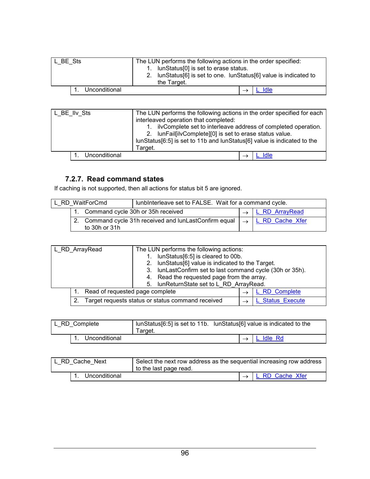<span id="page-99-0"></span>

| L BE Sts      | The LUN performs the following actions in the order specified:<br>1. IunStatus[0] is set to erase status.<br>lunStatus[6] is set to one. lunStatus[6] value is indicated to<br>2 <sub>1</sub><br>the Target. |
|---------------|--------------------------------------------------------------------------------------------------------------------------------------------------------------------------------------------------------------|
| Unconditional | Idle                                                                                                                                                                                                         |

| L BE IIv Sts  | The LUN performs the following actions in the order specified for each<br>interleaved operation that completed:<br>ilvComplete set to interleave address of completed operation.<br>2. IunFailfilvComplete][0] is set to erase status value.<br>lunStatus[6:5] is set to 11b and lunStatus[6] value is indicated to the |
|---------------|-------------------------------------------------------------------------------------------------------------------------------------------------------------------------------------------------------------------------------------------------------------------------------------------------------------------------|
|               | Target.                                                                                                                                                                                                                                                                                                                 |
| Unconditional | Idle                                                                                                                                                                                                                                                                                                                    |

### **7.2.7. Read command states**

If caching is not supported, then all actions for status bit 5 are ignored.

| L RD WaitForCmd                   |                                                                                    | lunbinterleave set to FALSE. Wait for a command cycle. |  |                 |
|-----------------------------------|------------------------------------------------------------------------------------|--------------------------------------------------------|--|-----------------|
| Command cycle 30h or 35h received |                                                                                    |                                                        |  | L RD ArrayRead  |
|                                   | Command cycle 31h received and lunLastConfirm equal $\rightarrow$<br>to 30h or 31h |                                                        |  | L RD Cache Xfer |

| L_RD_ArrayRead |                                 | The LUN performs the following actions:           |                                                           |  |                       |
|----------------|---------------------------------|---------------------------------------------------|-----------------------------------------------------------|--|-----------------------|
|                |                                 | lunStatus[6:5] is cleared to 00b.                 |                                                           |  |                       |
|                |                                 | 2. IunStatus[6] value is indicated to the Target. |                                                           |  |                       |
|                |                                 |                                                   | 3. IunLastConfirm set to last command cycle (30h or 35h). |  |                       |
|                |                                 |                                                   | 4. Read the requested page from the array.                |  |                       |
|                |                                 |                                                   | 5. IunReturnState set to L RD ArrayRead.                  |  |                       |
|                | Read of requested page complete |                                                   |                                                           |  | L RD Complete         |
|                |                                 |                                                   | Target requests status or status command received         |  | <b>Status Execute</b> |

| L RD Complete | Target. | lunStatus[6:5] is set to 11b. lunStatus[6] value is indicated to the |  |           |
|---------------|---------|----------------------------------------------------------------------|--|-----------|
| Unconditional |         |                                                                      |  | L Idle Rd |

| L RD Cache Next | Select the next row address as the sequential increasing row address<br>to the last page read. |  |                               |
|-----------------|------------------------------------------------------------------------------------------------|--|-------------------------------|
| Unconditional   |                                                                                                |  | $\rightarrow$ L RD Cache Xfer |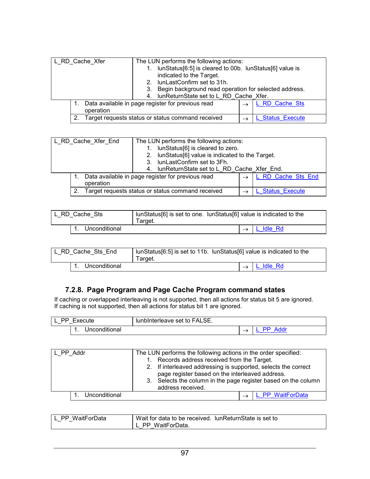<span id="page-100-0"></span>

| L_RD_Cache_Xfer |           | The LUN performs the following actions:<br>lunStatus[6:5] is cleared to 00b. lunStatus[6] value is<br>indicated to the Target.<br>lunLastConfirm set to 31h.<br>Begin background read operation for selected address. |  |                       |
|-----------------|-----------|-----------------------------------------------------------------------------------------------------------------------------------------------------------------------------------------------------------------------|--|-----------------------|
|                 |           | 3.                                                                                                                                                                                                                    |  |                       |
|                 |           | lunReturnState set to L RD Cache Xfer.                                                                                                                                                                                |  |                       |
|                 |           | Data available in page register for previous read                                                                                                                                                                     |  | L RD Cache Sts        |
|                 | operation |                                                                                                                                                                                                                       |  |                       |
|                 |           | Target requests status or status command received                                                                                                                                                                     |  | <b>Status Execute</b> |

| L RD_Cache_Xfer_End |           | The LUN performs the following actions:<br>lunStatus[6] is cleared to zero.<br>lunStatus[6] value is indicated to the Target.<br>2 <sub>1</sub><br>lunLastConfirm set to 3Fh.<br>3 |                    |
|---------------------|-----------|------------------------------------------------------------------------------------------------------------------------------------------------------------------------------------|--------------------|
|                     |           | lunReturnState set to L RD Cache Xfer End.<br>4.                                                                                                                                   |                    |
|                     | operation | Data available in page register for previous read                                                                                                                                  | L RD Cache Sts End |
|                     |           | Target requests status or status command received                                                                                                                                  | L Status Execute   |

| L RD Cache Sts | lunStatus[6] is set to one. lunStatus[6] value is indicated to the<br>Target. |  |                    |
|----------------|-------------------------------------------------------------------------------|--|--------------------|
| Unconditional  |                                                                               |  | <u>I L Idle Rd</u> |

| L RD Cache Sts End | lunStatus[6:5] is set to 11b. lunStatus[6] value is indicated to the<br>Target. |  |           |
|--------------------|---------------------------------------------------------------------------------|--|-----------|
| Unconditional      |                                                                                 |  | L Idle Rd |

#### **7.2.8. Page Program and Page Cache Program command states**

If caching or overlapped interleaving is not supported, then all actions for status bit 5 are ignored. If caching is not supported, then all actions for status bit 1 are ignored.

| ecute? |                             | FALSE.<br>lunbinterleave set to ' |  |
|--------|-----------------------------|-----------------------------------|--|
|        | <i>Inconditional</i><br>. . |                                   |  |

| L PP Addr |               | The LUN performs the following actions in the order specified:<br>1. Records address received from the Target.<br>2. If interleaved addressing is supported, selects the correct<br>page register based on the interleaved address.<br>3. Selects the column in the page register based on the column |  |  |
|-----------|---------------|-------------------------------------------------------------------------------------------------------------------------------------------------------------------------------------------------------------------------------------------------------------------------------------------------------|--|--|
|           |               | address received.                                                                                                                                                                                                                                                                                     |  |  |
|           | Unconditional | L PP WaitForData                                                                                                                                                                                                                                                                                      |  |  |

| PP WaitForData | Wait for data to be received. IunReturnState is set to |
|----------------|--------------------------------------------------------|
|                | . PP WaitForData.                                      |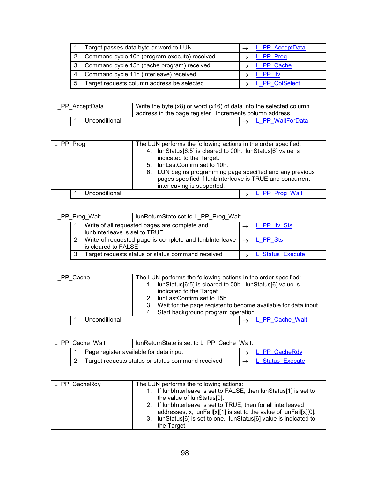|                | Target passes data byte or word to LUN          | L PP AcceptData     |
|----------------|-------------------------------------------------|---------------------|
|                | 2. Command cycle 10h (program execute) received | PP Prog             |
|                | 3. Command cycle 15h (cache program) received   | PP Cache            |
|                | 4. Command cycle 11h (interleave) received      | PP II <sub>V</sub>  |
| 5 <sub>1</sub> | Target requests column address be selected      | <b>PP ColSelect</b> |

| L PP AcceptData  | Write the byte $(x8)$ or word $(x16)$ of data into the selected column<br>' address in the page register. Increments column address. |  |                                |
|------------------|--------------------------------------------------------------------------------------------------------------------------------------|--|--------------------------------|
| 1. Unconditional |                                                                                                                                      |  | $\rightarrow$ L PP WaitForData |

| L_PP_Prog     | The LUN performs the following actions in the order specified:<br>4. IunStatus[6:5] is cleared to 00h. IunStatus[6] value is<br>indicated to the Target.<br>5. IunLastConfirm set to 10h.<br>6. LUN begins programming page specified and any previous |
|---------------|--------------------------------------------------------------------------------------------------------------------------------------------------------------------------------------------------------------------------------------------------------|
|               | pages specified if lunbInterleave is TRUE and concurrent<br>interleaving is supported.                                                                                                                                                                 |
| Unconditional | L PP Prog Wait                                                                                                                                                                                                                                         |

| L PP Prog Wait                | lunReturnState set to L PP Prog Wait.                                      |  |                  |
|-------------------------------|----------------------------------------------------------------------------|--|------------------|
| lunbInterleave is set to TRUE | Write of all requested pages are complete and                              |  | L PP IIv Sts     |
| 2.<br>is cleared to FALSE     | Write of requested page is complete and lunbinterleave $\vert \rightarrow$ |  | L PP Sts         |
| 3.                            | Target requests status or status command received                          |  | L Status Execute |

| L PP Cache |               | The LUN performs the following actions in the order specified:       |  |  |  |
|------------|---------------|----------------------------------------------------------------------|--|--|--|
|            |               | 1. IunStatus[6:5] is cleared to 00b. IunStatus[6] value is           |  |  |  |
|            |               | indicated to the Target.                                             |  |  |  |
|            |               | 2. IunLastConfirm set to 15h.                                        |  |  |  |
|            |               | Wait for the page register to become available for data input.<br>3. |  |  |  |
|            |               | 4. Start background program operation.                               |  |  |  |
|            | Unconditional | L PP Cache Wait                                                      |  |  |  |

| L PP Cache Wait |  | lunReturnState is set to L PP Cache Wait.            |  |                  |
|-----------------|--|------------------------------------------------------|--|------------------|
|                 |  | 1. Page register available for data input            |  | L PP CacheRdy    |
|                 |  | 2. Target requests status or status command received |  | L Status Execute |

| L PP CacheRdy | The LUN performs the following actions:                                                                                            |
|---------------|------------------------------------------------------------------------------------------------------------------------------------|
|               | 1. If lunbinterleave is set to FALSE, then lunStatus[1] is set to<br>the value of lunStatus[0].                                    |
|               | 2. If lunbinterleave is set to TRUE, then for all interleaved<br>addresses, x, lunFail[x][1] is set to the value of lunFail[x][0]. |
|               | 3. IunStatus [6] is set to one. IunStatus [6] value is indicated to<br>the Target.                                                 |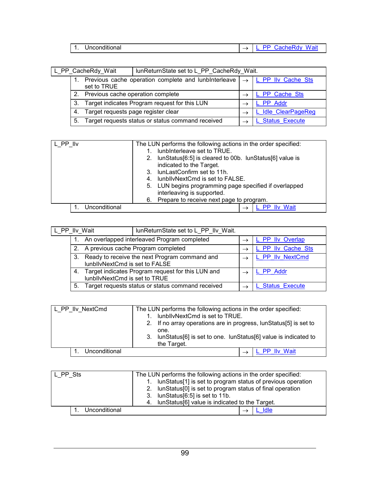<span id="page-102-0"></span>

| <br><br>п<br>наг<br>. . | $\sim$ |
|-------------------------|--------|

| lunReturnState set to L_PP_CacheRdy_Wait.<br>L PP CacheRdy Wait |                                                                                     |                                                   |                     |
|-----------------------------------------------------------------|-------------------------------------------------------------------------------------|---------------------------------------------------|---------------------|
|                                                                 | Previous cache operation complete and lunbinterleave $  \rightarrow$<br>set to TRUE |                                                   | L PP IIv Cache Sts  |
|                                                                 | 2. Previous cache operation complete                                                |                                                   | L PP Cache Sts      |
|                                                                 | Target indicates Program request for this LUN<br>3.                                 |                                                   | L PP Addr           |
|                                                                 | Target requests page register clear<br>4.                                           |                                                   | L Idle ClearPageReg |
|                                                                 | 5.                                                                                  | Target requests status or status command received | L Status Execute    |

| L PP IIv |               | The LUN performs the following actions in the order specified: |  |  |
|----------|---------------|----------------------------------------------------------------|--|--|
|          |               | lunbinterleave set to TRUE.                                    |  |  |
|          |               | 2. IunStatus[6:5] is cleared to 00b. IunStatus[6] value is     |  |  |
|          |               | indicated to the Target.                                       |  |  |
|          |               | 3. IunLastConfirm set to 11h.                                  |  |  |
|          |               | lunbllvNextCmd is set to FALSE.<br>4.                          |  |  |
|          |               | 5. LUN begins programming page specified if overlapped         |  |  |
|          |               | interleaving is supported.                                     |  |  |
|          |               | 6. Prepare to receive next page to program.                    |  |  |
|          | Unconditional | <b>PP IIv Wait</b>                                             |  |  |

| lunReturnState set to L_PP_IIv_Wait.<br>L PP IIv Wait |                                |                                                   |               |                       |
|-------------------------------------------------------|--------------------------------|---------------------------------------------------|---------------|-----------------------|
|                                                       |                                | An overlapped interleaved Program completed       |               | L PP IIv Overlap      |
|                                                       |                                | 2. A previous cache Program completed             | $\rightarrow$ | L PP IIv Cache Sts    |
| 3.                                                    | lunbllvNextCmd is set to FALSE | Ready to receive the next Program command and     |               | L PP IIv NextCmd      |
| 4.                                                    | lunbllvNextCmd is set to TRUE  | Target indicates Program request for this LUN and |               | L PP Addr             |
| 5.                                                    |                                | Target requests status or status command received |               | <b>Status Execute</b> |

| L_PP_IIv_NextCmd | The LUN performs the following actions in the order specified:    |  |  |  |
|------------------|-------------------------------------------------------------------|--|--|--|
|                  | lunbllvNextCmd is set to TRUE.                                    |  |  |  |
|                  | 2. If no array operations are in progress, lunStatus[5] is set to |  |  |  |
|                  | one.                                                              |  |  |  |
|                  | 3. IunStatus[6] is set to one. IunStatus[6] value is indicated to |  |  |  |
|                  | the Target.                                                       |  |  |  |
| Unconditional    | L PP IIv Wait                                                     |  |  |  |

| The LUN performs the following actions in the order specified:<br>L PP Sts |                                                                |  |  |
|----------------------------------------------------------------------------|----------------------------------------------------------------|--|--|
|                                                                            | 1. IunStatus[1] is set to program status of previous operation |  |  |
|                                                                            | 2. IunStatus[0] is set to program status of final operation    |  |  |
|                                                                            | 3. IunStatus[6:5] is set to 11b.                               |  |  |
|                                                                            | 4. IunStatus[6] value is indicated to the Target.              |  |  |
| Unconditional                                                              | Idle                                                           |  |  |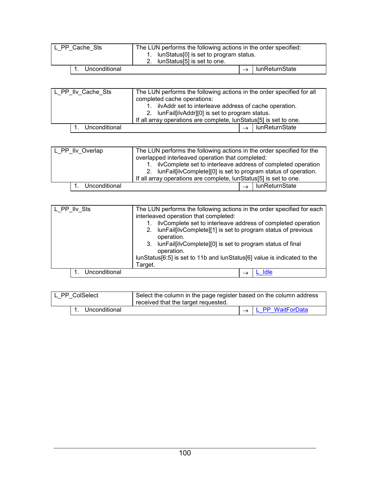<span id="page-103-0"></span>

| L PP Cache Sts | The LUN performs the following actions in the order specified:<br>lunStatus[0] is set to program status.<br>2. lunStatus[5] is set to one. |  |                |
|----------------|--------------------------------------------------------------------------------------------------------------------------------------------|--|----------------|
| Unconditional  |                                                                                                                                            |  | lunReturnState |

| L_PP_IIv_Cache_Sts | The LUN performs the following actions in the order specified for all<br>completed cache operations:      |  |  |  |
|--------------------|-----------------------------------------------------------------------------------------------------------|--|--|--|
|                    | ilvAddr set to interleave address of cache operation.<br>2. IunFail[ilvAddr][0] is set to program status. |  |  |  |
|                    | If all array operations are complete, lunStatus[5] is set to one.                                         |  |  |  |
| Unconditional      | lunReturnState                                                                                            |  |  |  |
|                    |                                                                                                           |  |  |  |

| L PP IIv Overlap                                             |  |               | The LUN performs the following actions in the order specified for the |  |  |  |                |
|--------------------------------------------------------------|--|---------------|-----------------------------------------------------------------------|--|--|--|----------------|
| overlapped interleaved operation that completed:             |  |               |                                                                       |  |  |  |                |
| ilvComplete set to interleave address of completed operation |  |               |                                                                       |  |  |  |                |
|                                                              |  |               | 2. IunFail[ilvComplete][0] is set to program status of operation.     |  |  |  |                |
|                                                              |  |               | If all array operations are complete, lunStatus[5] is set to one.     |  |  |  |                |
|                                                              |  | Unconditional |                                                                       |  |  |  | lunReturnState |

| L PP IIv Sts |               | The LUN performs the following actions in the order specified for each<br>interleaved operation that completed:<br>ilvComplete set to interleave address of completed operation<br>lunFail[ilvComplete][1] is set to program status of previous<br>2.<br>operation.<br>3. IunFail[ilvComplete][0] is set to program status of final<br>operation.<br>lunStatus[6:5] is set to 11b and lunStatus[6] value is indicated to the<br>Target. |  |  |      |
|--------------|---------------|-----------------------------------------------------------------------------------------------------------------------------------------------------------------------------------------------------------------------------------------------------------------------------------------------------------------------------------------------------------------------------------------------------------------------------------------|--|--|------|
|              |               |                                                                                                                                                                                                                                                                                                                                                                                                                                         |  |  |      |
|              | Unconditional |                                                                                                                                                                                                                                                                                                                                                                                                                                         |  |  | Idle |

| L PP ColSelect |               | Select the column in the page register based on the column address<br>received that the target requested. |  |                  |  |
|----------------|---------------|-----------------------------------------------------------------------------------------------------------|--|------------------|--|
|                | Unconditional |                                                                                                           |  | L PP WaitForData |  |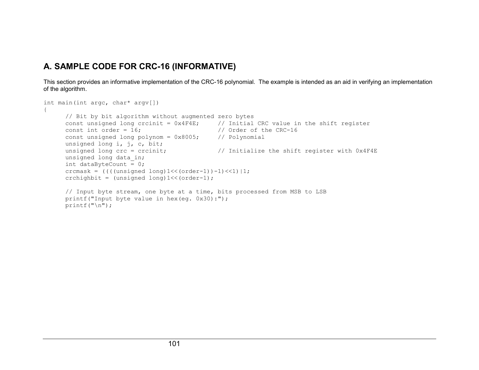# **A. SAMPLE CODE FOR CRC-16 (INFORMATIVE)**

This section provides an informative implementation of the CRC-16 polynomial. The example is intended as an aid in verifying an implementation of the algorithm.

```
int main(int argc, char* argv[])
{
     // Bit by bit algorithm without augmented zero bytes
      const unsigned long crcinit = 0x4F4E; // Initial CRC value in the shift register
     const int order = 16;
                                              \frac{1}{2} Order of the CRC-16
      const unsigned long polynom = 0x8005; // Polynomial
     unsigned long i, j, c, bit;
     unsigned long crc = crcinit; \frac{1}{10} // Initialize the shift register with 0x4F4E
      unsigned long data
_
in;
      int dataByteCount = 0;
      crcmask = ((((unsigned long)1<<(order-1))-1)<<1)|1;
     crchighbit = (unsigned long)1 < (order-1);
     // Input byte stream, one byte at a time, bits processed from MSB to LSB
     printf("Input byte value in hex(eg. 0x30):");
     printf(''\n'');
```